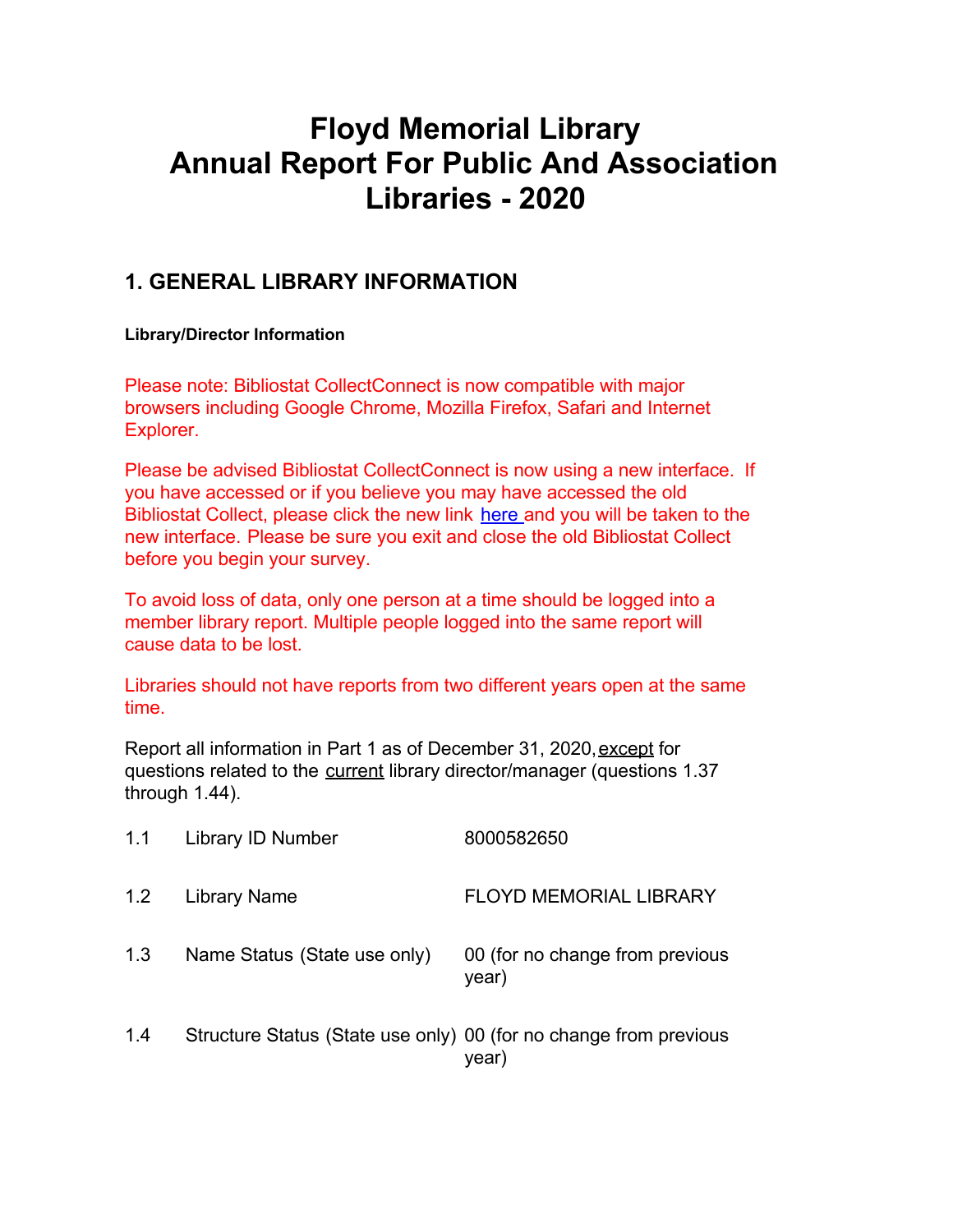# **Floyd Memorial Library Annual Report For Public And Association Libraries - 2020**

## **1. GENERAL LIBRARY INFORMATION**

#### **Library/Director Information**

Please note: Bibliostat CollectConnect is now compatible with major browsers including Google Chrome, Mozilla Firefox, Safari and Internet Explorer.

Please be advised Bibliostat CollectConnect is now using a new interface. If you have accessed or if you believe you may have accessed the old Bibliostat Collect, please click the new link [here](https://collectconnect.baker-taylor.com/login.aspx) and you will be taken to the new interface. Please be sure you exit and close the old Bibliostat Collect before you begin your survey.

To avoid loss of data, only one person at a time should be logged into a member library report. Multiple people logged into the same report will cause data to be lost.

Libraries should not have reports from two different years open at the same time.

Report all information in Part 1 as of December 31, 2020, except for questions related to the current library director/manager (questions 1.37 through 1.44).

| 1.1 | Library ID Number                                                 | 8000582650                               |
|-----|-------------------------------------------------------------------|------------------------------------------|
| 1.2 | Library Name                                                      | <b>FLOYD MEMORIAL LIBRARY</b>            |
| 1.3 | Name Status (State use only)                                      | 00 (for no change from previous<br>year) |
| 1.4 | Structure Status (State use only) 00 (for no change from previous | year)                                    |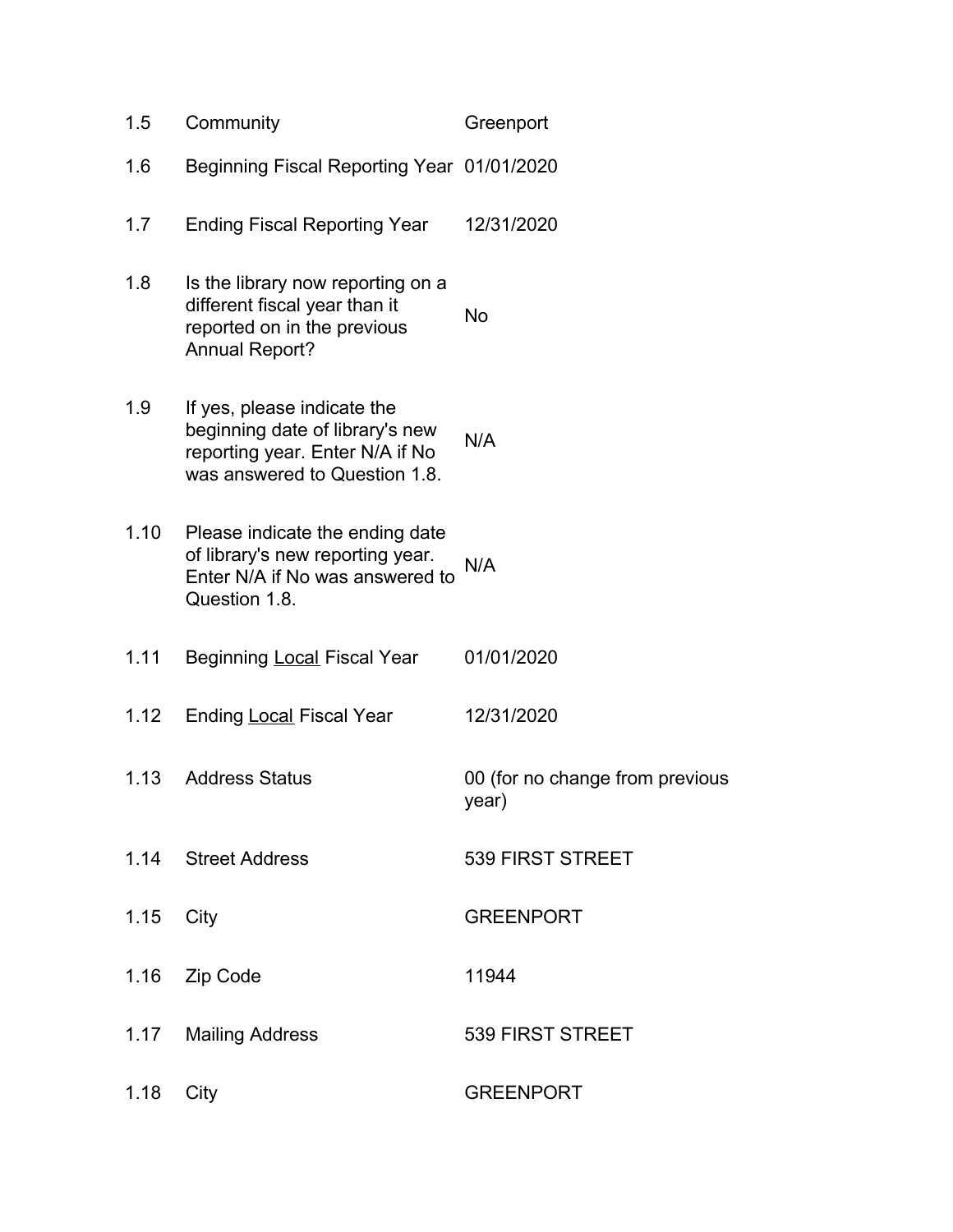| 1.5  | Community                                                                                                                          | Greenport                                |
|------|------------------------------------------------------------------------------------------------------------------------------------|------------------------------------------|
| 1.6  | Beginning Fiscal Reporting Year 01/01/2020                                                                                         |                                          |
| 1.7  | <b>Ending Fiscal Reporting Year</b>                                                                                                | 12/31/2020                               |
| 1.8  | Is the library now reporting on a<br>different fiscal year than it<br>reported on in the previous<br><b>Annual Report?</b>         | <b>No</b>                                |
| 1.9  | If yes, please indicate the<br>beginning date of library's new<br>reporting year. Enter N/A if No<br>was answered to Question 1.8. | N/A                                      |
| 1.10 | Please indicate the ending date<br>of library's new reporting year.<br>Enter N/A if No was answered to<br>Question 1.8.            | N/A                                      |
| 1.11 | Beginning <b>Local Fiscal Year</b>                                                                                                 | 01/01/2020                               |
| 1.12 | <b>Ending Local Fiscal Year</b>                                                                                                    | 12/31/2020                               |
| 1.13 | <b>Address Status</b>                                                                                                              | 00 (for no change from previous<br>year) |
|      | 1.14 Street Address                                                                                                                | 539 FIRST STREET                         |
| 1.15 | City                                                                                                                               | <b>GREENPORT</b>                         |
|      | 1.16 Zip Code                                                                                                                      | 11944                                    |
| 1.17 | <b>Mailing Address</b>                                                                                                             | 539 FIRST STREET                         |
| 1.18 | City                                                                                                                               | <b>GREENPORT</b>                         |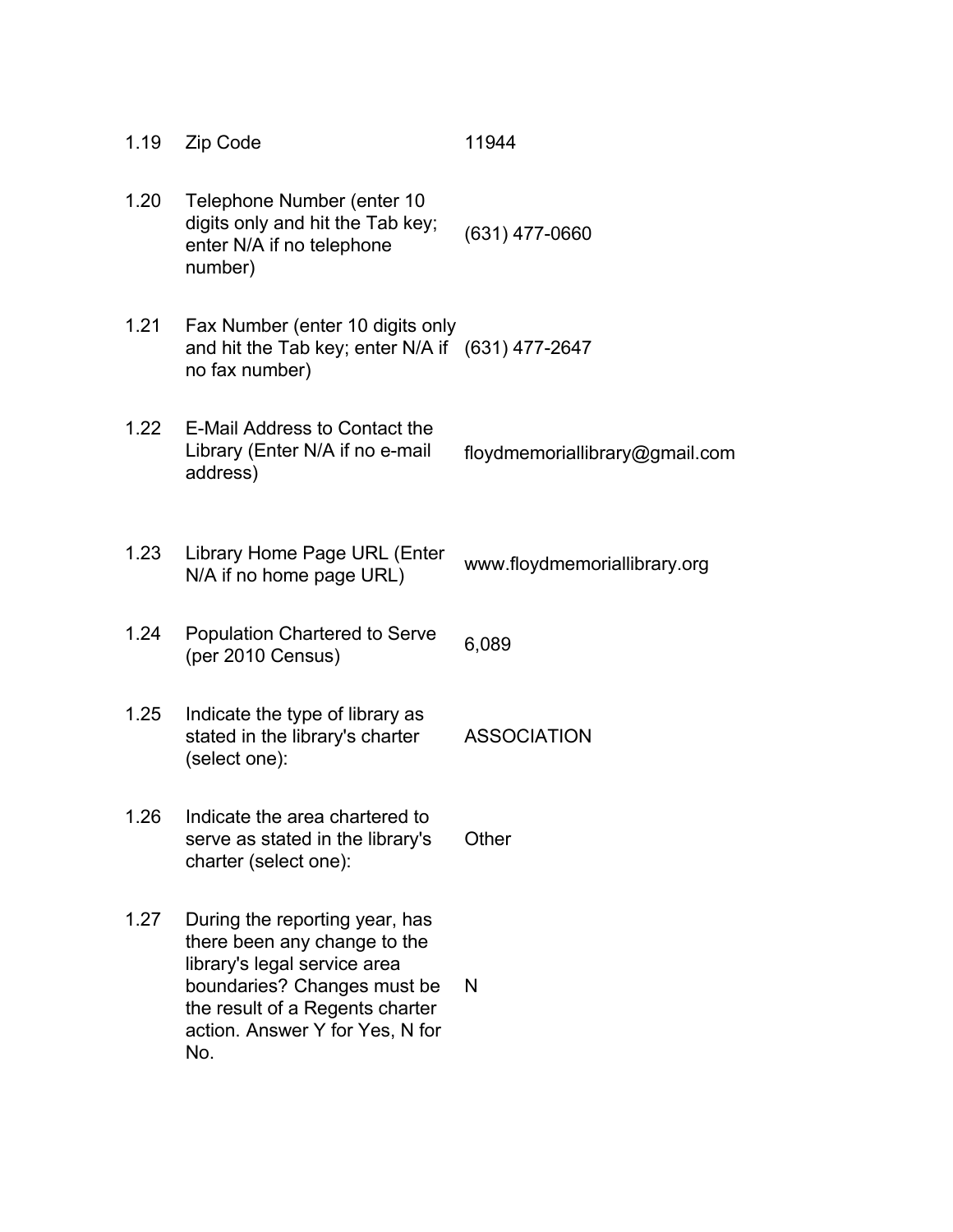| 1.19 | Zip Code                                                                                                                                                                                                   | 11944                          |
|------|------------------------------------------------------------------------------------------------------------------------------------------------------------------------------------------------------------|--------------------------------|
| 1.20 | Telephone Number (enter 10<br>digits only and hit the Tab key;<br>enter N/A if no telephone<br>number)                                                                                                     | $(631)$ 477-0660               |
| 1.21 | Fax Number (enter 10 digits only<br>and hit the Tab key; enter N/A if (631) 477-2647<br>no fax number)                                                                                                     |                                |
| 1.22 | E-Mail Address to Contact the<br>Library (Enter N/A if no e-mail<br>address)                                                                                                                               | floydmemoriallibrary@gmail.com |
| 1.23 | Library Home Page URL (Enter<br>N/A if no home page URL)                                                                                                                                                   | www.floydmemoriallibrary.org   |
| 1.24 | <b>Population Chartered to Serve</b><br>(per 2010 Census)                                                                                                                                                  | 6,089                          |
| 1.25 | Indicate the type of library as<br>stated in the library's charter<br>(select one):                                                                                                                        | <b>ASSOCIATION</b>             |
| 1.26 | Indicate the area chartered to<br>serve as stated in the library's<br>charter (select one):                                                                                                                | Other                          |
| 1.27 | During the reporting year, has<br>there been any change to the<br>library's legal service area<br>boundaries? Changes must be<br>the result of a Regents charter<br>action. Answer Y for Yes, N for<br>No. | N                              |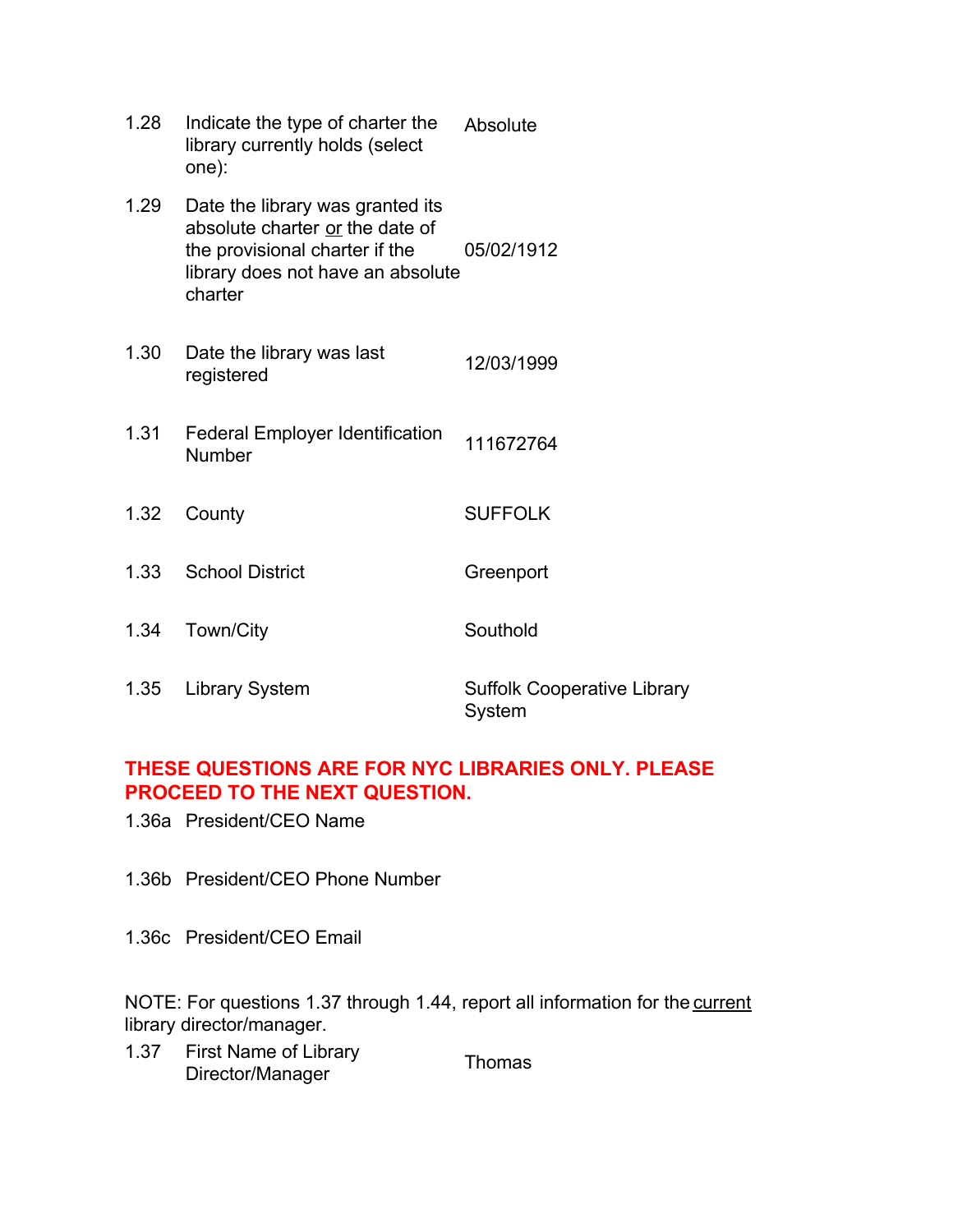| 1.28 | Indicate the type of charter the<br>library currently holds (select<br>one):                                                                          | Absolute                                     |
|------|-------------------------------------------------------------------------------------------------------------------------------------------------------|----------------------------------------------|
| 1.29 | Date the library was granted its<br>absolute charter or the date of<br>the provisional charter if the<br>library does not have an absolute<br>charter | 05/02/1912                                   |
| 1.30 | Date the library was last<br>registered                                                                                                               | 12/03/1999                                   |
| 1.31 | <b>Federal Employer Identification</b><br><b>Number</b>                                                                                               | 111672764                                    |
| 1.32 | County                                                                                                                                                | <b>SUFFOLK</b>                               |
| 1.33 | <b>School District</b>                                                                                                                                | Greenport                                    |
| 1.34 | Town/City                                                                                                                                             | Southold                                     |
| 1.35 | <b>Library System</b>                                                                                                                                 | <b>Suffolk Cooperative Library</b><br>System |

## **THESE QUESTIONS ARE FOR NYC LIBRARIES ONLY. PLEASE PROCEED TO THE NEXT QUESTION.**

1.36a President/CEO Name

1.36b President/CEO Phone Number

1.36c President/CEO Email

NOTE: For questions 1.37 through 1.44, report all information for the current library director/manager.

1.37 First Name of Library Prist Name of Elbrary<br>Director/Manager Thomas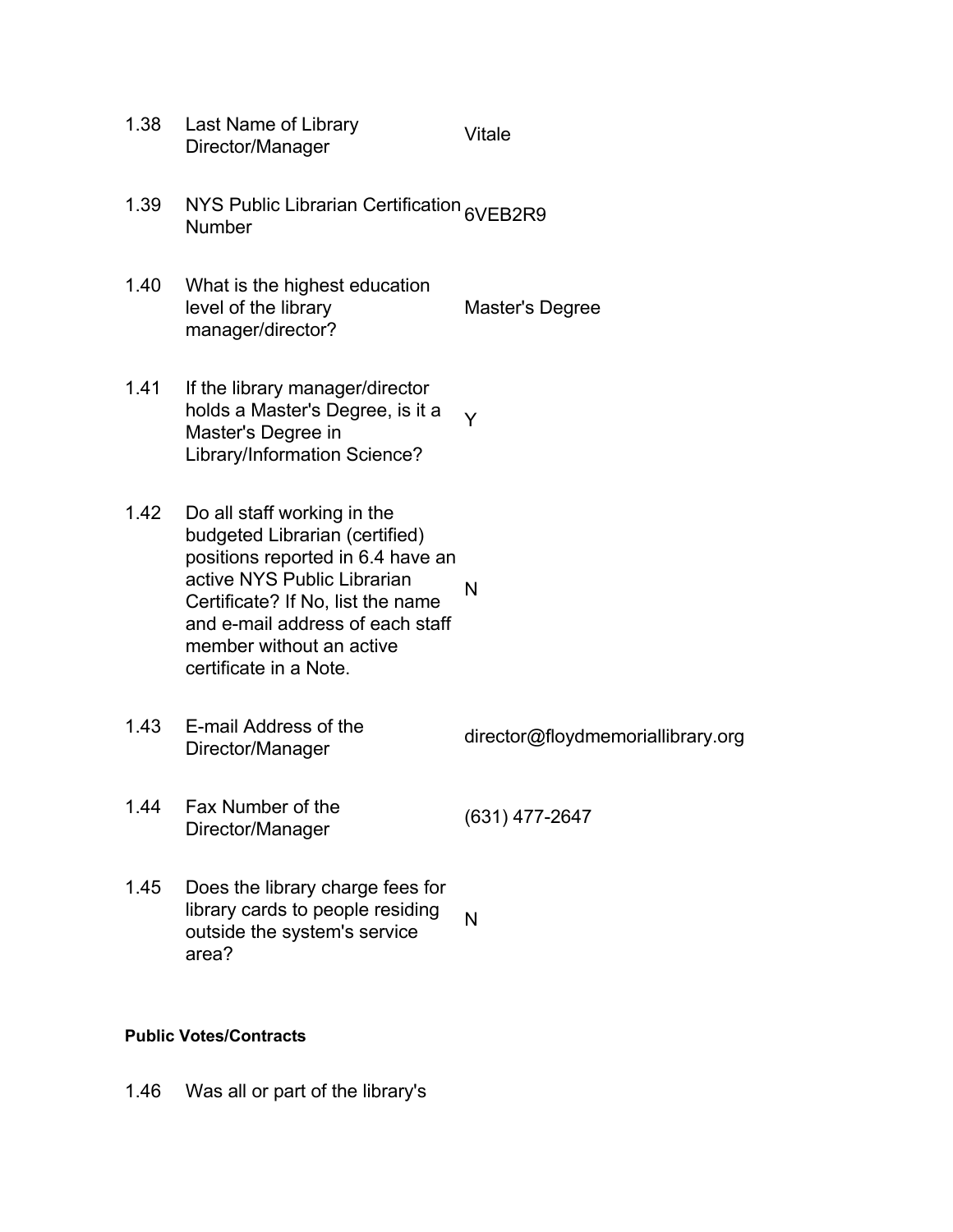- 1.38 Last Name of Library Last Name of Elbrary<br>Director/Manager Vitale
- 1.39 NYS Public Librarian Certification 6VEB2R9<br>Number
- 1.40 What is the highest education level of the library manager/director? Master's Degree
- 1.41 If the library manager/director holds a Master's Degree, is it a Master's Degree in Library/Information Science? Y
- 1.42 Do all staff working in the budgeted Librarian (certified) positions reported in 6.4 have an active NYS Public Librarian Certificate? If No, list the name and e-mail address of each staff member without an active certificate in a Note. N
- 1.43 E-mail Address of the L-mail Address of the director@floydmemoriallibrary.org<br>Director/Manager

- 1.44 Fax Number of the Plax Number of the (631) 477-2647<br>Director/Manager
- 1.45 Does the library charge fees for library cards to people residing outside the system's service area? N

#### **Public Votes/Contracts**

1.46 Was all or part of the library's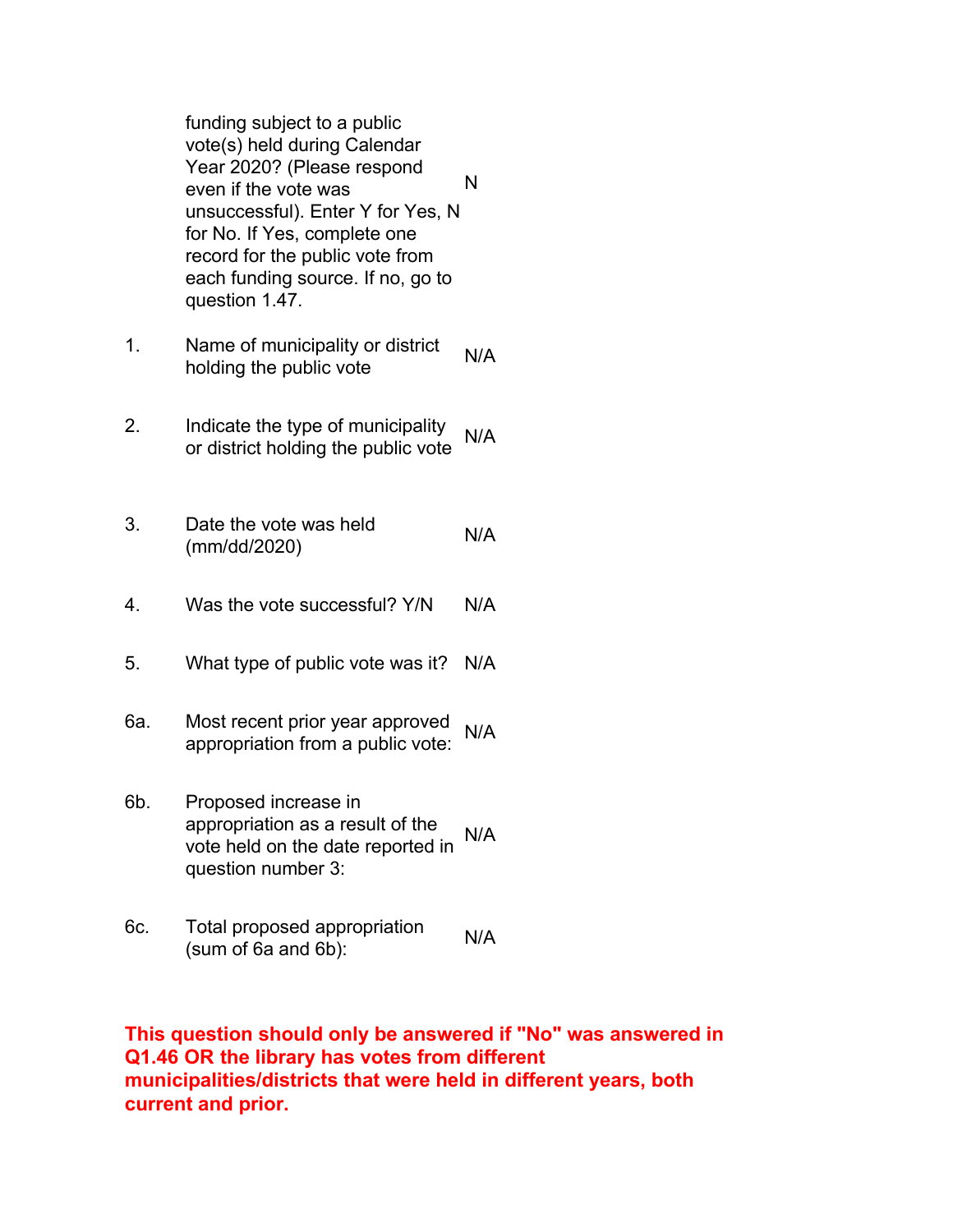funding subject to a public vote(s) held during Calendar Year 2020? (Please respond even if the vote was unsuccessful). Enter Y for Yes, N for No. If Yes, complete one record for the public vote from each funding source. If no, go to question 1.47. N

- 1. Name of municipality or district holding the public vote N/A
- 2. Indicate the type of municipality mulcate the type of multiplanty<br>or district holding the public vote
- 3. Date the vote was held Date the vote was held N/A<br>(mm/dd/2020)
- 4. Was the vote successful? Y/N N/A
- 5. What type of public vote was it? N/A
- 6a. Most recent prior year approved most recent prior year approved N/A<br>appropriation from a public vote:
- 6b. Proposed increase in appropriation as a result of the vote held on the date reported in question number 3: N/A
- 6c. Total proposed appropriation Fotal proposed appropriation N/A<br>(sum of 6a and 6b):

**This question should only be answered if "No" was answered in Q1.46 OR the library has votes from different municipalities/districts that were held in different years, both current and prior.**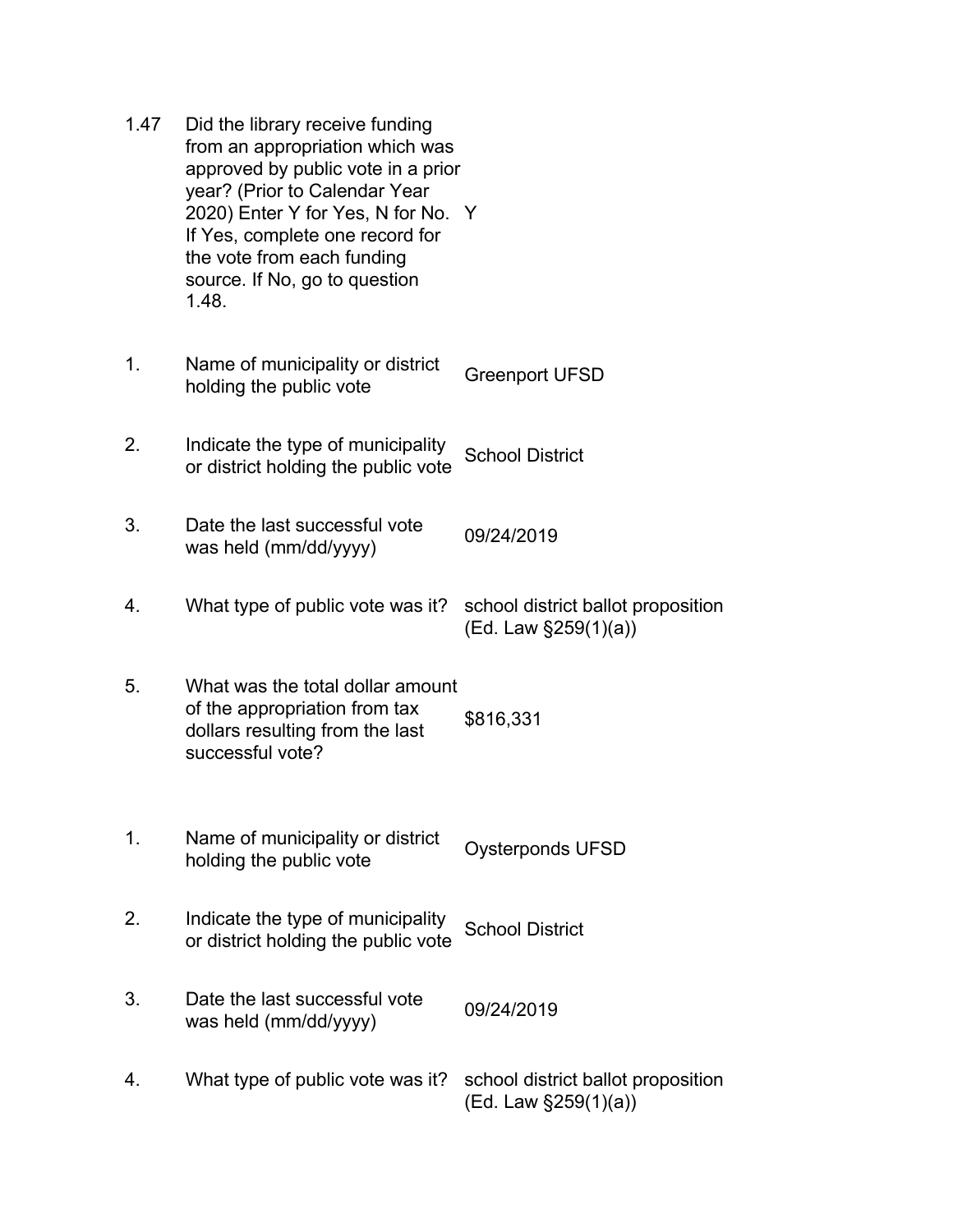| 1.47 | Did the library receive funding<br>from an appropriation which was<br>approved by public vote in a prior<br>year? (Prior to Calendar Year<br>2020) Enter Y for Yes, N for No. Y<br>If Yes, complete one record for<br>the vote from each funding<br>source. If No, go to question<br>1.48. |                                                            |
|------|--------------------------------------------------------------------------------------------------------------------------------------------------------------------------------------------------------------------------------------------------------------------------------------------|------------------------------------------------------------|
| 1.   | Name of municipality or district<br>holding the public vote                                                                                                                                                                                                                                | <b>Greenport UFSD</b>                                      |
| 2.   | Indicate the type of municipality<br>or district holding the public vote                                                                                                                                                                                                                   | <b>School District</b>                                     |
| 3.   | Date the last successful vote<br>was held (mm/dd/yyyy)                                                                                                                                                                                                                                     | 09/24/2019                                                 |
| 4.   | What type of public vote was it?                                                                                                                                                                                                                                                           | school district ballot proposition<br>(Ed. Law §259(1)(a)) |
| 5.   | What was the total dollar amount<br>of the appropriation from tax<br>dollars resulting from the last<br>successful vote?                                                                                                                                                                   | \$816,331                                                  |
| 1.   | Name of municipality or district<br>holding the public vote                                                                                                                                                                                                                                | <b>Oysterponds UFSD</b>                                    |
| 2.   | Indicate the type of municipality<br>or district holding the public vote                                                                                                                                                                                                                   | <b>School District</b>                                     |
| 3.   | Date the last successful vote<br>was held (mm/dd/yyyy)                                                                                                                                                                                                                                     | 09/24/2019                                                 |
| 4.   | What type of public vote was it?                                                                                                                                                                                                                                                           | school district ballot proposition<br>(Ed. Law §259(1)(a)) |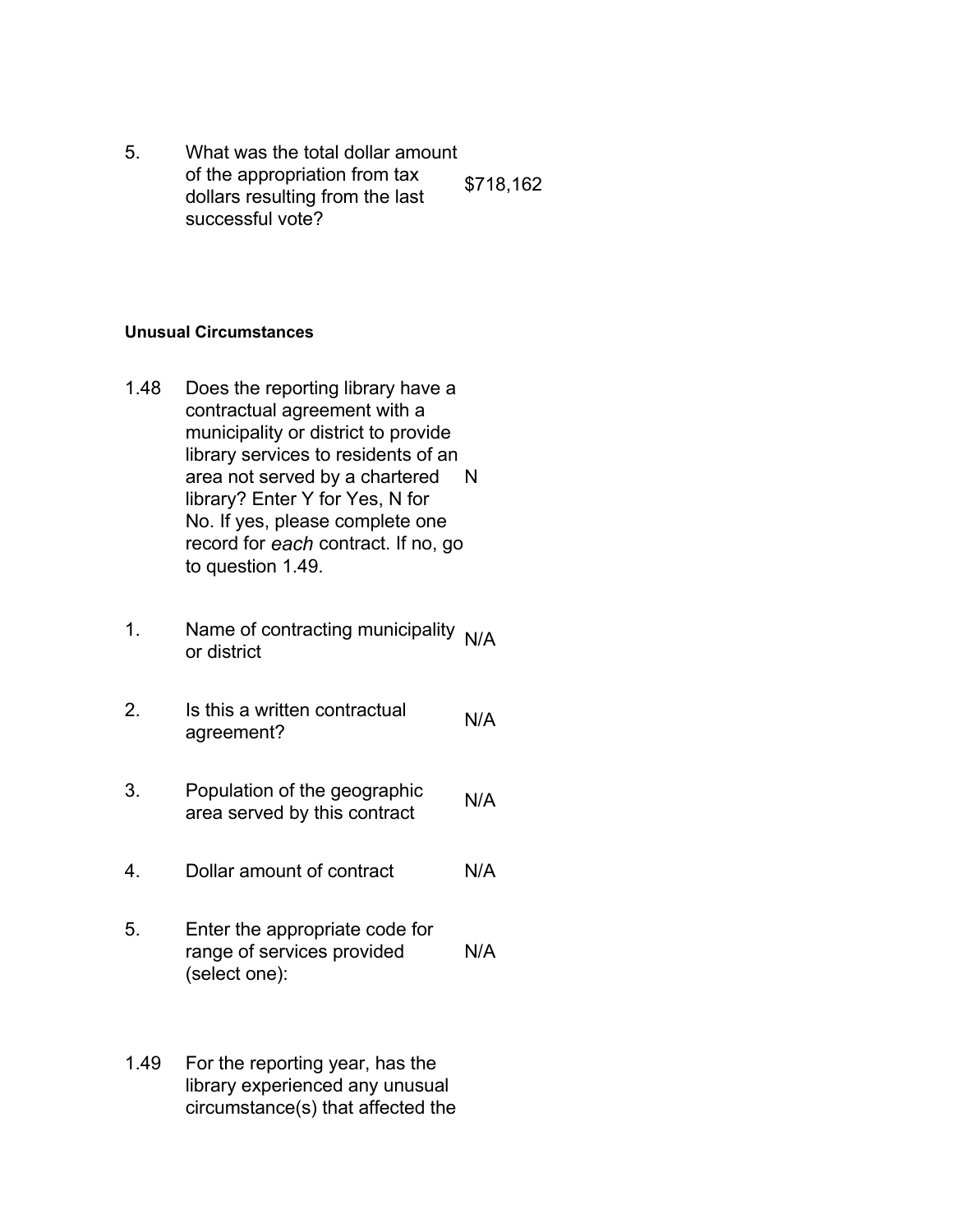5. What was the total dollar amount of the appropriation from tax dollars resulting from the last successful vote? \$718,162

#### **Unusual Circumstances**

- 1.48 Does the reporting library have a contractual agreement with a municipality or district to provide library services to residents of an area not served by a chartered library? Enter Y for Yes, N for No. If yes, please complete one record for *each* contract. If no, go to question 1.49. N
- 1. Name of contracting municipality  $N/A$  or district
- 2. Is this a written contractual is this a written contractual N/A<br>agreement?
- 3. Population of the geographic **Population of the geographic N/A**<br>area served by this contract
- 4. Dollar amount of contract N/A
- 5. Enter the appropriate code for range of services provided (select one): N/A
- 1.49 For the reporting year, has the library experienced any unusual circumstance(s) that affected the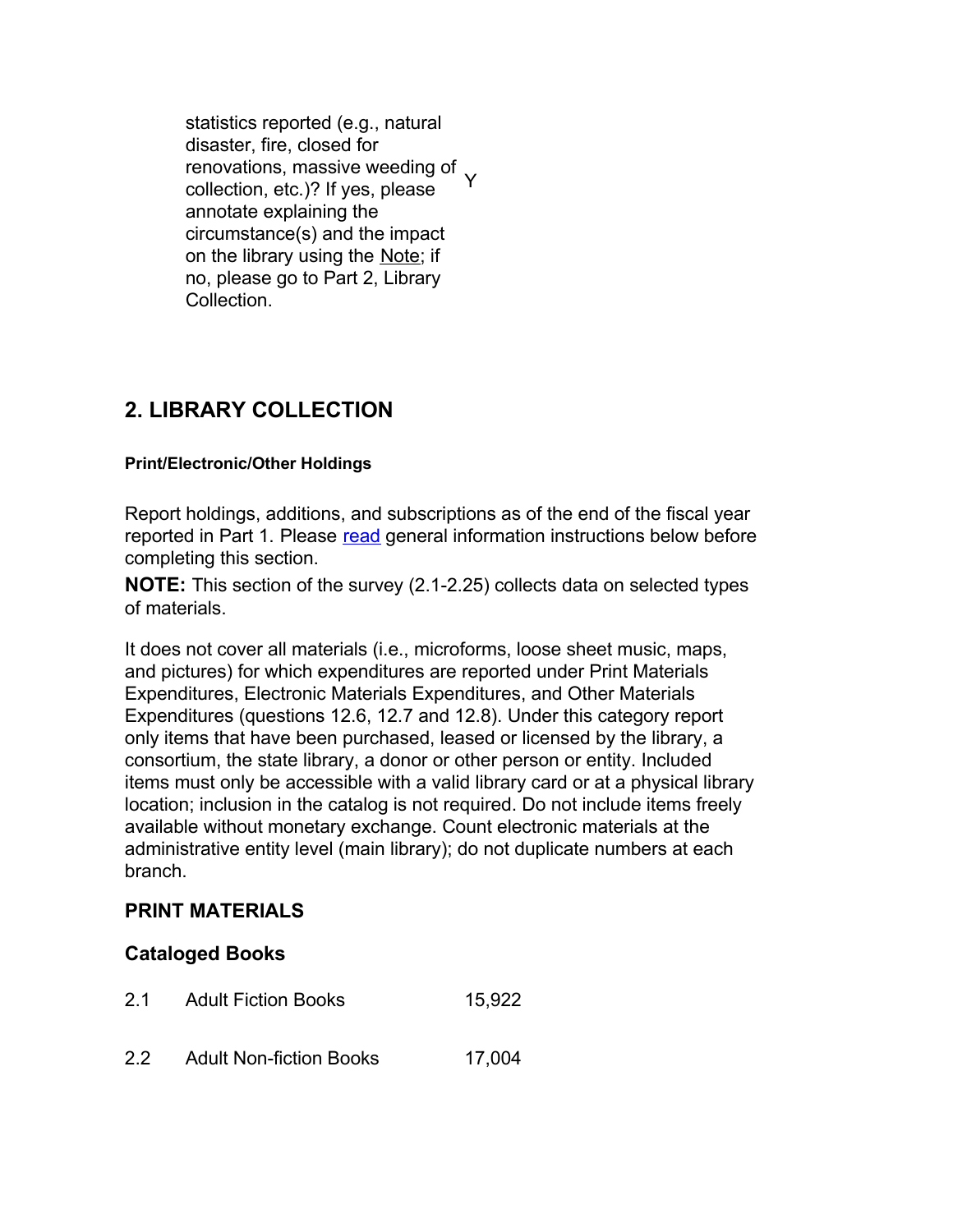statistics reported (e.g., natural disaster, fire, closed for renovations, massive weeding of collection, etc.)? If yes, please annotate explaining the circumstance(s) and the impact on the library using the Note; if no, please go to Part 2, Library Collection. Y

## **2. LIBRARY COLLECTION**

### **Print/Electronic/Other Holdings**

Report holdings, additions, and subscriptions as of the end of the fiscal year reported in Part 1. Please read general information instructions below before completing this section.

**NOTE:** This section of the survey (2.1-2.25) collects data on selected types of materials.

It does not cover all materials (i.e., microforms, loose sheet music, maps, and pictures) for which expenditures are reported under Print Materials Expenditures, Electronic Materials Expenditures, and Other Materials Expenditures (questions 12.6, 12.7 and 12.8). Under this category report only items that have been purchased, leased or licensed by the library, a consortium, the state library, a donor or other person or entity. Included items must only be accessible with a valid library card or at a physical library location; inclusion in the catalog is not required. Do not include items freely available without monetary exchange. Count electronic materials at the administrative entity level (main library); do not duplicate numbers at each branch.

## **PRINT MATERIALS**

## **Cataloged Books**

- 2.1 Adult Fiction Books 15,922
- 2.2 Adult Non-fiction Books 17,004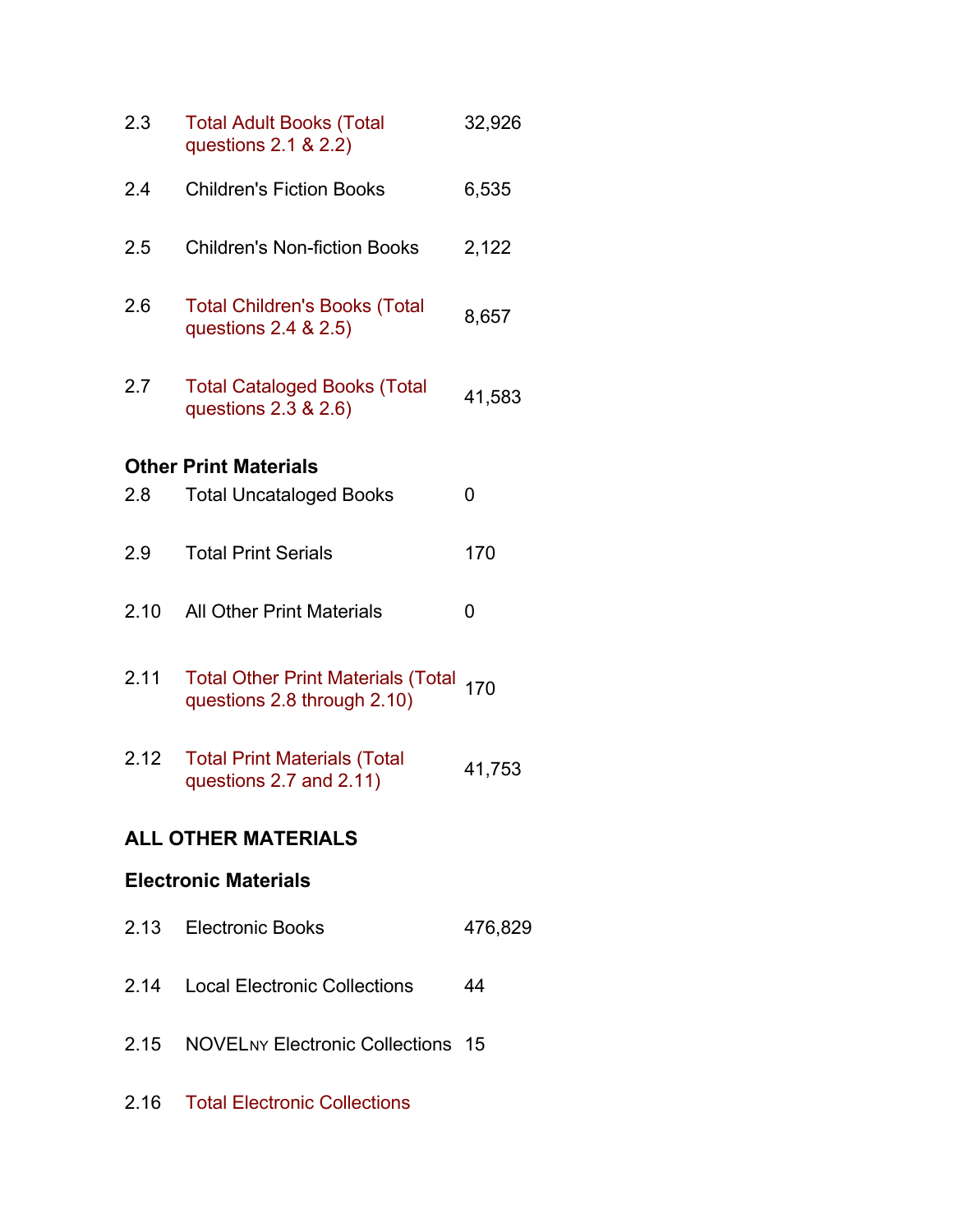| 2.3     | <b>Total Adult Books (Total</b><br>questions 2.1 & 2.2)                  | 32,926  |
|---------|--------------------------------------------------------------------------|---------|
| 2.4     | <b>Children's Fiction Books</b>                                          | 6,535   |
| 2.5     | <b>Children's Non-fiction Books</b>                                      | 2,122   |
| $2.6\,$ | <b>Total Children's Books (Total</b><br>questions 2.4 & 2.5)             | 8,657   |
| 2.7     | <b>Total Cataloged Books (Total</b><br>questions 2.3 & 2.6)              | 41,583  |
|         | <b>Other Print Materials</b>                                             |         |
| 2.8     | <b>Total Uncataloged Books</b>                                           | 0       |
| 2.9     | <b>Total Print Serials</b>                                               | 170     |
| 2.10    | <b>All Other Print Materials</b>                                         | 0       |
| 2.11    | <b>Total Other Print Materials (Total</b><br>questions 2.8 through 2.10) | 170     |
| 2.12    | <b>Total Print Materials (Total</b><br>questions 2.7 and 2.11)           | 41,753  |
|         | <b>ALL OTHER MATERIALS</b>                                               |         |
|         | <b>Electronic Materials</b>                                              |         |
| 2.13    | <b>Electronic Books</b>                                                  | 476,829 |
| 2.14    | <b>Local Electronic Collections</b>                                      | 44      |
| 2.15    | <b>NOVELNY Electronic Collections 15</b>                                 |         |
| 2.16    | <b>Total Electronic Collections</b>                                      |         |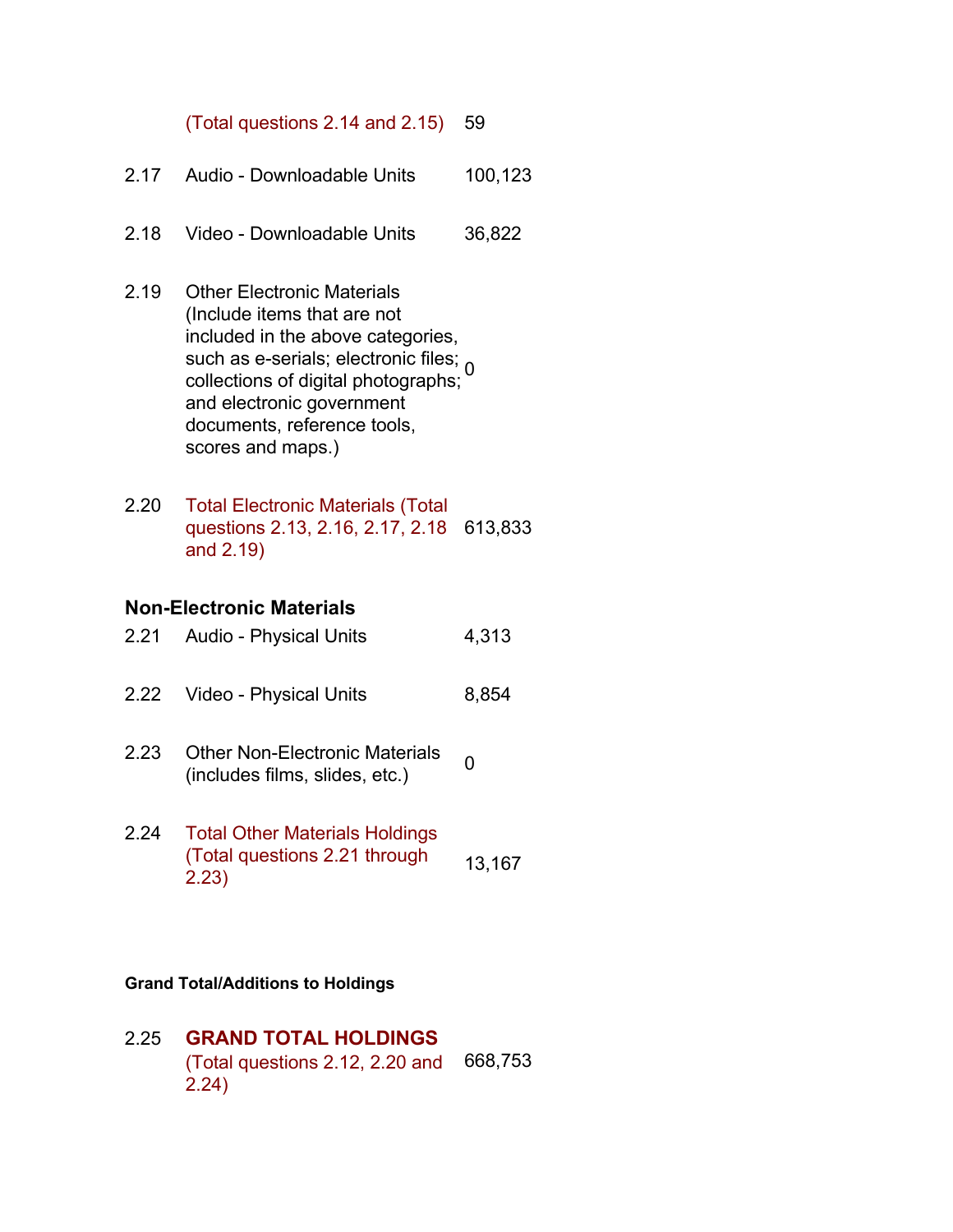#### (Total questions 2.14 and 2.15) 59

- 2.17 Audio Downloadable Units 100,123
- 2.18 Video Downloadable Units 36,822
- 2.19 Other Electronic Materials (Include items that are not included in the above categories, such as e-serials; electronic files; 0 collections of digital photographs; and electronic government documents, reference tools, scores and maps.)
- 2.20 Total Electronic Materials (Total questions 2.13, 2.16, 2.17, 2.18 613,833 and 2.19)

#### **Non-Electronic Materials**

| 2.21 | Audio - Physical Units | 4,313 |
|------|------------------------|-------|
|------|------------------------|-------|

- 2.22 Video Physical Units 8,854
- 2.23 Other Non-Electronic Materials Other Non-Electronic Materials 0<br>(includes films, slides, etc.)
- 2.24 Total Other Materials Holdings (Total questions 2.21 through 2.23) 13,167

#### **Grand Total/Additions to Holdings**

2.25 **GRAND TOTAL HOLDINGS** (Total questions 2.12, 2.20 and 2.24) 668,753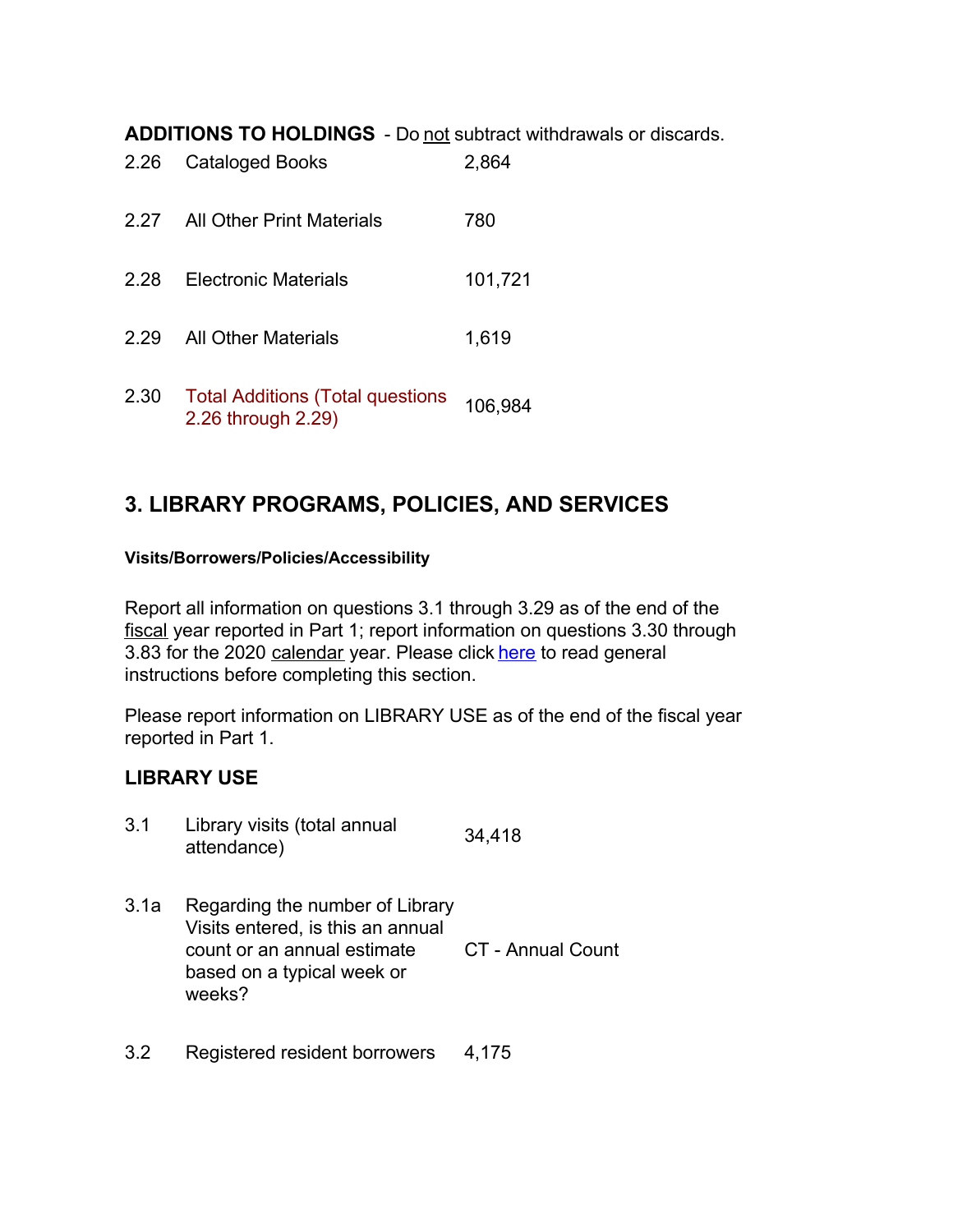**ADDITIONS TO HOLDINGS** - Do not subtract withdrawals or discards.

| 2.26 | <b>Cataloged Books</b>                                        | 2,864   |
|------|---------------------------------------------------------------|---------|
| 2.27 | All Other Print Materials                                     | 780     |
| 2.28 | <b>Flectronic Materials</b>                                   | 101,721 |
| 2.29 | <b>All Other Materials</b>                                    | 1,619   |
| 2.30 | <b>Total Additions (Total questions</b><br>2.26 through 2.29) | 106,984 |

## **3. LIBRARY PROGRAMS, POLICIES, AND SERVICES**

#### **Visits/Borrowers/Policies/Accessibility**

Report all information on questions 3.1 through 3.29 as of the end of the fiscal year reported in Part 1; report information on questions 3.30 through 3.83 for the 2020 calendar year. Please click here to read general instructions before completing this section.

Please report information on LIBRARY USE as of the end of the fiscal year reported in Part 1.

## **LIBRARY USE**

| 3.1 | Library visits (total annual | 34,418 |
|-----|------------------------------|--------|
|     | attendance)                  |        |

- 3.1a Regarding the number of Library Visits entered, is this an annual count or an annual estimate based on a typical week or weeks? CT - Annual Count
- 3.2 Registered resident borrowers 4,175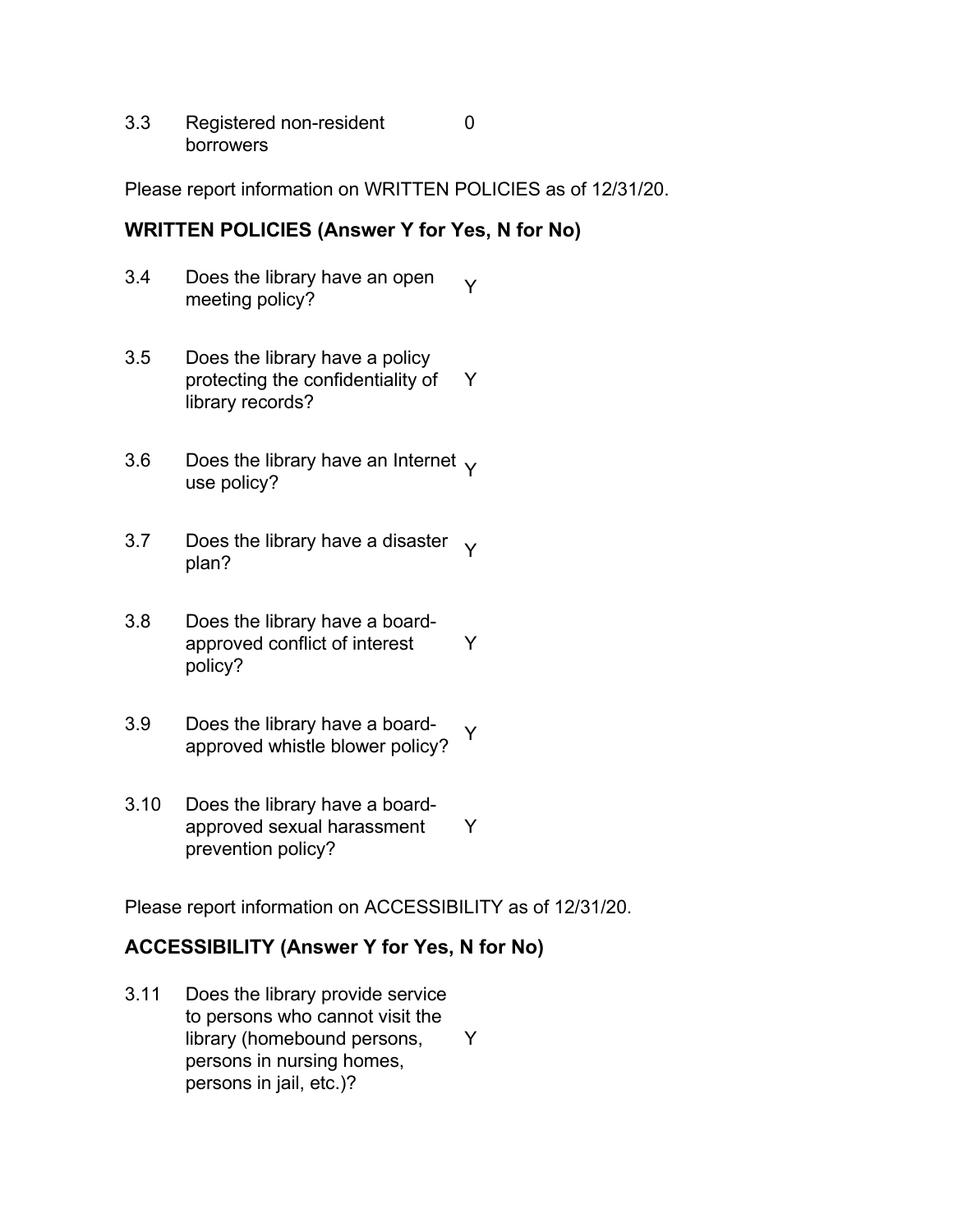3.3 Registered non-resident borrowers

Please report information on WRITTEN POLICIES as of 12/31/20.

0

## **WRITTEN POLICIES (Answer Y for Yes, N for No)**

- 3.4 Does the library have an open boes the library have an open  $\gamma$ <br>meeting policy?
- 3.5 Does the library have a policy protecting the confidentiality of library records? Y
- 3.6 Does the library have an Internet  $\gamma$  use policy?
- 3.7 Does the library have a disaster  $\gamma$  plan?
- 3.8 Does the library have a boardapproved conflict of interest policy? Y
- 3.9 Does the library have a boardboes the library have a board-<br>approved whistle blower policy?
- 3.10 Does the library have a boardapproved sexual harassment prevention policy? Y

Please report information on ACCESSIBILITY as of 12/31/20.

## **ACCESSIBILITY (Answer Y for Yes, N for No)**

3.11 Does the library provide service to persons who cannot visit the library (homebound persons, persons in nursing homes, persons in jail, etc.)? Y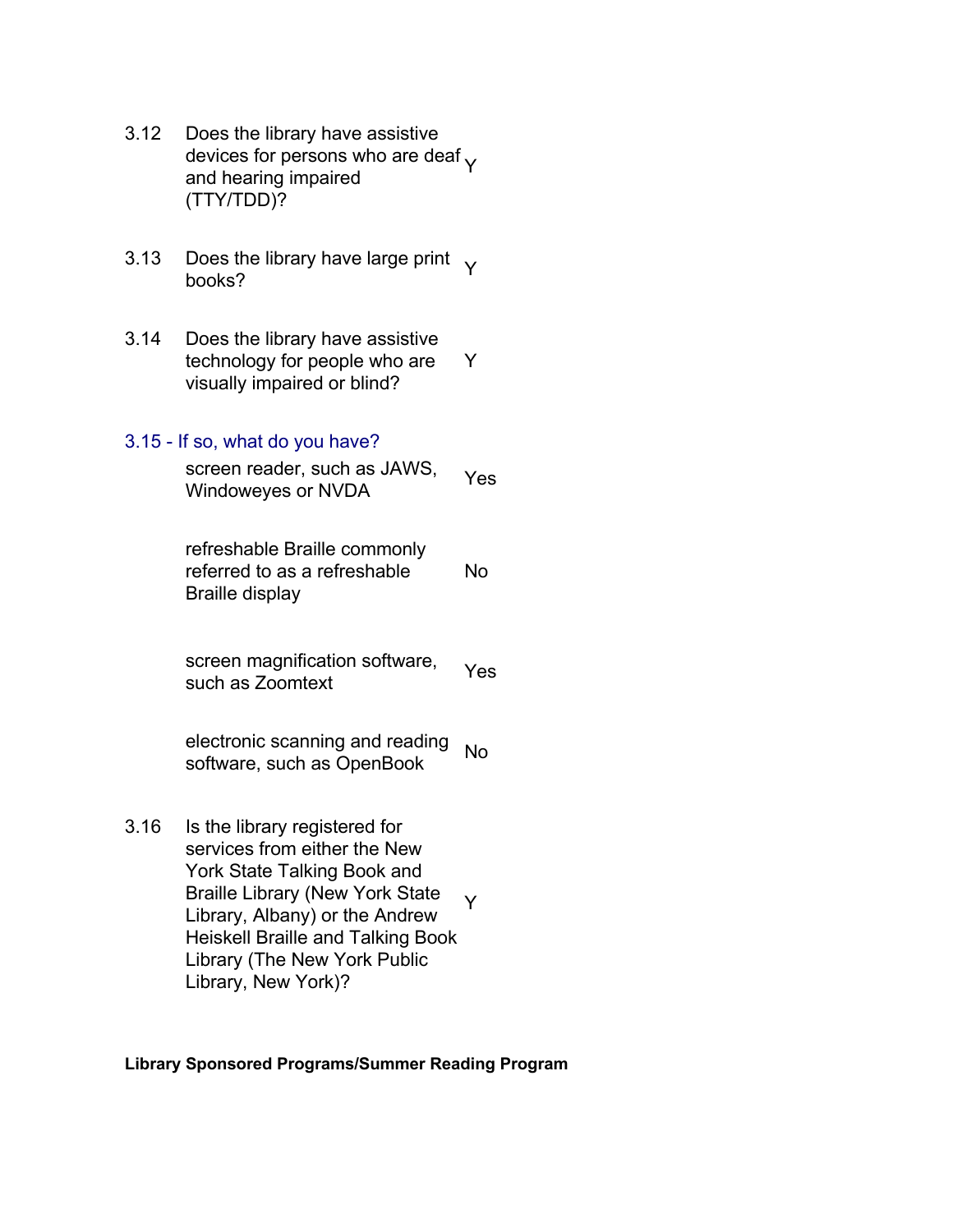- 3.12 Does the library have assistive devices for persons who are deaf  $\gamma$ and hearing impaired (TTY/TDD)?
- 3.13 Does the library have large print  $\gamma$  books?
- 3.14 Does the library have assistive technology for people who are visually impaired or blind? Y

#### 3.15 - If so, what do you have?

screen reader, such as JAWS, Screen reader, such as JAWO, Yes<br>Windoweyes or NVDA

refreshable Braille commonly referred to as a refreshable Braille display No

screen magnification software, screen magnification software, Yes

electronic scanning and reading software, such as OpenBook No

3.16 Is the library registered for services from either the New York State Talking Book and Braille Library (New York State Library, Albany) or the Andrew Heiskell Braille and Talking Book Library (The New York Public Library, New York)? Y

#### **Library Sponsored Programs/Summer Reading Program**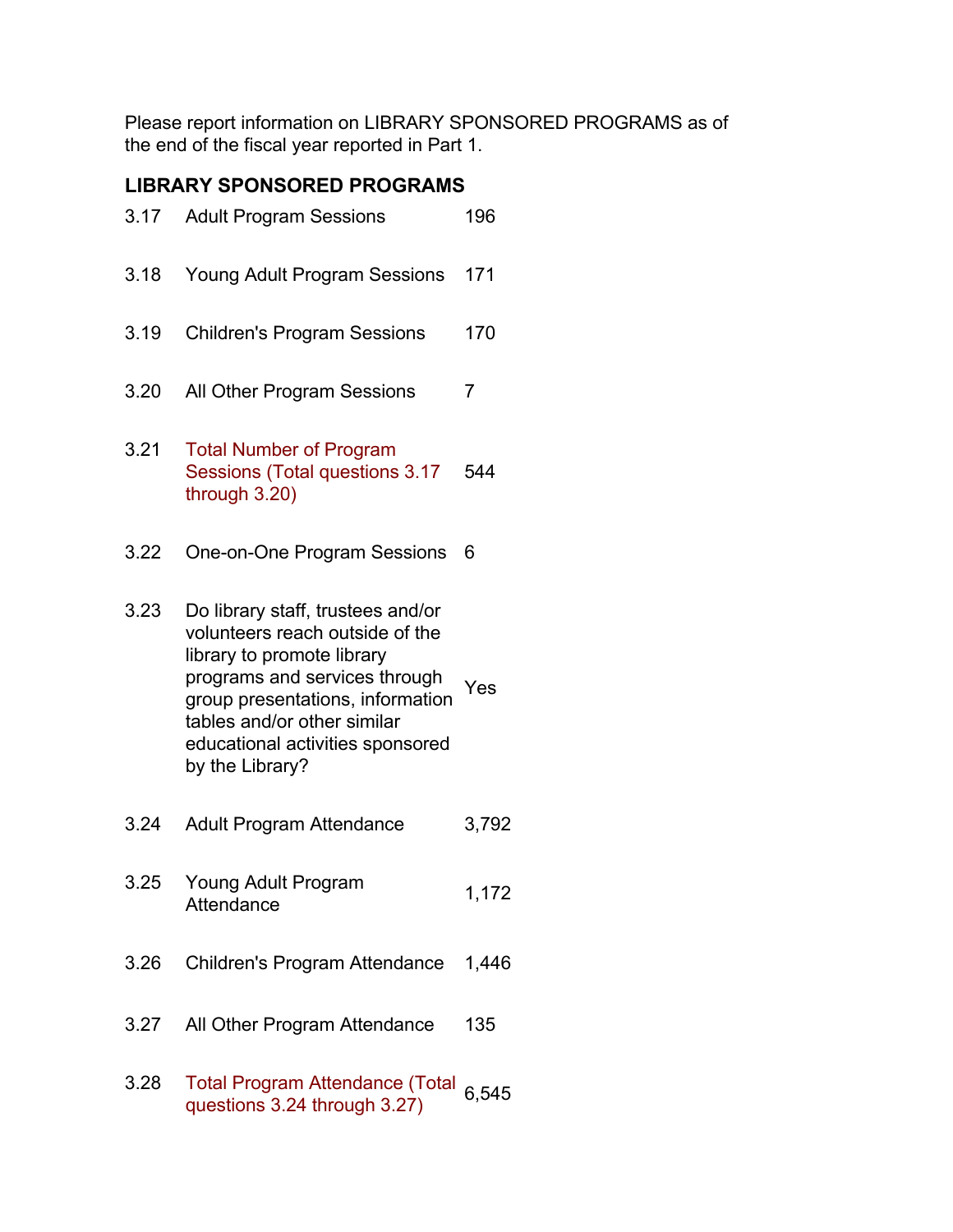Please report information on LIBRARY SPONSORED PROGRAMS as of the end of the fiscal year reported in Part 1.

## **LIBRARY SPONSORED PROGRAMS**

| 3.17 | <b>Adult Program Sessions</b>                                                                                                                                                                                                                                 | 196            |
|------|---------------------------------------------------------------------------------------------------------------------------------------------------------------------------------------------------------------------------------------------------------------|----------------|
| 3.18 | <b>Young Adult Program Sessions</b>                                                                                                                                                                                                                           | 171            |
| 3.19 | <b>Children's Program Sessions</b>                                                                                                                                                                                                                            | 170            |
| 3.20 | All Other Program Sessions                                                                                                                                                                                                                                    | $\overline{7}$ |
| 3.21 | <b>Total Number of Program</b><br>Sessions (Total questions 3.17<br>through 3.20)                                                                                                                                                                             | 544            |
| 3.22 | One-on-One Program Sessions                                                                                                                                                                                                                                   | 6              |
| 3.23 | Do library staff, trustees and/or<br>volunteers reach outside of the<br>library to promote library<br>programs and services through<br>group presentations, information<br>tables and/or other similar<br>educational activities sponsored<br>by the Library? | Yes            |
| 3.24 | <b>Adult Program Attendance</b>                                                                                                                                                                                                                               | 3,792          |
| 3.25 | Young Adult Program<br>Attendance                                                                                                                                                                                                                             | 1,172          |
| 3.26 | Children's Program Attendance                                                                                                                                                                                                                                 | 1,446          |
| 3.27 | All Other Program Attendance                                                                                                                                                                                                                                  | 135            |
| 3.28 | <b>Total Program Attendance (Total</b><br>questions 3.24 through 3.27)                                                                                                                                                                                        | 6,545          |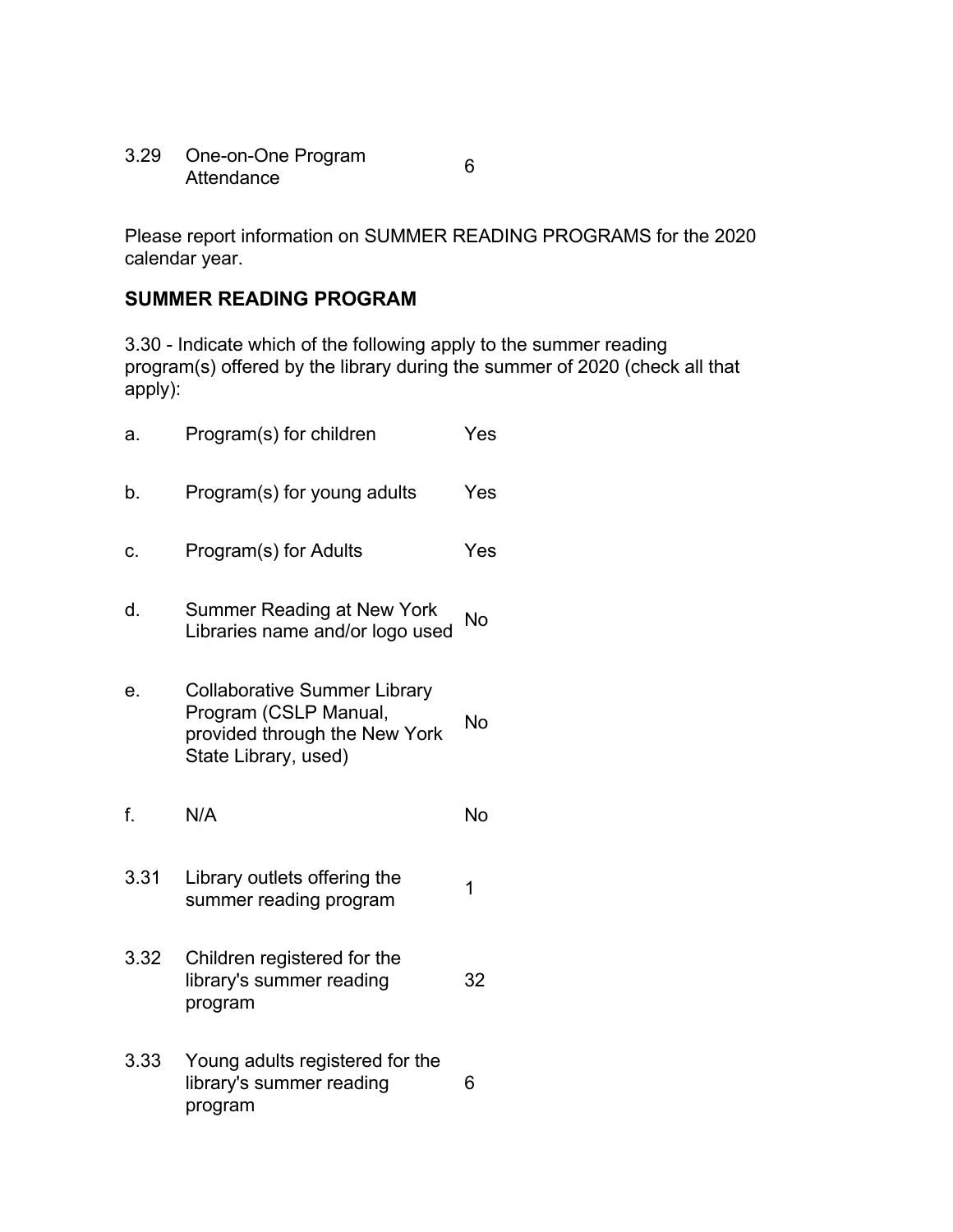3.29 One-on-One Program Attendance <sup>6</sup>

Please report information on SUMMER READING PROGRAMS for the 2020 calendar year.

## **SUMMER READING PROGRAM**

3.30 - Indicate which of the following apply to the summer reading program(s) offered by the library during the summer of 2020 (check all that apply):

| a.   | Program(s) for children                                                                                               | Yes |
|------|-----------------------------------------------------------------------------------------------------------------------|-----|
| b.   | Program(s) for young adults                                                                                           | Yes |
| c.   | Program(s) for Adults                                                                                                 | Yes |
| d.   | <b>Summer Reading at New York</b><br>Libraries name and/or logo used                                                  | No  |
| е.   | <b>Collaborative Summer Library</b><br>Program (CSLP Manual,<br>provided through the New York<br>State Library, used) | No  |
| f.   | N/A                                                                                                                   | No  |
| 3.31 | Library outlets offering the<br>summer reading program                                                                | 1   |
| 3.32 | Children registered for the<br>library's summer reading<br>program                                                    | 32  |
| 3.33 | Young adults registered for the<br>library's summer reading<br>program                                                | 6   |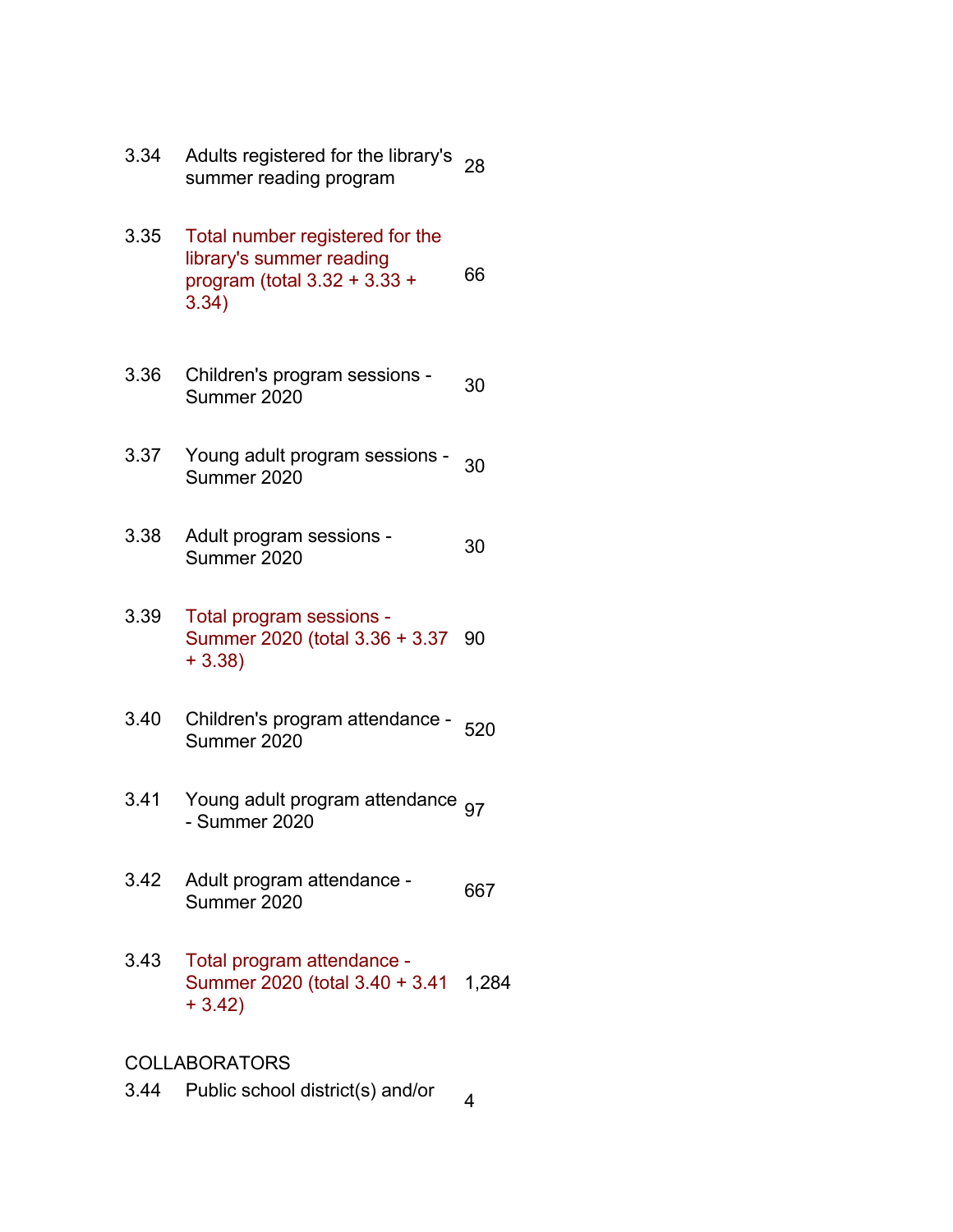- 3.34 Adults registered for the library's Aduits registered for the library's 28<br>summer reading program
- 3.35 Total number registered for the library's summer reading program (total 3.32 + 3.33 + 3.34) 66
- 3.36 Children's program sessions 30<br>Summer 2020
- 3.37 Young adult program sessions 30<br>Summer 2020
- 3.38 Adult program sessions Addit program sessions - 30
- 3.39 Total program sessions Summer 2020 (total 3.36 + 3.37 90 + 3.38)
- 3.40 Children's program attendance 520<br>Summer 2020
- 3.41 Young adult program attendance <sub>97</sub><br>- Summer 2020
- 3.42 Adult program attendance Addit program attendance - 667<br>Summer 2020
- 3.43 Total program attendance Summer 2020 (total 3.40 + 3.41 1,284 + 3.42)

### COLLABORATORS

3.44 Public school district(s) and/or  $\frac{4}{4}$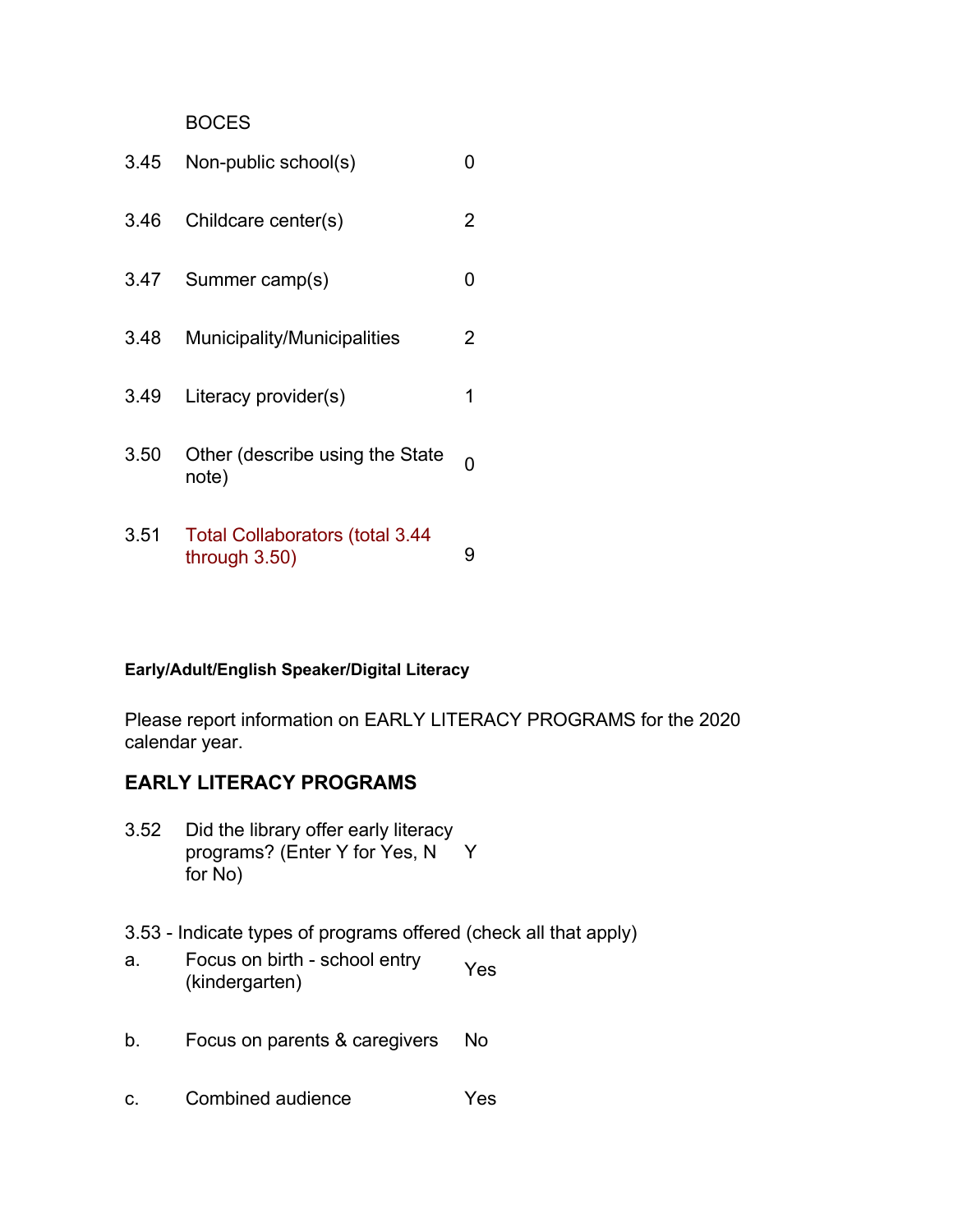#### **BOCES**

| 3.45 | Non-public school(s)                                       |   |
|------|------------------------------------------------------------|---|
| 3.46 | Childcare center(s)                                        | 2 |
| 3.47 | Summer camp(s)                                             | O |
| 3.48 | Municipality/Municipalities                                | 2 |
| 3.49 | Literacy provider(s)                                       | 1 |
| 3.50 | Other (describe using the State<br>note)                   |   |
| 3.51 | <b>Total Collaborators (total 3.44</b><br>through $3.50$ ) | 9 |

#### **Early/Adult/English Speaker/Digital Literacy**

Please report information on EARLY LITERACY PROGRAMS for the 2020 calendar year.

## **EARLY LITERACY PROGRAMS**

- 3.52 Did the library offer early literacy programs? (Enter Y for Yes, N Y for No)
- 3.53 Indicate types of programs offered (check all that apply)
- a. Focus on birth school entry Pocus on binn - scribor entry Yes<br>(kindergarten)
- b. Focus on parents & caregivers No
- c. Combined audience Yes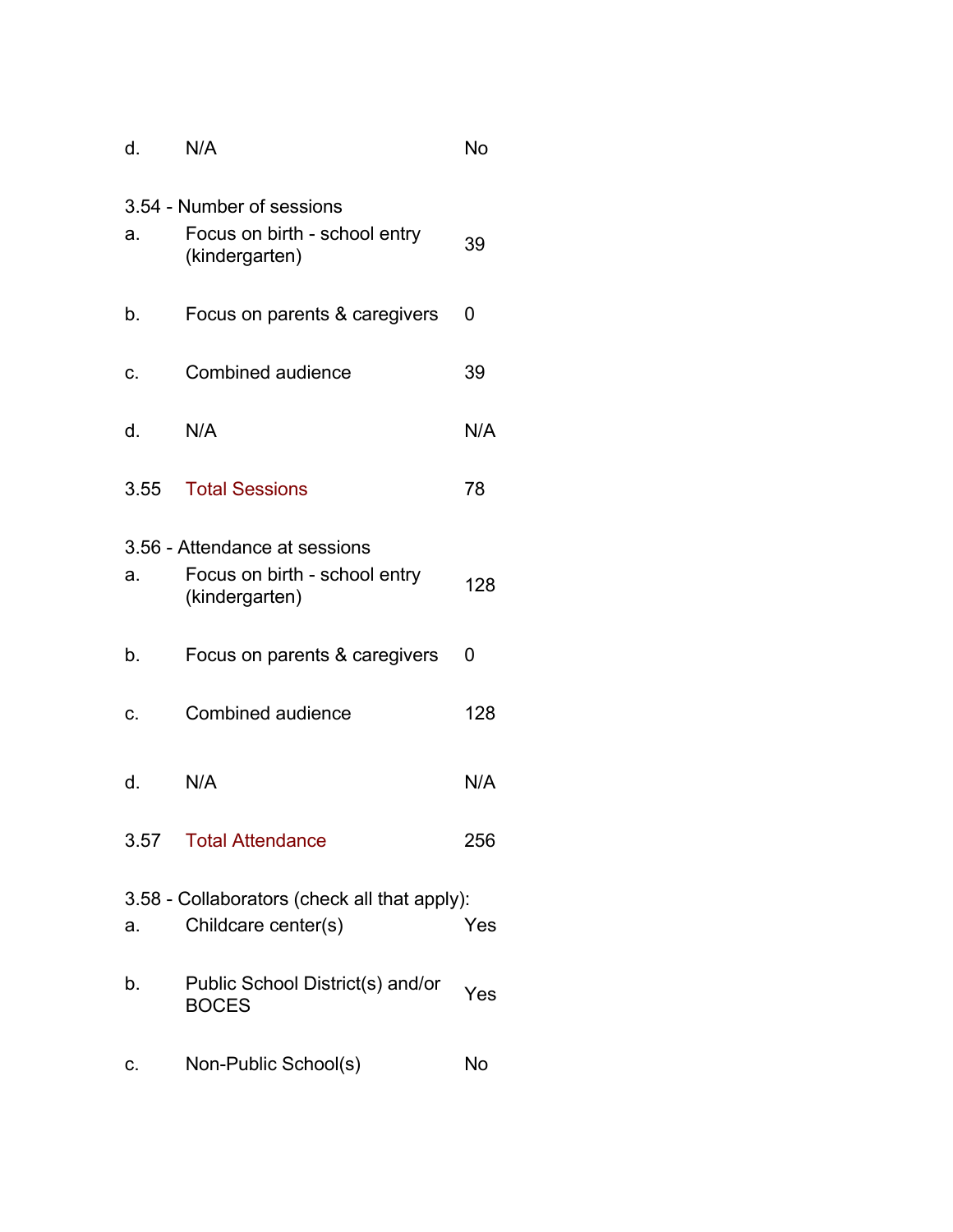| d.   | N/A                                                                              | No  |
|------|----------------------------------------------------------------------------------|-----|
| a.   | 3.54 - Number of sessions<br>Focus on birth - school entry<br>(kindergarten)     | 39  |
| b.   | Focus on parents & caregivers                                                    | 0   |
| C.   | Combined audience                                                                | 39  |
| d.   | N/A                                                                              | N/A |
| 3.55 | <b>Total Sessions</b>                                                            | 78  |
| a.   | 3.56 - Attendance at sessions<br>Focus on birth - school entry<br>(kindergarten) | 128 |
| b.   | Focus on parents & caregivers                                                    | 0   |
| C.   | Combined audience                                                                | 128 |
| d.   | N/A                                                                              | N/A |
|      | 3.57 Total Attendance                                                            | 256 |
| a.   | 3.58 - Collaborators (check all that apply):<br>Childcare center(s)              | Yes |
| b.   | Public School District(s) and/or<br><b>BOCES</b>                                 | Yes |
| c.   | Non-Public School(s)                                                             | No  |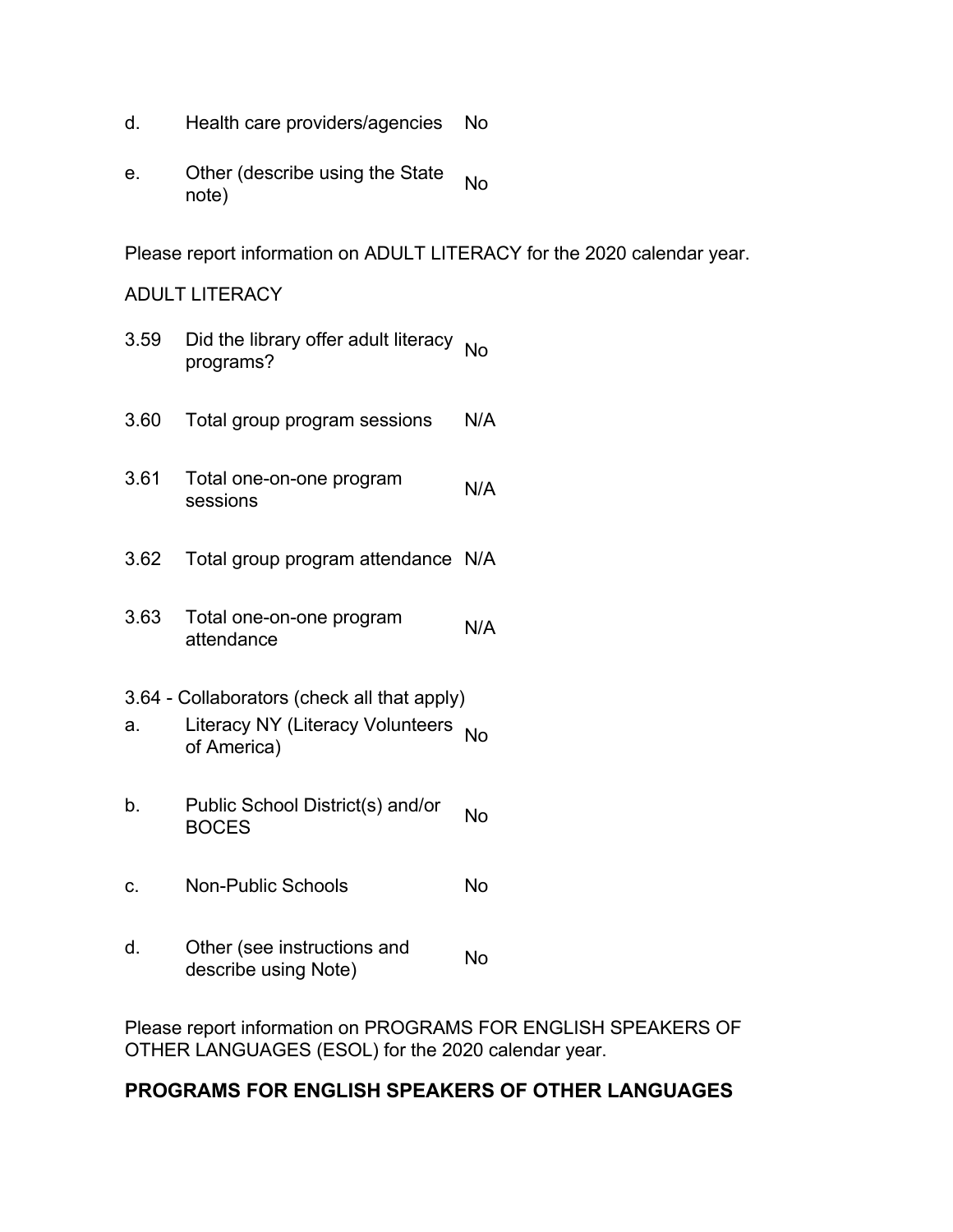- d. Health care providers/agencies No
- e. Other (describe using the State No

Please report information on ADULT LITERACY for the 2020 calendar year.

### ADULT LITERACY

- 3.59 Did the library offer adult literacy <sub>No</sub><br>programs?
- 3.60 Total group program sessions N/A
- 3.61 Total one-on-one program sessions N/A
- 3.62 Total group program attendance N/A
- 3.63 Total one-on-one program attendance N/A
- 3.64 Collaborators (check all that apply)
- a. Literacy NY (Literacy Volunteers No
- b. Public School District(s) and/or No<br>BOCES
- c. Non-Public Schools No
- d. Other (see instructions and Sure (see instructions and Mo<br>describe using Note)

Please report information on PROGRAMS FOR ENGLISH SPEAKERS OF OTHER LANGUAGES (ESOL) for the 2020 calendar year.

## **PROGRAMS FOR ENGLISH SPEAKERS OF OTHER LANGUAGES**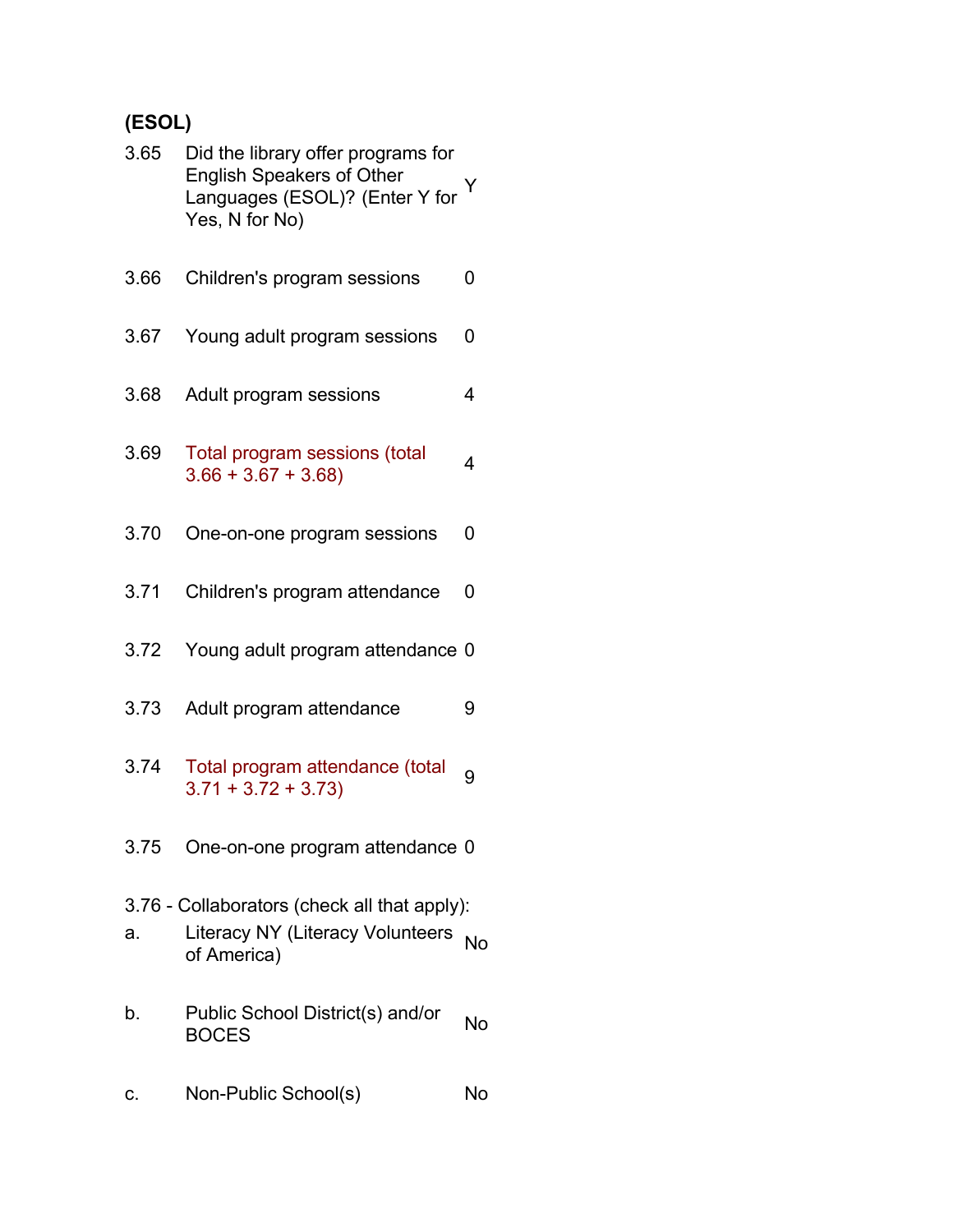# **(ESOL)**

| 3.65 | Did the library offer programs for<br><b>English Speakers of Other</b><br>Languages (ESOL)? (Enter Y for Y<br>Yes, N for No) |    |
|------|------------------------------------------------------------------------------------------------------------------------------|----|
| 3.66 | Children's program sessions                                                                                                  | 0  |
| 3.67 | Young adult program sessions                                                                                                 | 0  |
| 3.68 | Adult program sessions                                                                                                       | 4  |
| 3.69 | Total program sessions (total<br>$3.66 + 3.67 + 3.68$                                                                        | 4  |
| 3.70 | One-on-one program sessions                                                                                                  | 0  |
| 3.71 | Children's program attendance                                                                                                | 0  |
| 3.72 | Young adult program attendance 0                                                                                             |    |
| 3.73 | Adult program attendance                                                                                                     | 9  |
| 3.74 | Total program attendance (total<br>$3.71 + 3.72 + 3.73$                                                                      | 9  |
| 3.75 | One-on-one program attendance 0                                                                                              |    |
| a.   | 3.76 - Collaborators (check all that apply):<br><b>Literacy NY (Literacy Volunteers</b><br>of America)                       | No |
| b.   | Public School District(s) and/or<br><b>BOCES</b>                                                                             | No |
| c.   | Non-Public School(s)                                                                                                         | No |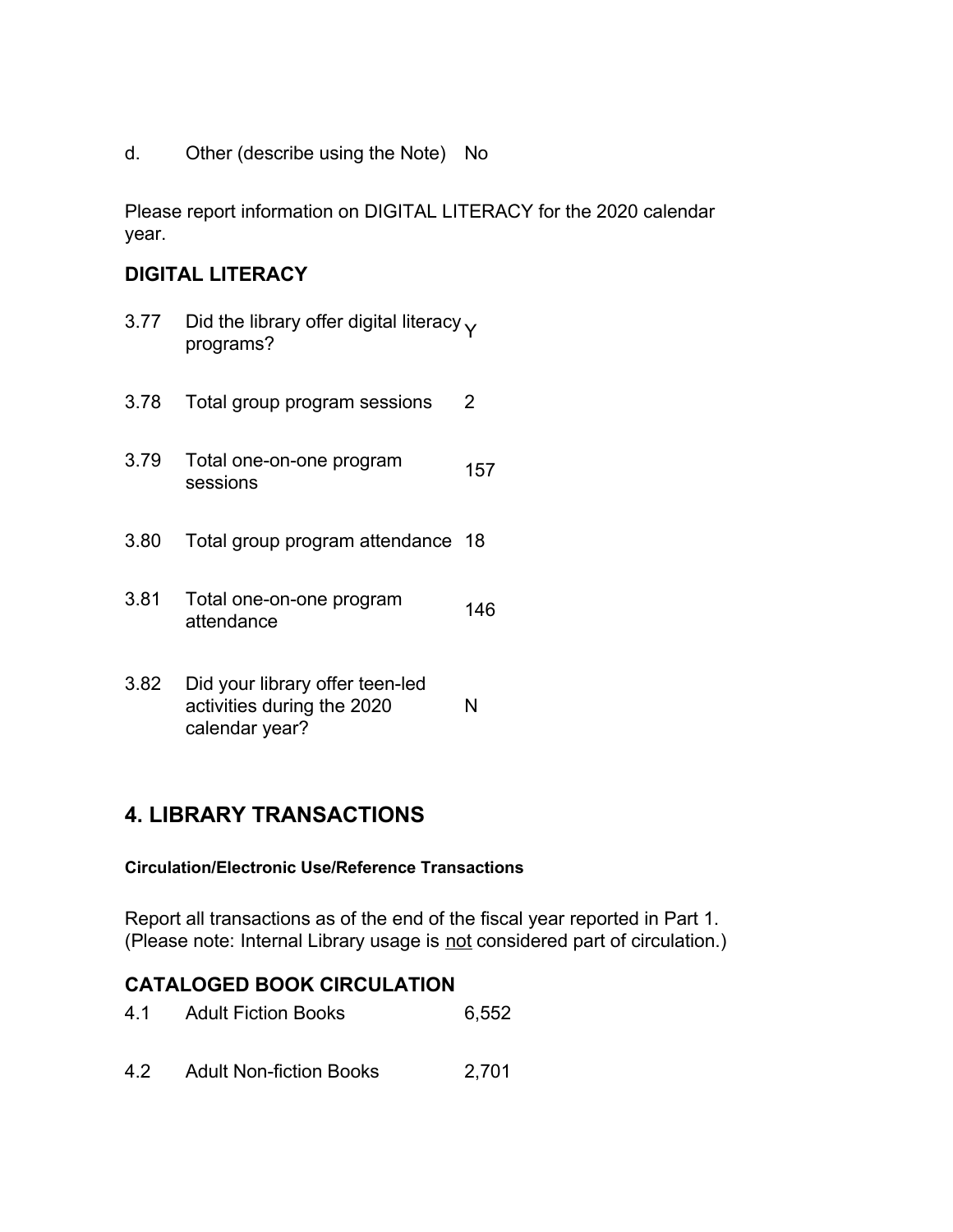d. Other (describe using the Note) No

Please report information on DIGITAL LITERACY for the 2020 calendar year.

## **DIGITAL LITERACY**

- 3.77 Did the library offer digital literacy  $\gamma$  programs?
- 3.78 Total group program sessions 2
- 3.79 Total one-on-one program sessions <sup>157</sup>
- 3.80 Total group program attendance 18
- 3.81 Total one-on-one program attendance <sup>146</sup>
- 3.82 Did your library offer teen-led activities during the 2020 calendar year? N

## **4. LIBRARY TRANSACTIONS**

#### **Circulation/Electronic Use/Reference Transactions**

Report all transactions as of the end of the fiscal year reported in Part 1. (Please note: Internal Library usage is not considered part of circulation.)

#### **CATALOGED BOOK CIRCULATION**

- 4.1 Adult Fiction Books 6,552
- 4.2 Adult Non-fiction Books 2,701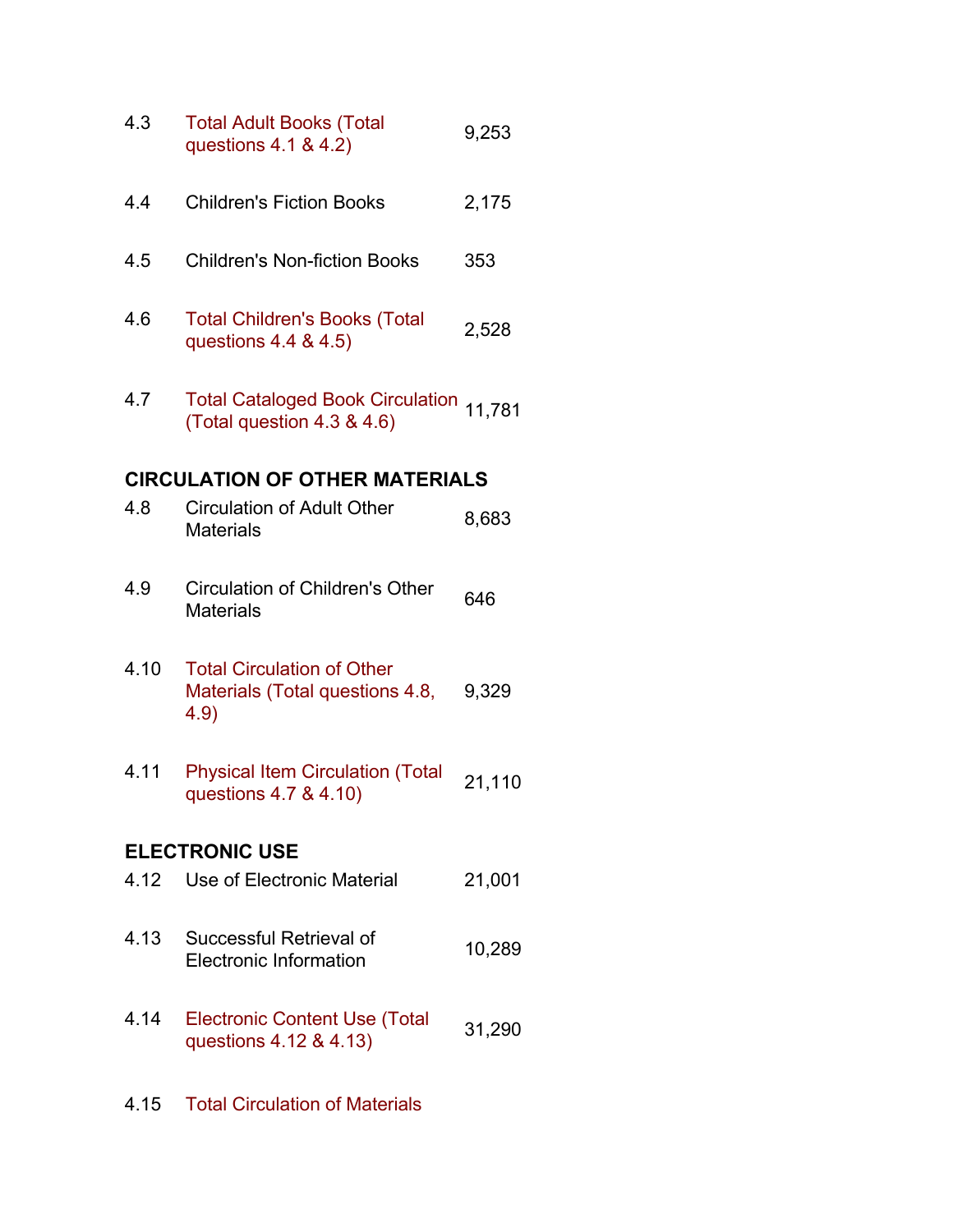| 4.3  | <b>Total Adult Books (Total</b><br>questions 4.1 & 4.2)                      | 9,253  |
|------|------------------------------------------------------------------------------|--------|
| 4.4  | <b>Children's Fiction Books</b>                                              | 2,175  |
| 4.5  | <b>Children's Non-fiction Books</b>                                          | 353    |
| 4.6  | <b>Total Children's Books (Total</b><br>questions 4.4 & 4.5)                 | 2,528  |
| 4.7  | Total Cataloged Book Circulation 11,781<br>(Total question 4.3 & 4.6)        |        |
|      | <b>CIRCULATION OF OTHER MATERIALS</b>                                        |        |
| 4.8  | <b>Circulation of Adult Other</b><br><b>Materials</b>                        | 8,683  |
| 4.9  | Circulation of Children's Other<br><b>Materials</b>                          | 646    |
| 4.10 | <b>Total Circulation of Other</b><br>Materials (Total questions 4.8,<br>4.9) | 9,329  |
| 4.11 | <b>Physical Item Circulation (Total</b><br>questions 4.7 & 4.10)             | 21,110 |
|      | <b>ELECTRONIC USE</b>                                                        |        |
| 4.12 | Use of Electronic Material                                                   | 21,001 |
| 4.13 | Successful Retrieval of<br><b>Electronic Information</b>                     | 10,289 |
| 4.14 | <b>Electronic Content Use (Total</b><br>questions 4.12 & 4.13)               | 31,290 |
| 4.15 | <b>Total Circulation of Materials</b>                                        |        |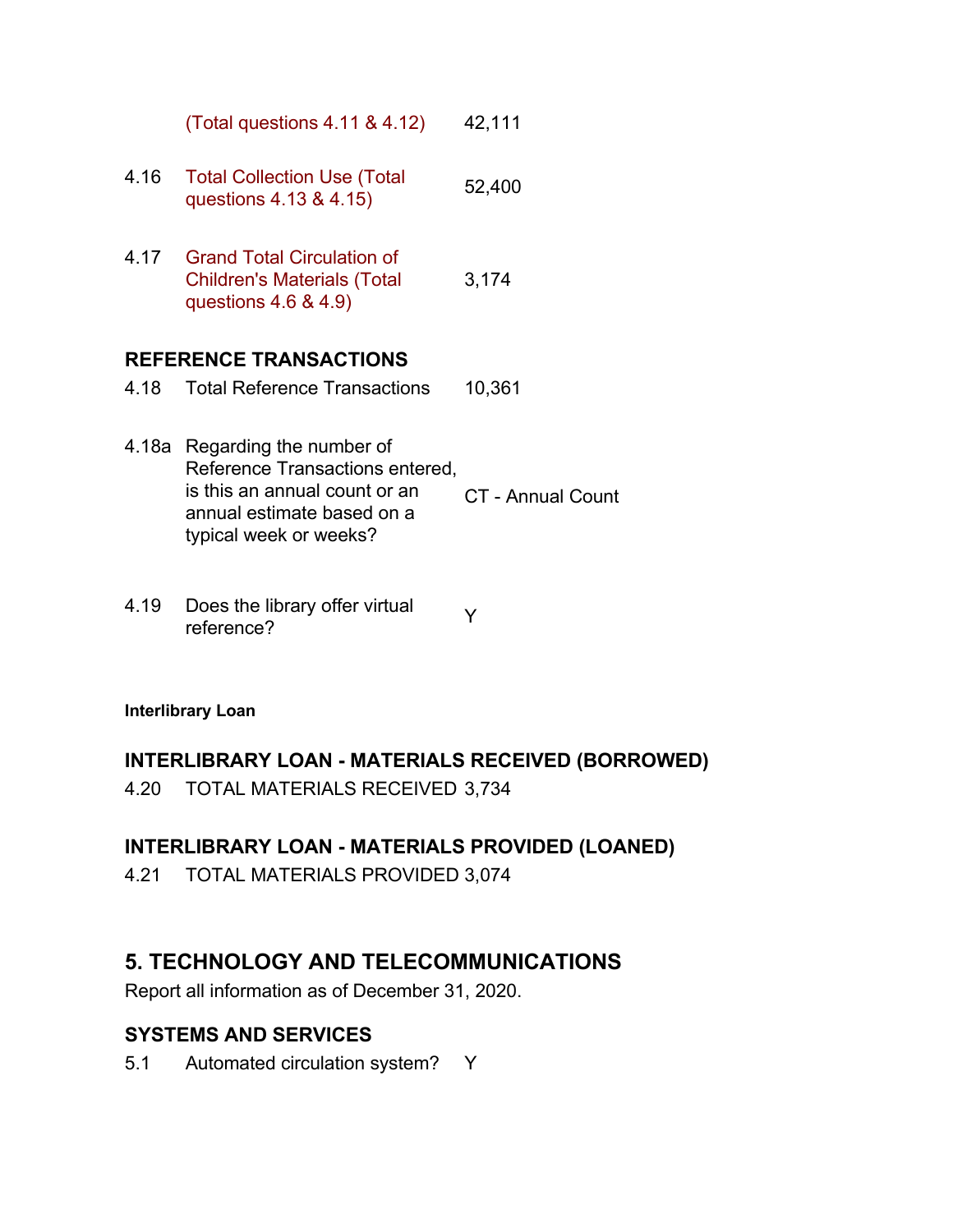|                               | (Total questions 4.11 & 4.12)                                                                 | 42,111 |
|-------------------------------|-----------------------------------------------------------------------------------------------|--------|
| 4.16                          | <b>Total Collection Use (Total</b><br>questions 4.13 & 4.15)                                  | 52,400 |
| 4.17                          | Grand Total Circulation of<br><b>Children's Materials (Total</b><br>questions $4.6$ & $4.9$ ) | 3,174  |
| <b>REFERENCE TRANSACTIONS</b> |                                                                                               |        |
| 4 18                          | <b>Total Reference Transactions</b>                                                           | 10,361 |

- 4.18a Regarding the number of Reference Transactions entered, is this an annual count or an annual estimate based on a typical week or weeks? CT - Annual Count
- 4.19 Does the library offer virtual  $\gamma$ <br>reference?

#### **Interlibrary Loan**

#### **INTERLIBRARY LOAN - MATERIALS RECEIVED (BORROWED)**

4.20 TOTAL MATERIALS RECEIVED 3,734

## **INTERLIBRARY LOAN - MATERIALS PROVIDED (LOANED)**

4.21 TOTAL MATERIALS PROVIDED 3,074

## **5. TECHNOLOGY AND TELECOMMUNICATIONS**

Report all information as of December 31, 2020.

## **SYSTEMS AND SERVICES**

5.1 Automated circulation system? Y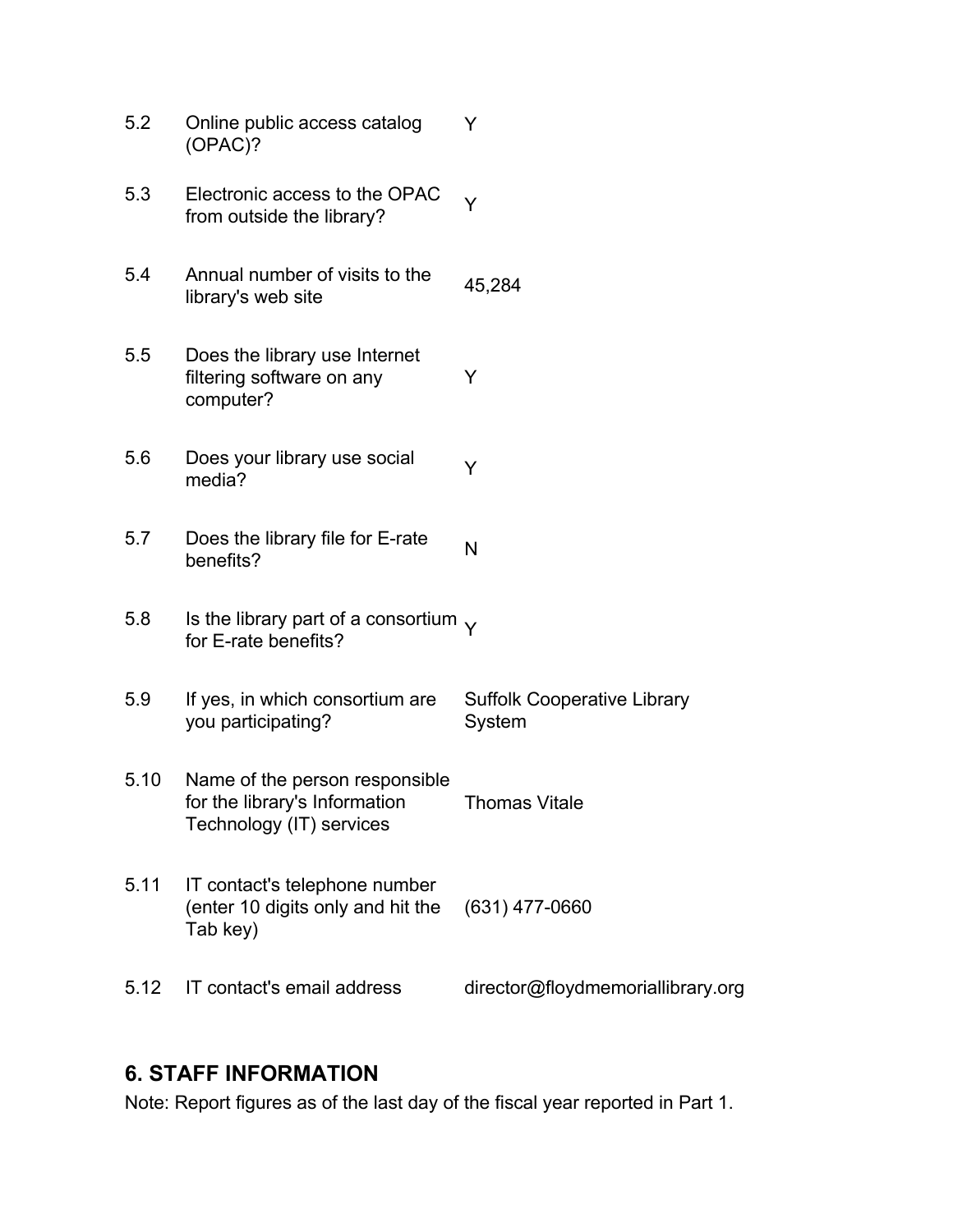| 5.2  | Online public access catalog<br>(OPAC)?                                                     | Y                                            |
|------|---------------------------------------------------------------------------------------------|----------------------------------------------|
| 5.3  | Electronic access to the OPAC<br>from outside the library?                                  | Y                                            |
| 5.4  | Annual number of visits to the<br>library's web site                                        | 45,284                                       |
| 5.5  | Does the library use Internet<br>filtering software on any<br>computer?                     | Y                                            |
| 5.6  | Does your library use social<br>media?                                                      | Y                                            |
| 5.7  | Does the library file for E-rate<br>benefits?                                               | N                                            |
| 5.8  | Is the library part of a consortium $\sqrt{}$<br>for E-rate benefits?                       |                                              |
| 5.9  | If yes, in which consortium are<br>you participating?                                       | <b>Suffolk Cooperative Library</b><br>System |
| 5.10 | Name of the person responsible<br>for the library's Information<br>Technology (IT) services | Thomas Vitale                                |
| 5.11 | IT contact's telephone number<br>(enter 10 digits only and hit the<br>Tab key)              | $(631)$ 477-0660                             |
| 5.12 | IT contact's email address                                                                  | director@floydmemoriallibrary.org            |

## **6. STAFF INFORMATION**

Note: Report figures as of the last day of the fiscal year reported in Part 1.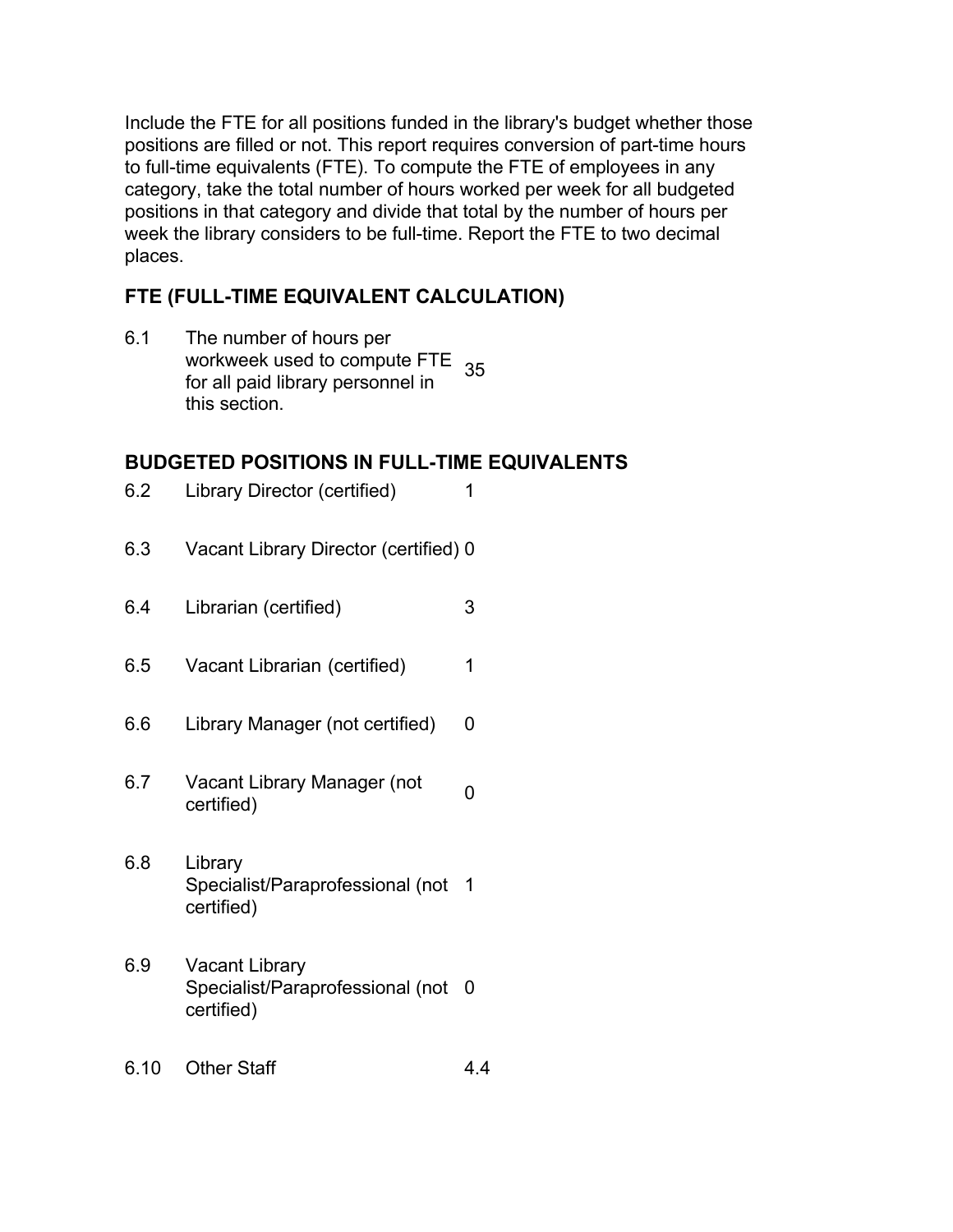Include the FTE for all positions funded in the library's budget whether those positions are filled or not. This report requires conversion of part-time hours to full-time equivalents (FTE). To compute the FTE of employees in any category, take the total number of hours worked per week for all budgeted positions in that category and divide that total by the number of hours per week the library considers to be full-time. Report the FTE to two decimal places.

## **FTE (FULL-TIME EQUIVALENT CALCULATION)**

6.1 The number of hours per workweek used to compute FTE<br>for all poid librery personnel in 35 for all paid library personnel in this section.

## **BUDGETED POSITIONS IN FULL-TIME EQUIVALENTS**

| 6.2 | Library Director (certified)                                            | 1 |
|-----|-------------------------------------------------------------------------|---|
| 6.3 | Vacant Library Director (certified) 0                                   |   |
| 6.4 | Librarian (certified)                                                   | 3 |
| 6.5 | Vacant Librarian (certified)                                            | 1 |
| 6.6 | Library Manager (not certified)                                         | 0 |
| 6.7 | Vacant Library Manager (not<br>certified)                               | 0 |
| 6.8 | Library<br>Specialist/Paraprofessional (not<br>certified)               | 1 |
| 6.9 | <b>Vacant Library</b><br>Specialist/Paraprofessional (not<br>certified) | 0 |
|     |                                                                         |   |

6.10 Other Staff 4.4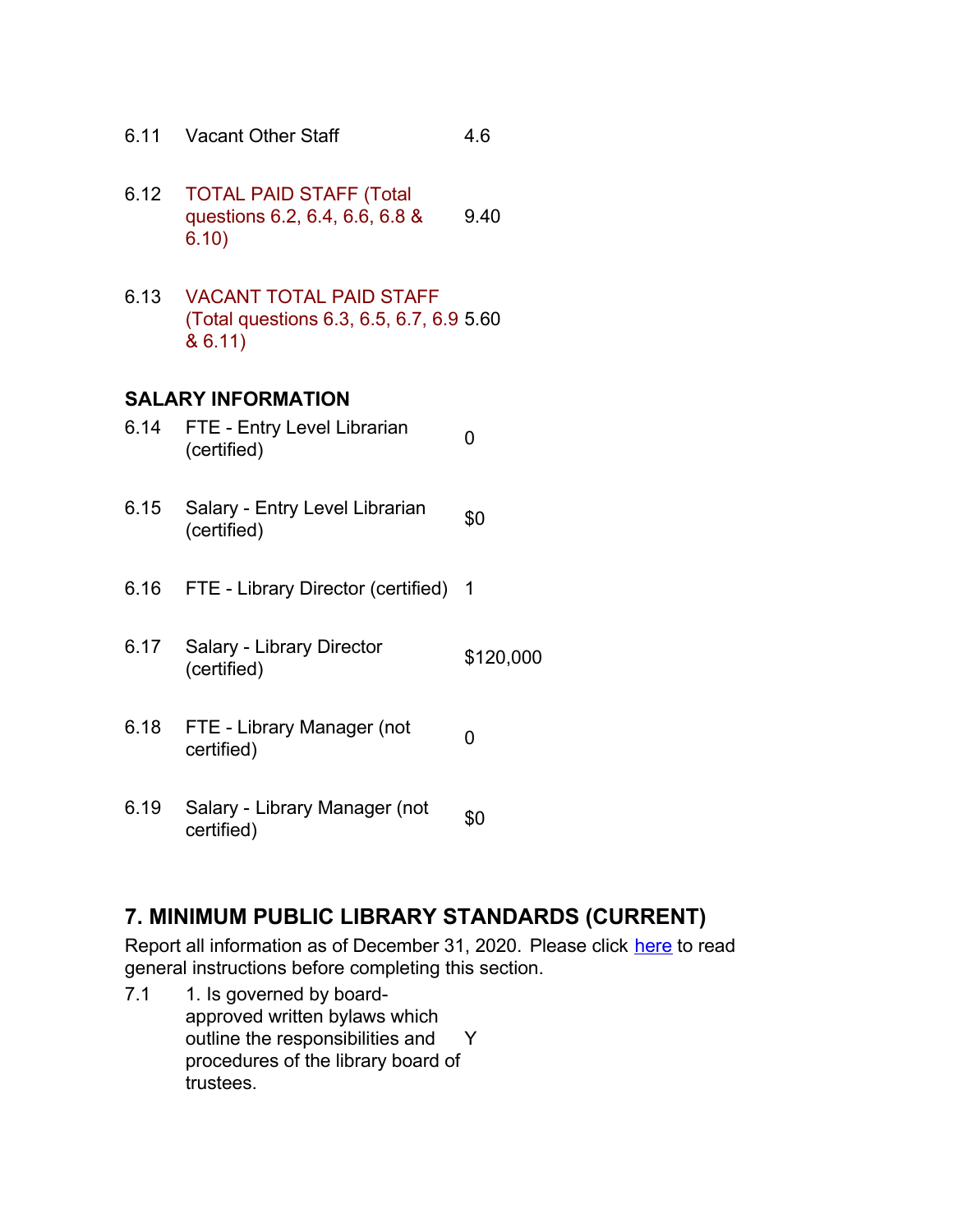- 6.11 Vacant Other Staff 4.6
- 6.12 TOTAL PAID STAFF (Total questions 6.2, 6.4, 6.6, 6.8 & 6.10) 9.40
- 6.13 VACANT TOTAL PAID STAFF (Total questions 6.3, 6.5, 6.7, 6.9 5.60 & 6.11)

#### **SALARY INFORMATION**

- 6.14 FTE Entry Level Librarian (certified) <sup>0</sup>
- 6.15 Salary Entry Level Librarian  $$0$  (certified)
- 6.16 FTE Library Director (certified) 1
- 6.17 Salary Library Director (certified) \$120,000
- 6.18 FTE Library Manager (not opertified)
- 6.19 Salary Library Manager (not  $\int_{0}^{80}$

## **7. MINIMUM PUBLIC LIBRARY STANDARDS (CURRENT)**

Report all information as of December 31, 2020. Please click here to read general instructions before completing this section.

7.1 1. Is governed by boardapproved written bylaws which outline the responsibilities and procedures of the library board of trustees. Y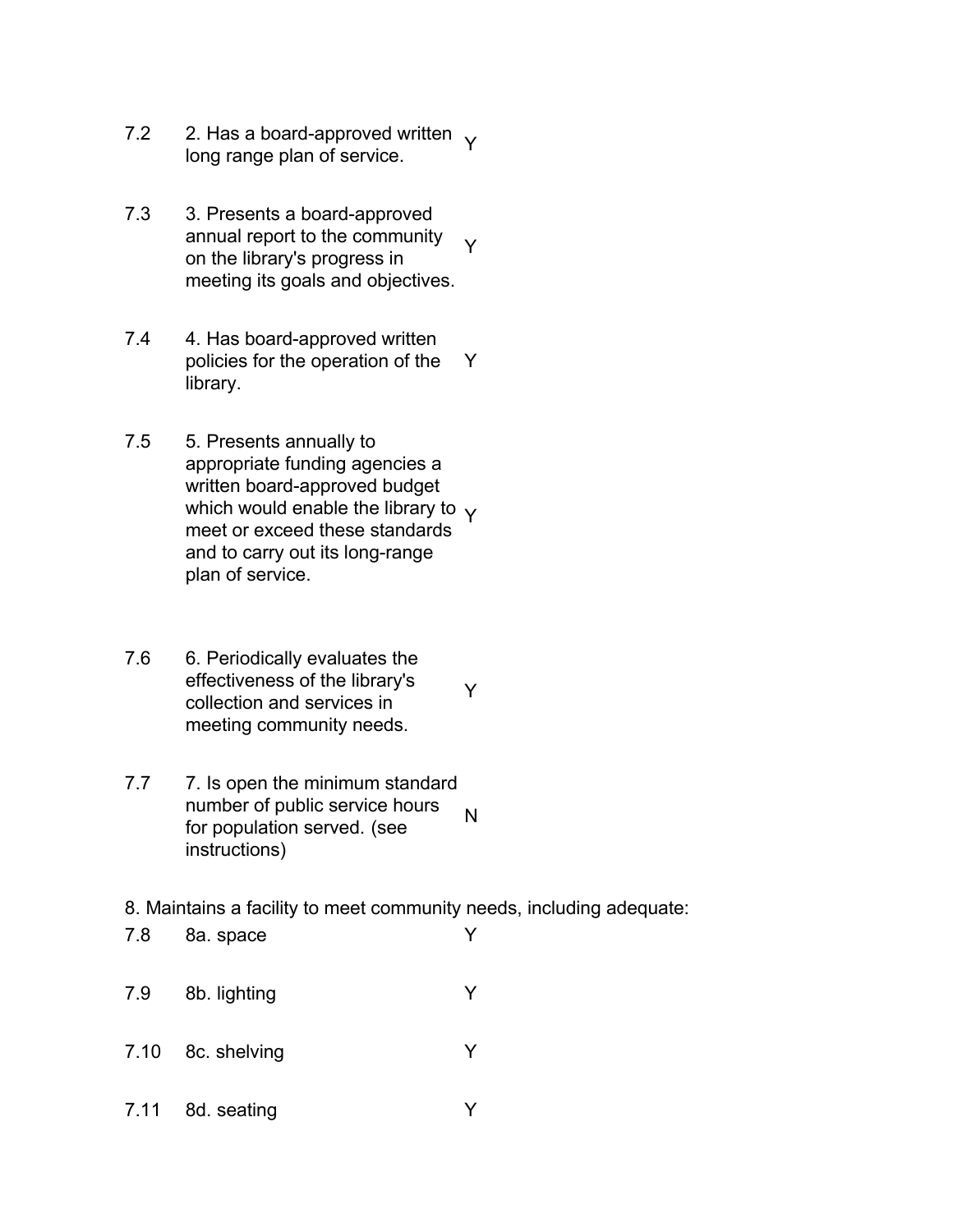- 7.2 2. Has a board-approved written  $\gamma$ long range plan of service.
- 7.3 3. Presents a board-approved annual report to the community on the library's progress in meeting its goals and objectives. Y
- 7.4 4. Has board-approved written policies for the operation of the library. Y
- 7.5 5. Presents annually to appropriate funding agencies a written board-approved budget which would enable the library to  $\gamma$ meet or exceed these standards and to carry out its long-range plan of service.
- 7.6 6. Periodically evaluates the effectiveness of the library's collection and services in meeting community needs. Y
- 7.7 7. Is open the minimum standard number of public service hours for population served. (see instructions) N
- 8. Maintains a facility to meet community needs, including adequate:
- 7.8 8a. space Y
- 7.9 8b. lighting Y
- 7.10 8c. shelving Y
- 7.11 8d. seating Y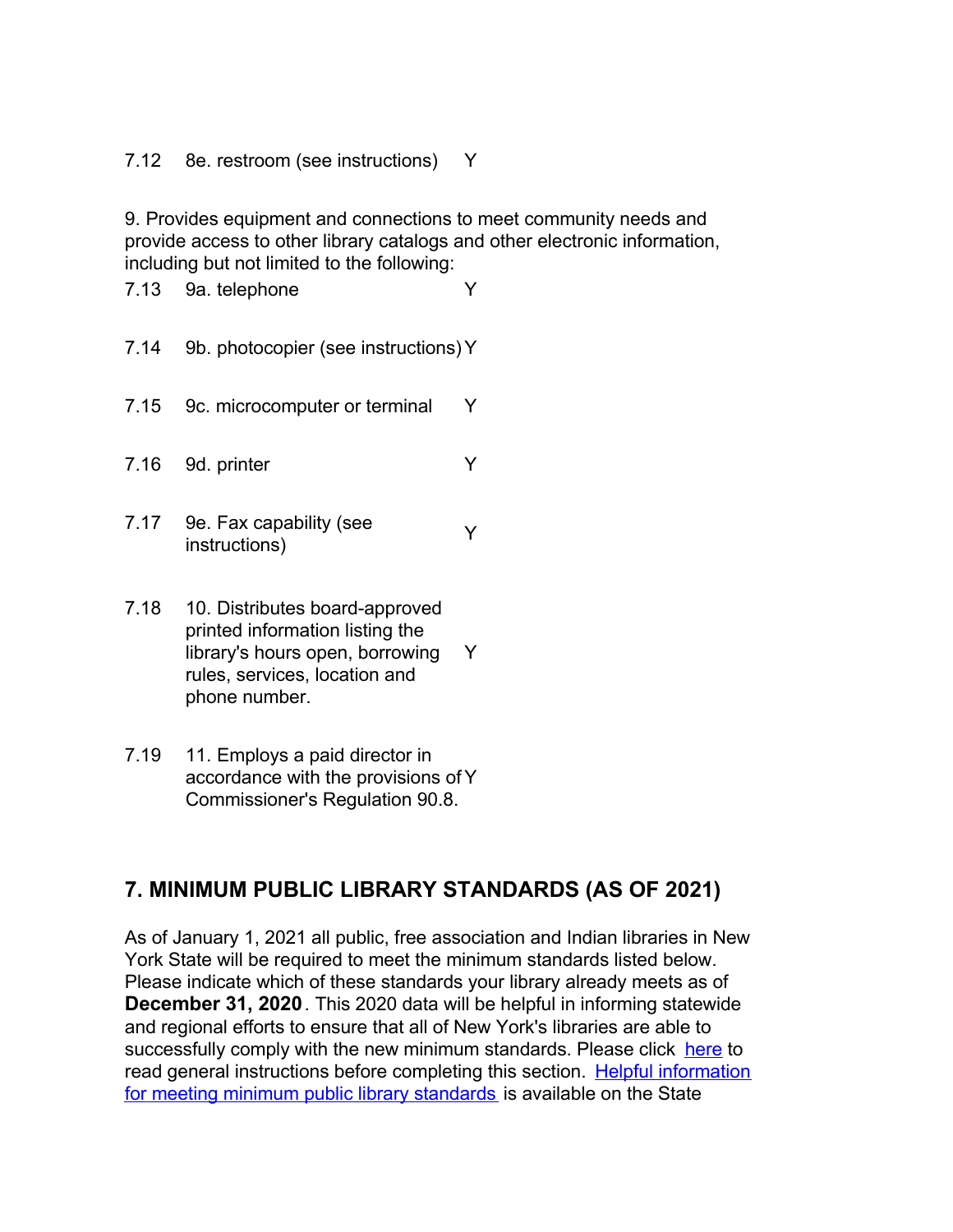7.12 8e. restroom (see instructions) Y

9. Provides equipment and connections to meet community needs and provide access to other library catalogs and other electronic information, including but not limited to the following:

7.13 9a. telephone Y

- 7.14 9b. photocopier (see instructions)Y
- 7.15 9c. microcomputer or terminal Y

7.16 9d. printer Y

- 7.17 9e. Fax capability (see be. Fax capability (see  $\gamma$ )
- 7.18 10. Distributes board-approved printed information listing the library's hours open, borrowing rules, services, location and phone number. Y
- 7.19 11. Employs a paid director in accordance with the provisions of Y Commissioner's Regulation 90.8.

## **7. MINIMUM PUBLIC LIBRARY STANDARDS (AS OF 2021)**

As of January 1, 2021 all public, free association and Indian libraries in New York State will be required to meet the minimum standards listed below. Please indicate which of these standards your library already meets as of **December 31, 2020**. This 2020 data will be helpful in informing statewide and regional efforts to ensure that all of New York's libraries are able to successfully comply with the new minimum standards. Please click here to [read general instructions before completing this section. Helpful information](http://www.nysl.nysed.gov/libdev/helpful/index.html) for meeting minimum public library standards is available on the State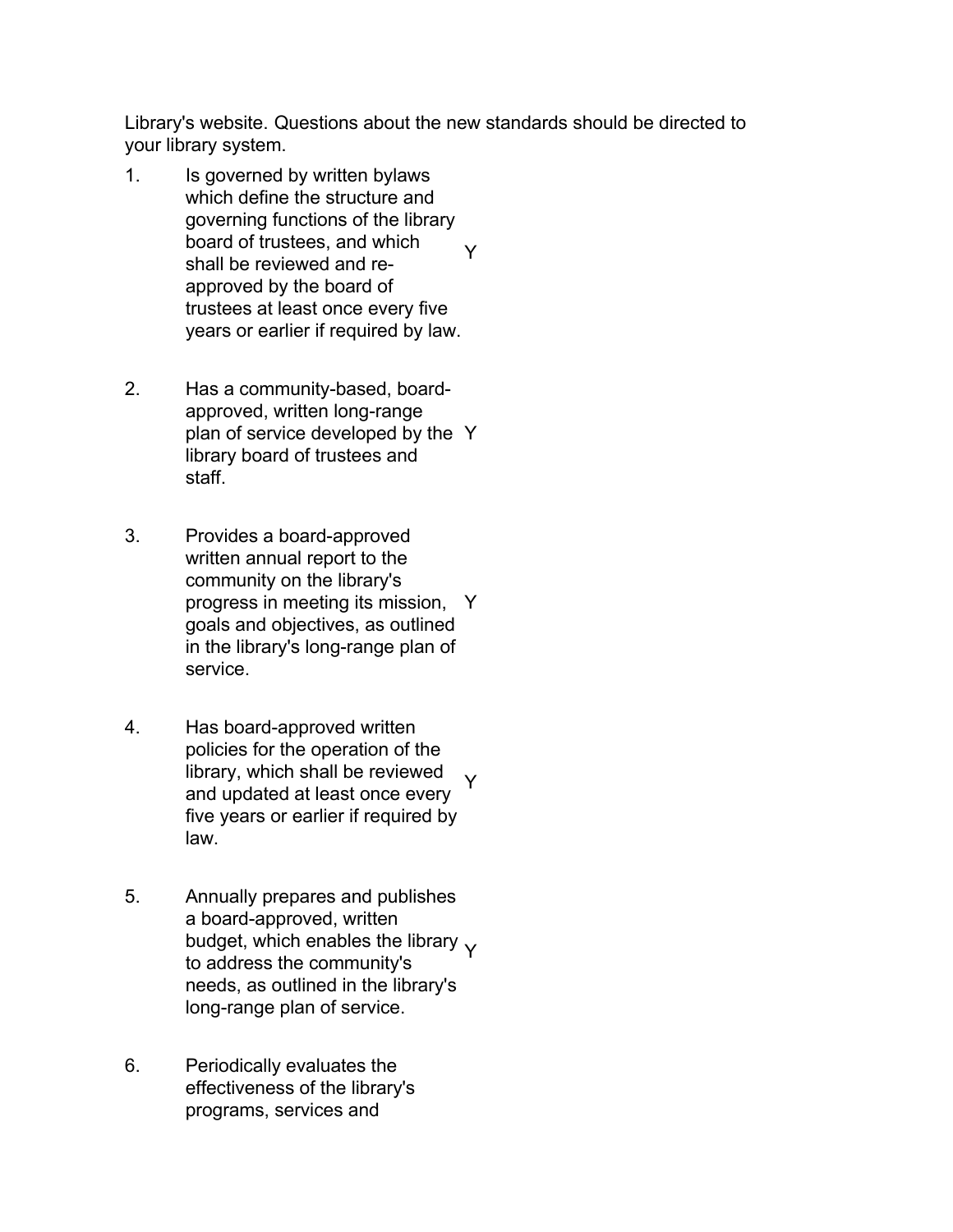Library's website. Questions about the new standards should be directed to your library system.

- 1. Is governed by written bylaws which define the structure and governing functions of the library board of trustees, and which shall be reviewed and reapproved by the board of trustees at least once every five years or earlier if required by law. Y
- 2. Has a community-based, boardapproved, written long-range plan of service developed by the Y library board of trustees and staff.
- 3. Provides a board-approved written annual report to the community on the library's progress in meeting its mission, Y goals and objectives, as outlined in the library's long-range plan of service.
- 4. Has board-approved written policies for the operation of the library, which shall be reviewed and updated at least once every five years or earlier if required by law. Y
- 5. Annually prepares and publishes a board-approved, written budget, which enables the library  $\gamma$ to address the community's needs, as outlined in the library's long-range plan of service.
- 6. Periodically evaluates the effectiveness of the library's programs, services and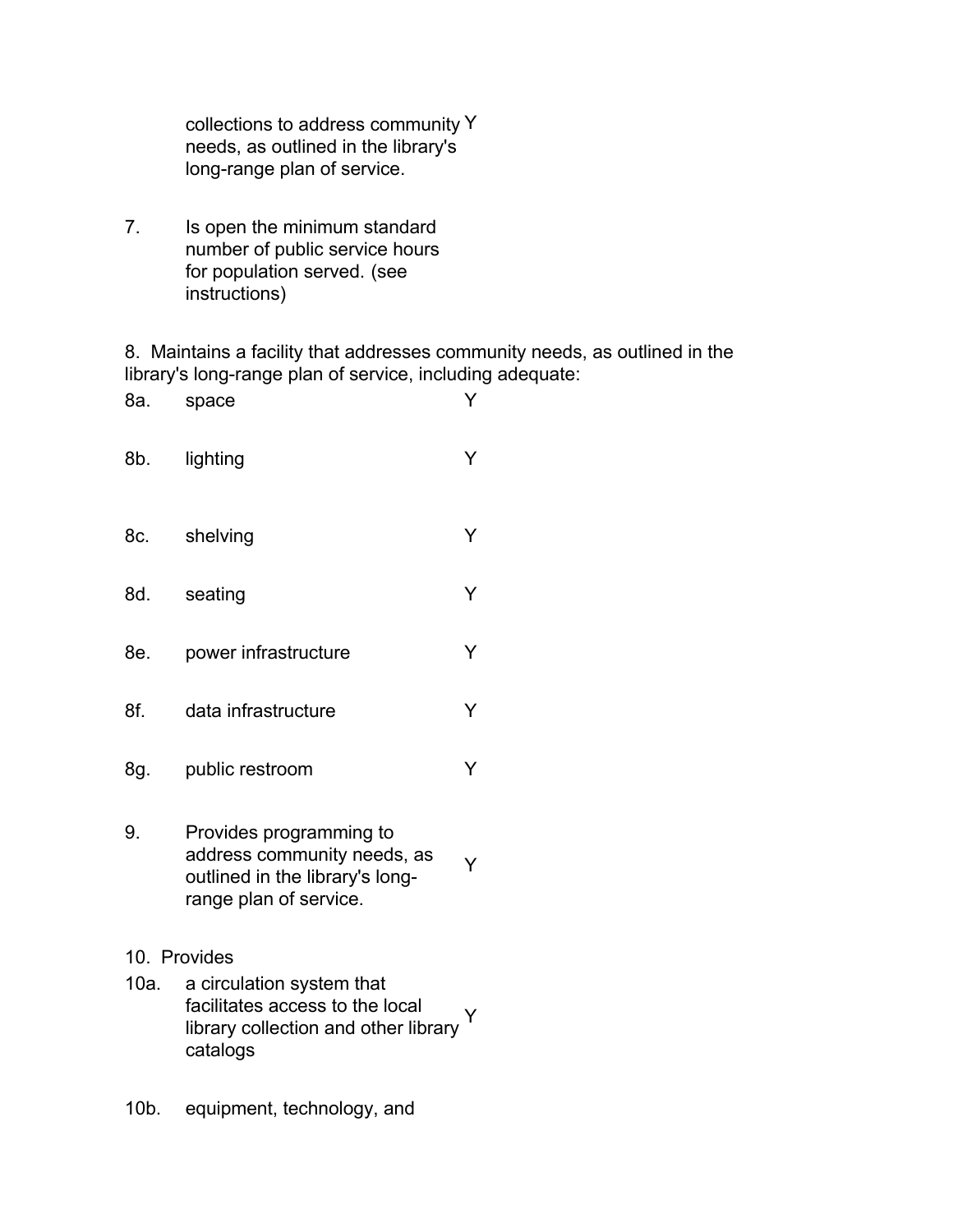collections to address community Y needs, as outlined in the library's long-range plan of service.

7. Is open the minimum standard number of public service hours for population served. (see instructions)

8. Maintains a facility that addresses community needs, as outlined in the library's long-range plan of service, including adequate:

| 8а.          | space                                                                                                               | Y |
|--------------|---------------------------------------------------------------------------------------------------------------------|---|
| 8b.          | lighting                                                                                                            | Y |
| 8c.          | shelving                                                                                                            | Y |
| 8d.          | seating                                                                                                             | Y |
| 8e.          | power infrastructure                                                                                                | Y |
| 8f.          | data infrastructure                                                                                                 | Y |
| 8g.          | public restroom                                                                                                     | Y |
| 9.           | Provides programming to<br>address community needs, as<br>outlined in the library's long-<br>range plan of service. | Y |
| 10. Provides |                                                                                                                     |   |
| 10a.         | a circulation system that<br>facilitates access to the local<br>library collection and other library<br>catalogs    |   |

10b. equipment, technology, and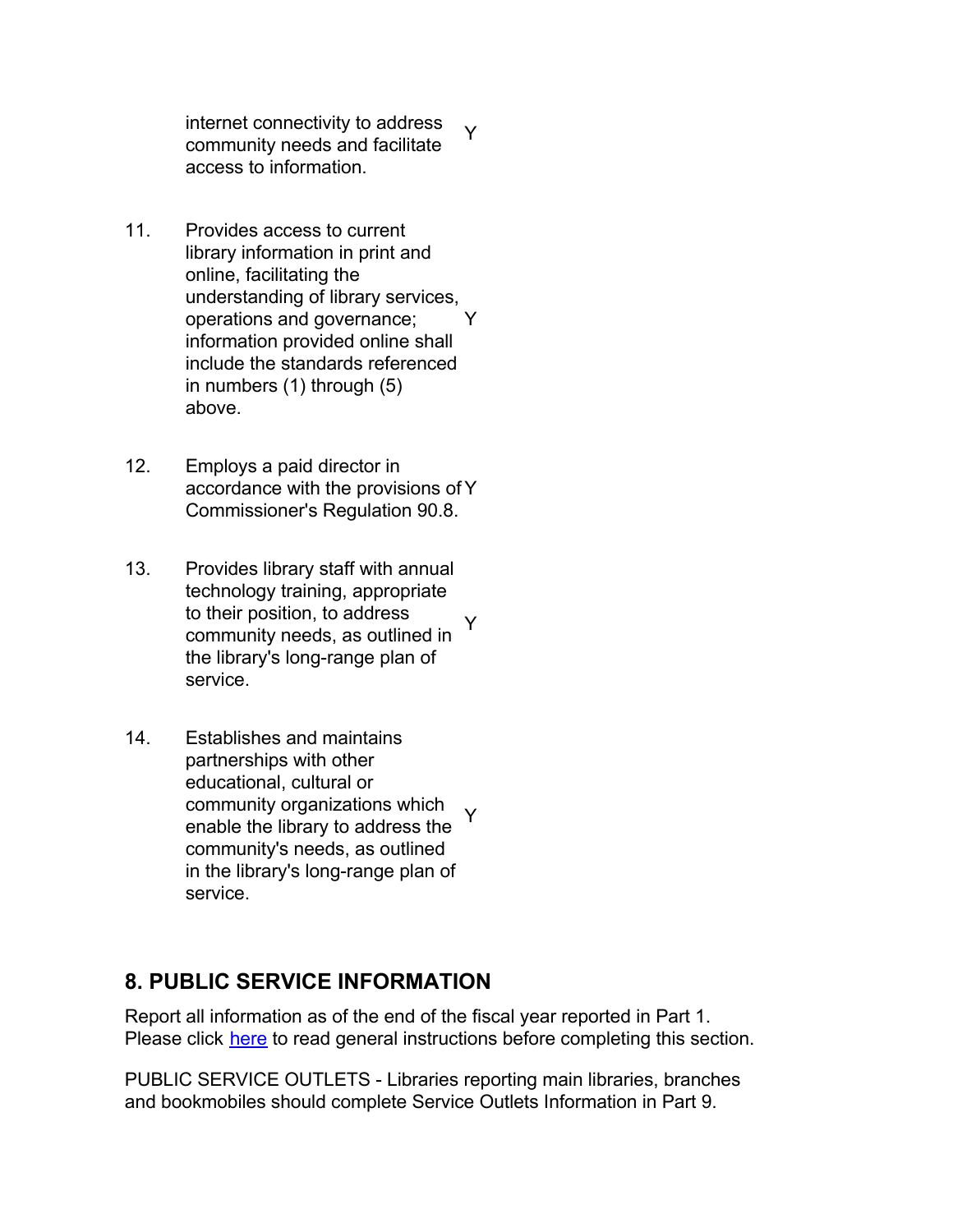internet connectivity to address community needs and facilitate access to information. Y

- 11. Provides access to current library information in print and online, facilitating the understanding of library services, operations and governance; information provided online shall include the standards referenced in numbers (1) through (5) above. Y
- 12. Employs a paid director in accordance with the provisions of Y Commissioner's Regulation 90.8.
- 13. Provides library staff with annual technology training, appropriate to their position, to address community needs, as outlined in the library's long-range plan of service. Y
- 14. Establishes and maintains partnerships with other educational, cultural or community organizations which enable the library to address the community's needs, as outlined in the library's long-range plan of service. Y

## **8. PUBLIC SERVICE INFORMATION**

Report all information as of the end of the fiscal year reported in Part 1. Please click here to read general instructions before completing this section.

PUBLIC SERVICE OUTLETS - Libraries reporting main libraries, branches and bookmobiles should complete Service Outlets Information in Part 9.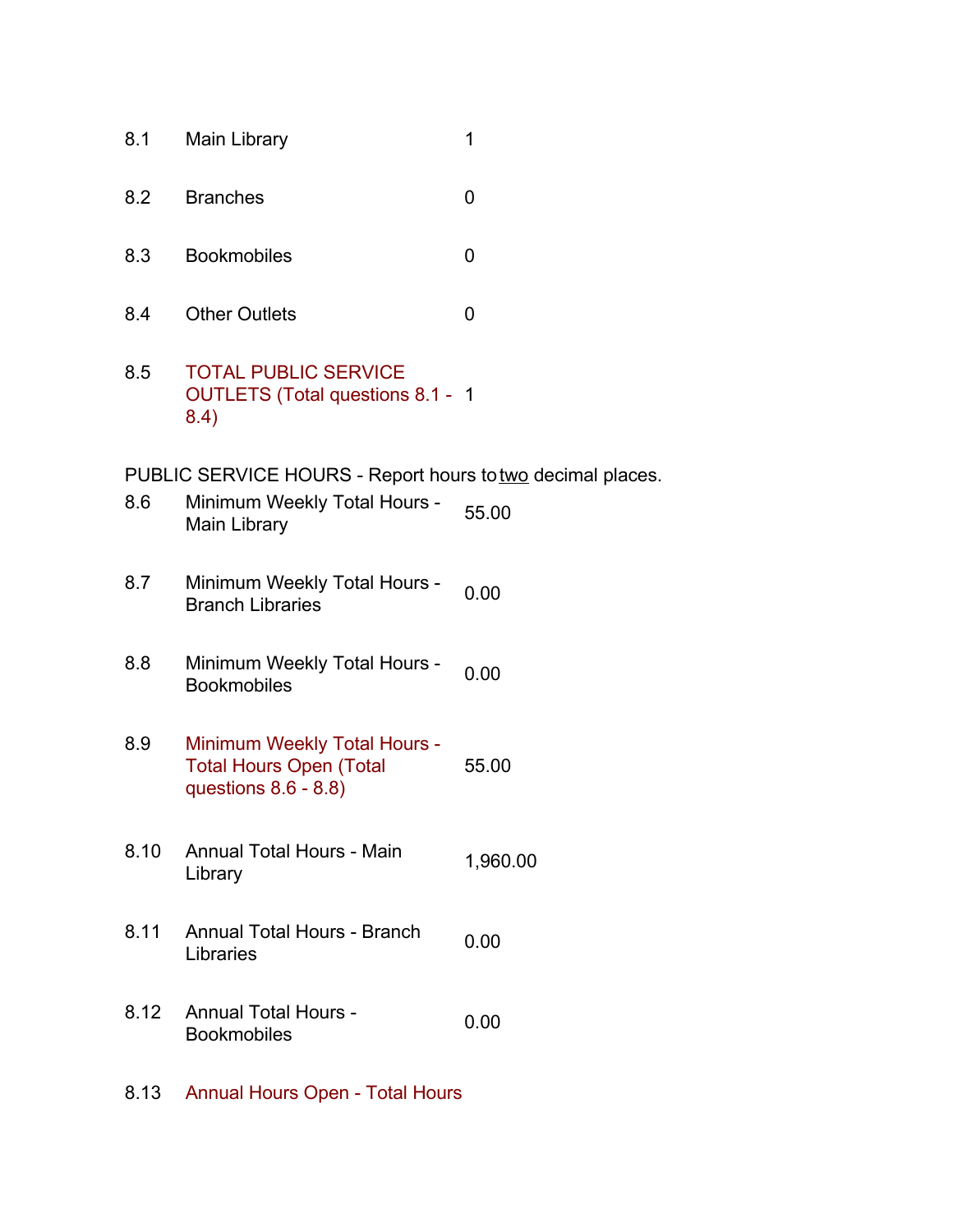- 8.1 Main Library 1
- 8.2 Branches 0
- 8.3 Bookmobiles 0
- 8.4 Other Outlets 0
- 8.5 TOTAL PUBLIC SERVICE OUTLETS (Total questions 8.1 - 1 8.4)

PUBLIC SERVICE HOURS - Report hours to two decimal places.

- 8.6 Minimum Weekly Total Hours 55.00<br>Main Library
- 8.7 Minimum Weekly Total Hours **Branch Libraries** 10tal 110th s<sup>-</sup> 0.00
- 8.8 Minimum Weekly Total Hours 0.00<br>Bookmobiles
- 8.9 Minimum Weekly Total Hours Total Hours Open (Total questions 8.6 - 8.8) 55.00
- 8.10 Annual Total Hours Main 1,960.00
- 8.11 Annual Total Hours Branch Libraries 0.00
- 8.12 Annual Total Hours Annual Total Hours - 0.00<br>Bookmobiles
- 8.13 Annual Hours Open Total Hours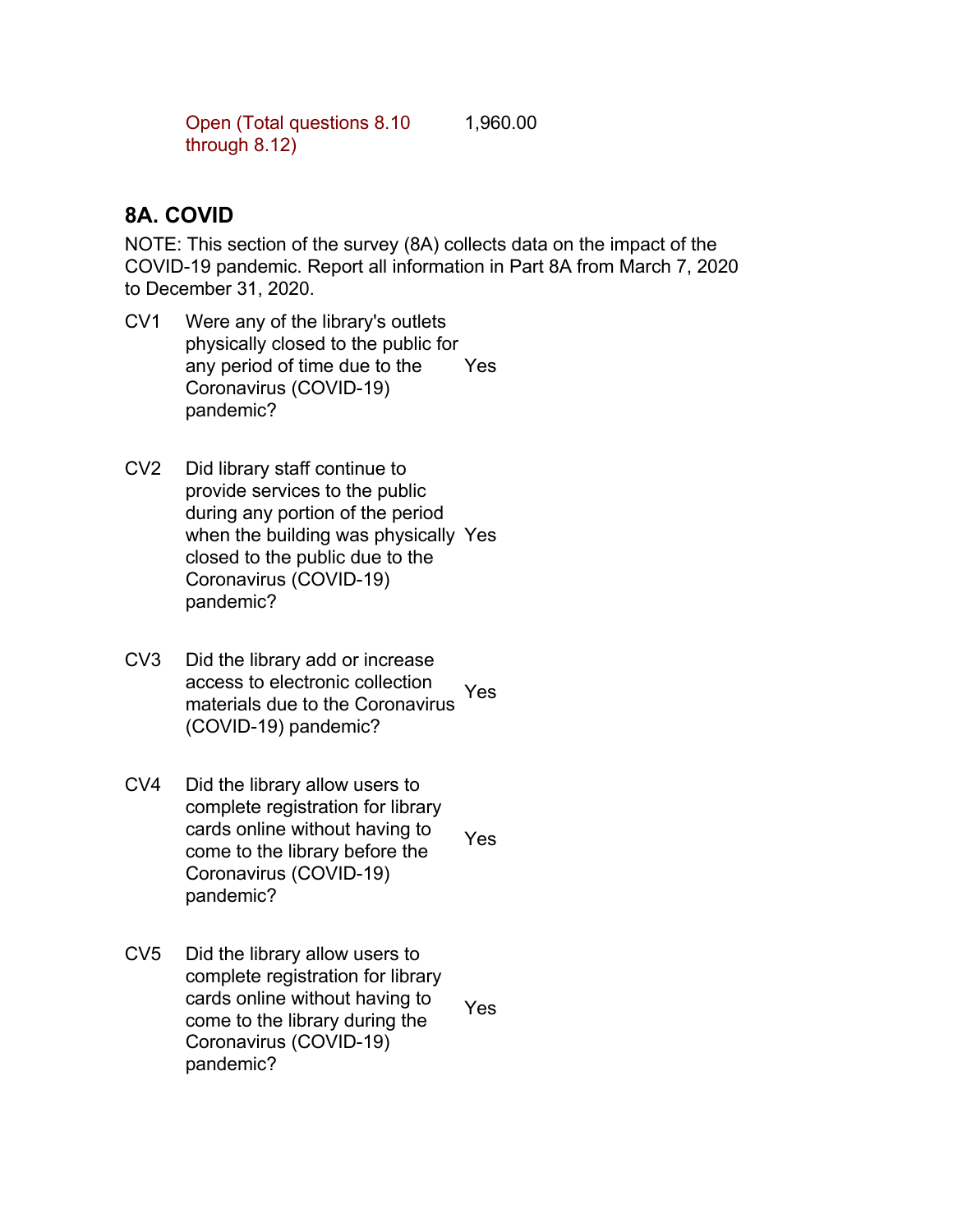Open (Total questions 8.10 through 8.12) 1,960.00

## **8A. COVID**

NOTE: This section of the survey (8A) collects data on the impact of the COVID-19 pandemic. Report all information in Part 8A from March 7, 2020 to December 31, 2020.

- CV1 Were any of the library's outlets physically closed to the public for any period of time due to the Coronavirus (COVID-19) pandemic? Yes
- CV2 Did library staff continue to provide services to the public during any portion of the period when the building was physically Yes closed to the public due to the Coronavirus (COVID-19) pandemic?
- CV3 Did the library add or increase access to electronic collection materials due to the Coronavirus (COVID-19) pandemic? Yes
- CV4 Did the library allow users to complete registration for library cards online without having to come to the library before the Coronavirus (COVID-19) pandemic? Yes
- CV5 Did the library allow users to complete registration for library cards online without having to come to the library during the Coronavirus (COVID-19) pandemic? Yes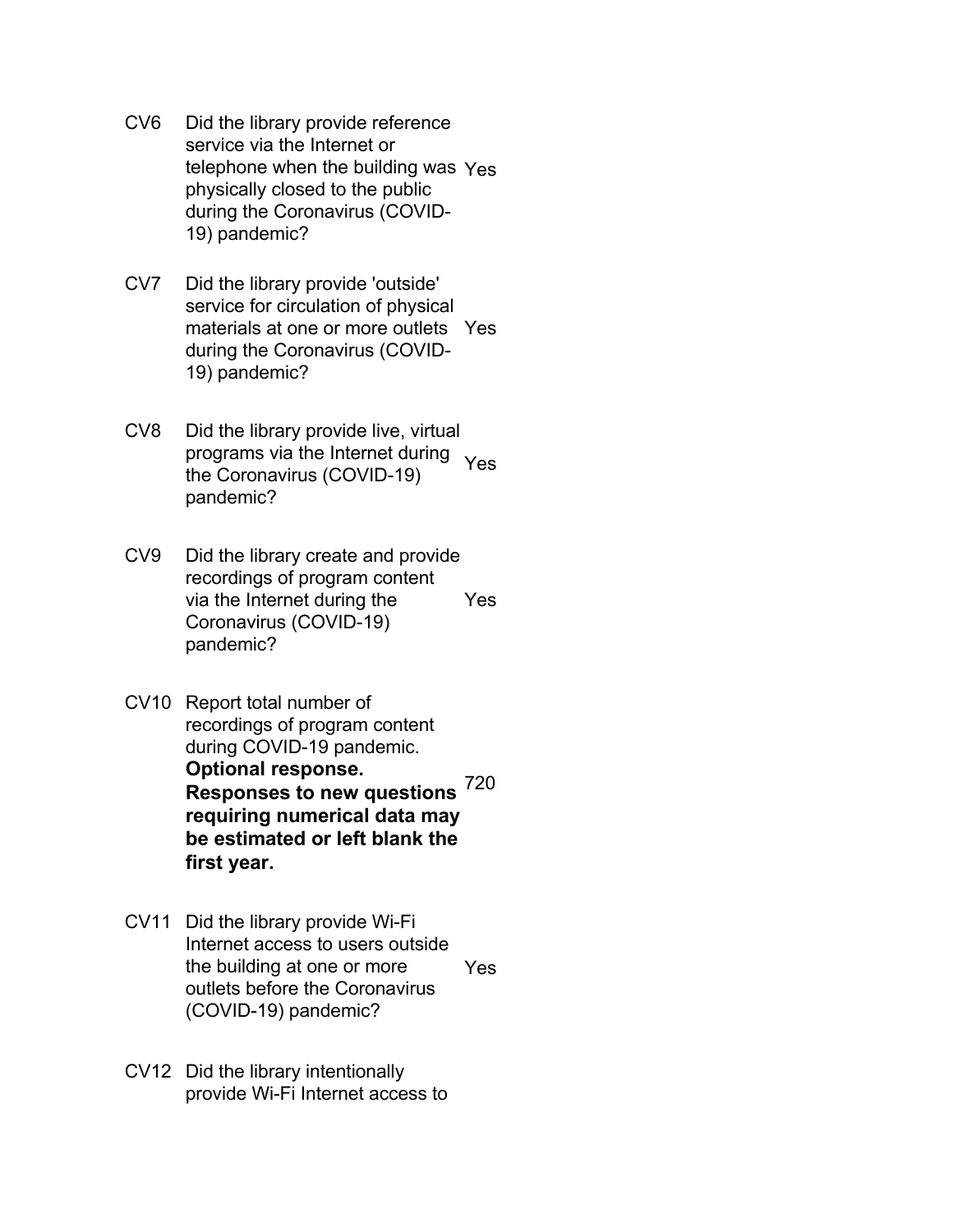- CV6 Did the library provide reference service via the Internet or telephone when the building was Yes physically closed to the public during the Coronavirus (COVID-19) pandemic?
- CV7 Did the library provide 'outside' service for circulation of physical materials at one or more outlets Yes during the Coronavirus (COVID-19) pandemic?
- CV8 Did the library provide live, virtual programs via the Internet during Yes the Coronavirus (COVID-19) pandemic?
- CV9 Did the library create and provide recordings of program content via the Internet during the Coronavirus (COVID-19) pandemic? Yes
- CV10 Report total number of recordings of program content during COVID-19 pandemic. **Optional response. Responses to new questions** 720 **requiring numerical data may be estimated or left blank the first year.**
- CV11 Did the library provide Wi-Fi Internet access to users outside the building at one or more outlets before the Coronavirus (COVID-19) pandemic? Yes
- CV12 Did the library intentionally provide Wi-Fi Internet access to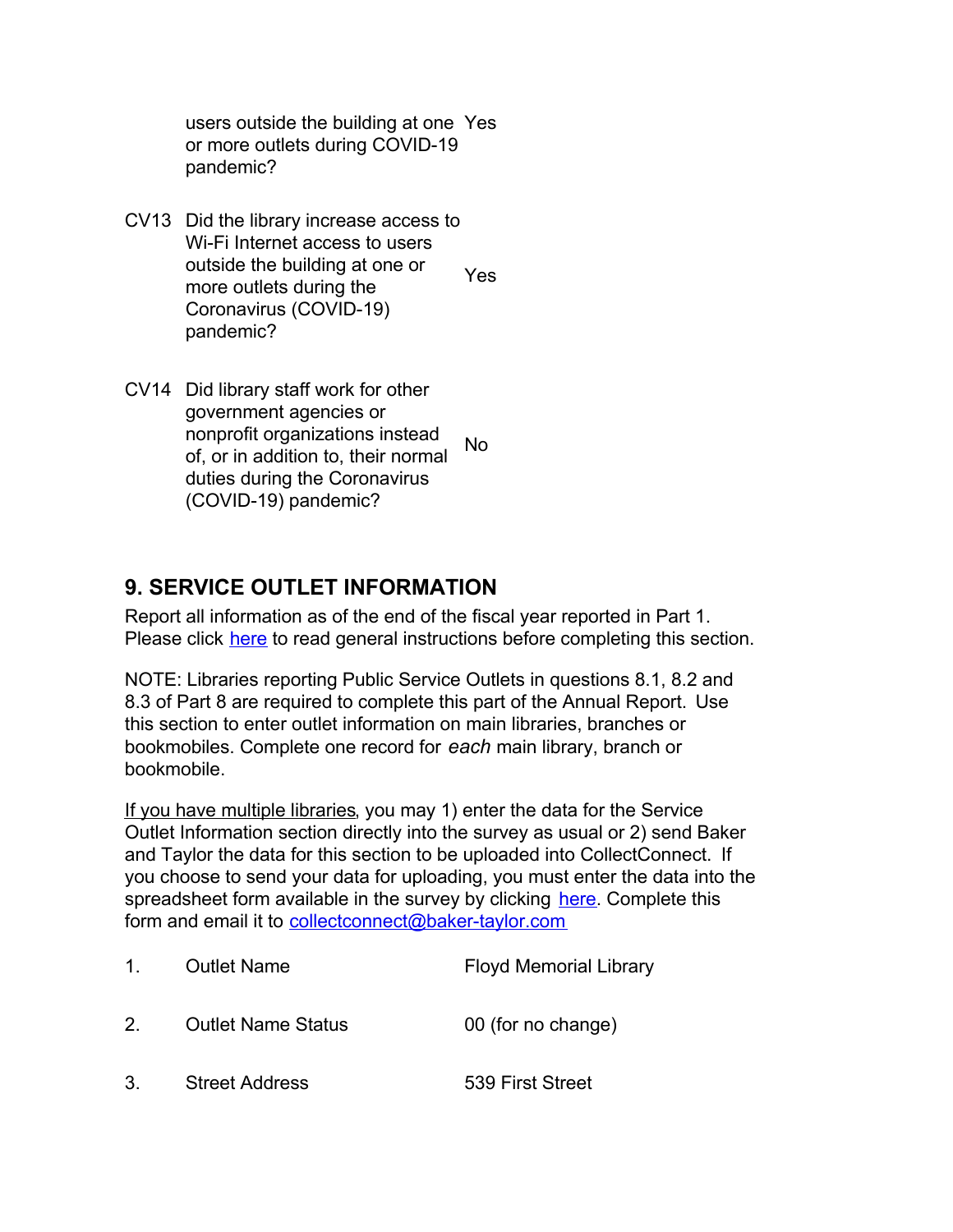users outside the building at one Yes or more outlets during COVID-19 pandemic?

- CV13 Did the library increase access to Wi-Fi Internet access to users outside the building at one or more outlets during the Coronavirus (COVID-19) pandemic? Yes
- CV14 Did library staff work for other government agencies or nonprofit organizations instead of, or in addition to, their normal duties during the Coronavirus (COVID-19) pandemic? No

## **9. SERVICE OUTLET INFORMATION**

Report all information as of the end of the fiscal year reported in Part 1. Please click here to read general instructions before completing this section.

NOTE: Libraries reporting Public Service Outlets in questions 8.1, 8.2 and 8.3 of Part 8 are required to complete this part of the Annual Report. Use this section to enter outlet information on main libraries, branches or bookmobiles. Complete one record for *each* main library, branch or bookmobile.

If you have multiple libraries, you may 1) enter the data for the Service Outlet Information section directly into the survey as usual or 2) send Baker and Taylor the data for this section to be uploaded into CollectConnect. If you choose to send your data for uploading, you must enter the data into the spreadsheet form available in the survey by clicking [here](https://collectconnect.baker-taylor.com/NYOutlet/2020/**OrgID**.xlsx). Complete this form and email it to [collectconnect@baker-taylor.com](mailto:collectconnect@baker-taylor.com)

| $1_{-}$ | <b>Outlet Name</b>        | <b>Floyd Memorial Library</b> |
|---------|---------------------------|-------------------------------|
| 2.      | <b>Outlet Name Status</b> | 00 (for no change)            |
| 3.      | <b>Street Address</b>     | 539 First Street              |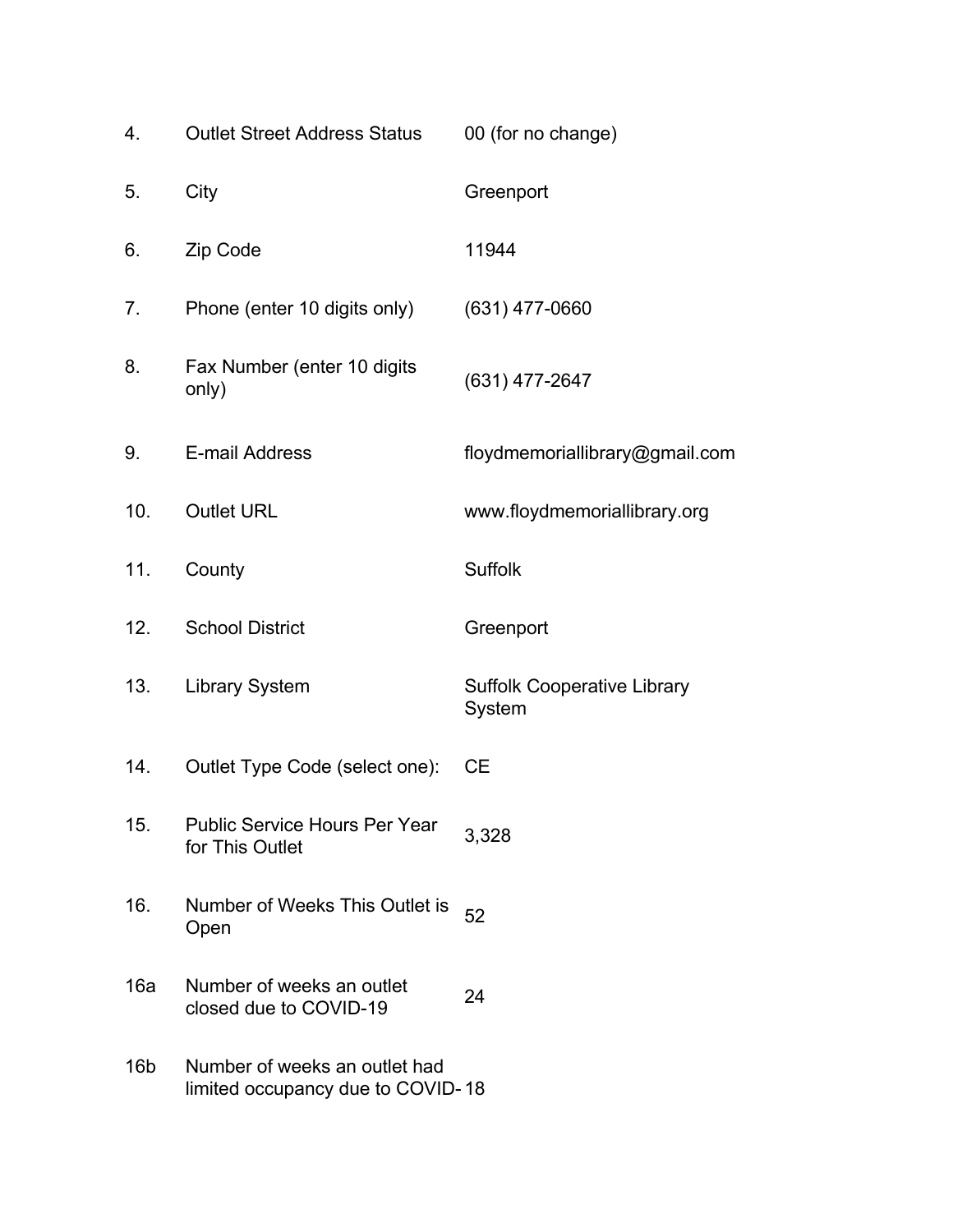| 4.              | <b>Outlet Street Address Status</b>                                | 00 (for no change)                           |
|-----------------|--------------------------------------------------------------------|----------------------------------------------|
| 5.              | City                                                               | Greenport                                    |
| 6.              | Zip Code                                                           | 11944                                        |
| 7.              | Phone (enter 10 digits only)                                       | $(631)$ 477-0660                             |
| 8.              | Fax Number (enter 10 digits<br>only)                               | $(631)$ 477-2647                             |
| 9.              | E-mail Address                                                     | floydmemoriallibrary@gmail.com               |
| 10.             | <b>Outlet URL</b>                                                  | www.floydmemoriallibrary.org                 |
| 11.             | County                                                             | <b>Suffolk</b>                               |
| 12.             | <b>School District</b>                                             | Greenport                                    |
| 13.             | <b>Library System</b>                                              | <b>Suffolk Cooperative Library</b><br>System |
| 14.             | Outlet Type Code (select one):                                     | <b>CE</b>                                    |
| 15.             | <b>Public Service Hours Per Year</b><br>for This Outlet            | 3,328                                        |
| 16.             | Number of Weeks This Outlet is<br>Open                             | 52                                           |
| 16a             | Number of weeks an outlet<br>closed due to COVID-19                | 24                                           |
| 16 <sub>b</sub> | Number of weeks an outlet had<br>limited occupancy due to COVID-18 |                                              |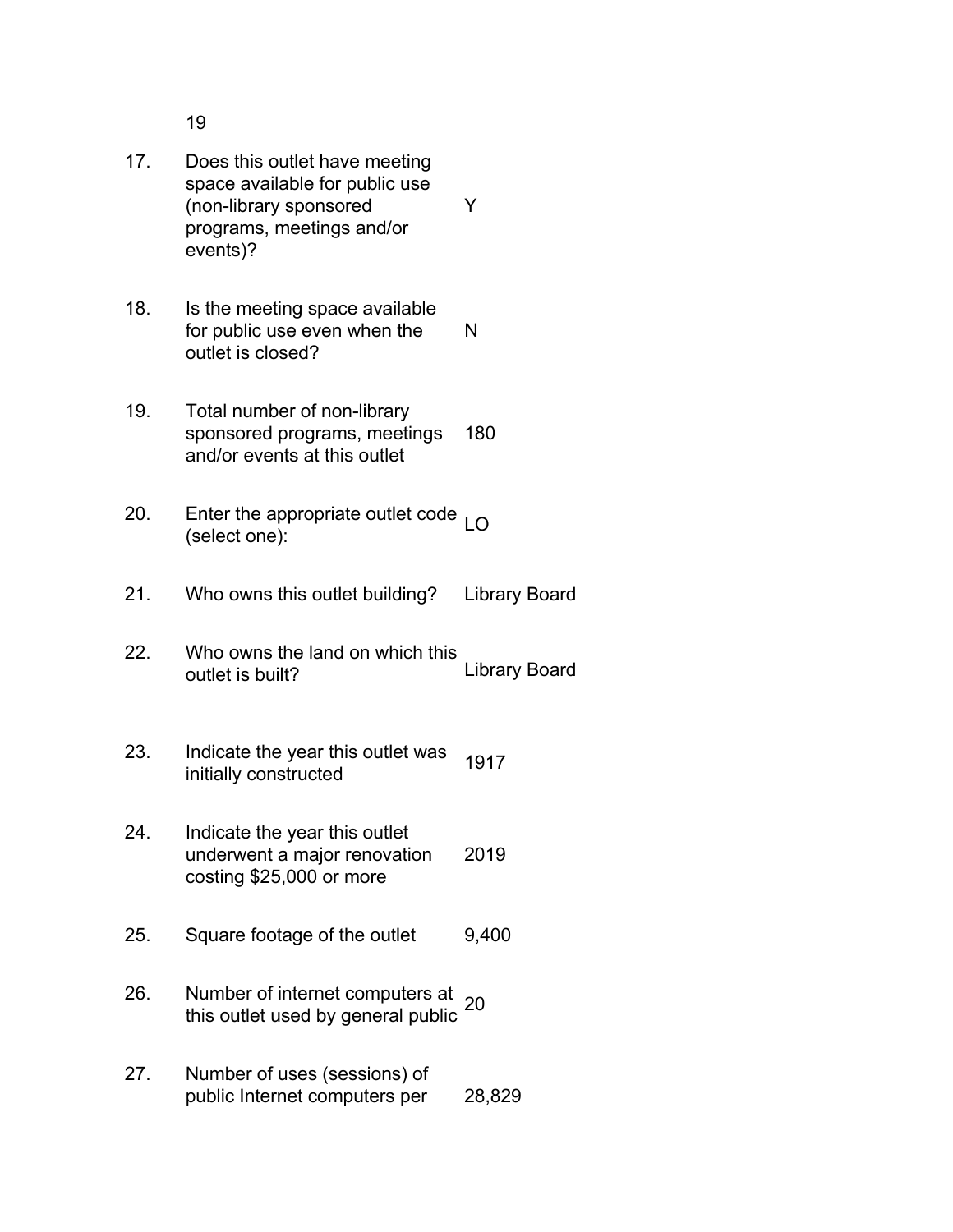19

- 17. Does this outlet have meeting space available for public use (non-library sponsored programs, meetings and/or events)? Y
- 18. Is the meeting space available for public use even when the outlet is closed? N
- 19. Total number of non-library sponsored programs, meetings and/or events at this outlet 180
- 20. Enter the appropriate outlet code <sub>LO</sub><br>(select one):
- 21. Who owns this outlet building? Library Board
- 22. Who owns the land on which this outlet is built? Library Board
- 23. Indicate the year this outlet was initially constructed<br>initially constructed
- 24. Indicate the year this outlet underwent a major renovation costing \$25,000 or more 2019
- 25. Square footage of the outlet 9,400
- 26. Number of internet computers at Number of internet computers at 20<br>this outlet used by general public <sup>20</sup>
- 27. Number of uses (sessions) of public Internet computers per 28,829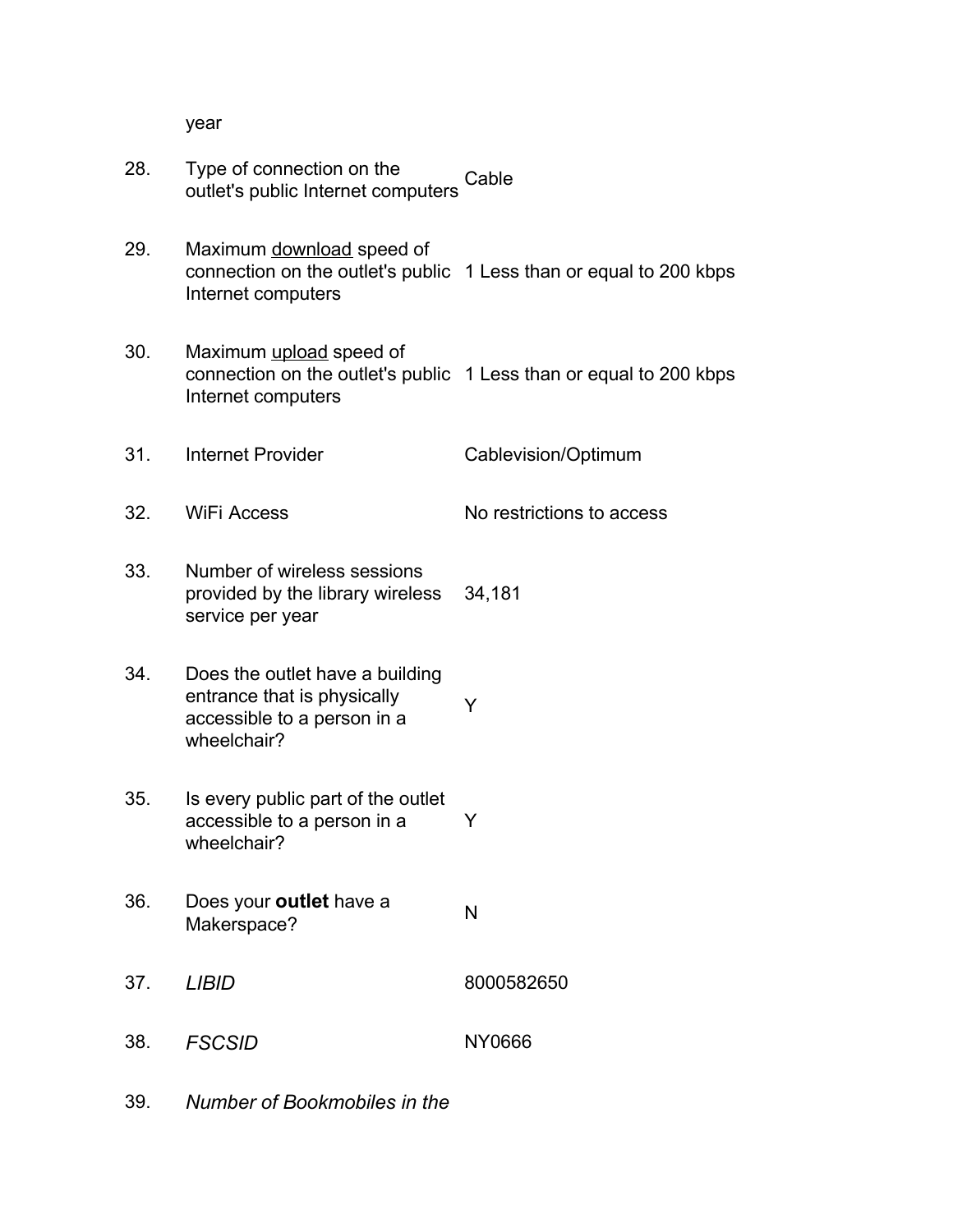year

- 28. Type of connection on the outlet's public Internet computers Cable
- 29. Maximum download speed of connection on the outlet's public 1 Less than or equal to 200 kbps Internet computers
- 30. Maximum upload speed of connection on the outlet's public 1 Less than or equal to 200 kbps Internet computers
- 31. Internet Provider Cablevision/Optimum
- 32. WiFi Access No restrictions to access
- 33. Number of wireless sessions provided by the library wireless service per year 34,181
- 34. Does the outlet have a building entrance that is physically accessible to a person in a wheelchair? Y
- 35. Is every public part of the outlet accessible to a person in a wheelchair? Y
- 36. Does your **outlet** have a Docs your **butter** have a N<br>Makerspace?
- 37. *LIBID* 8000582650
- 38. *FSCSID* NY0666
- 39. *Number of Bookmobiles in the*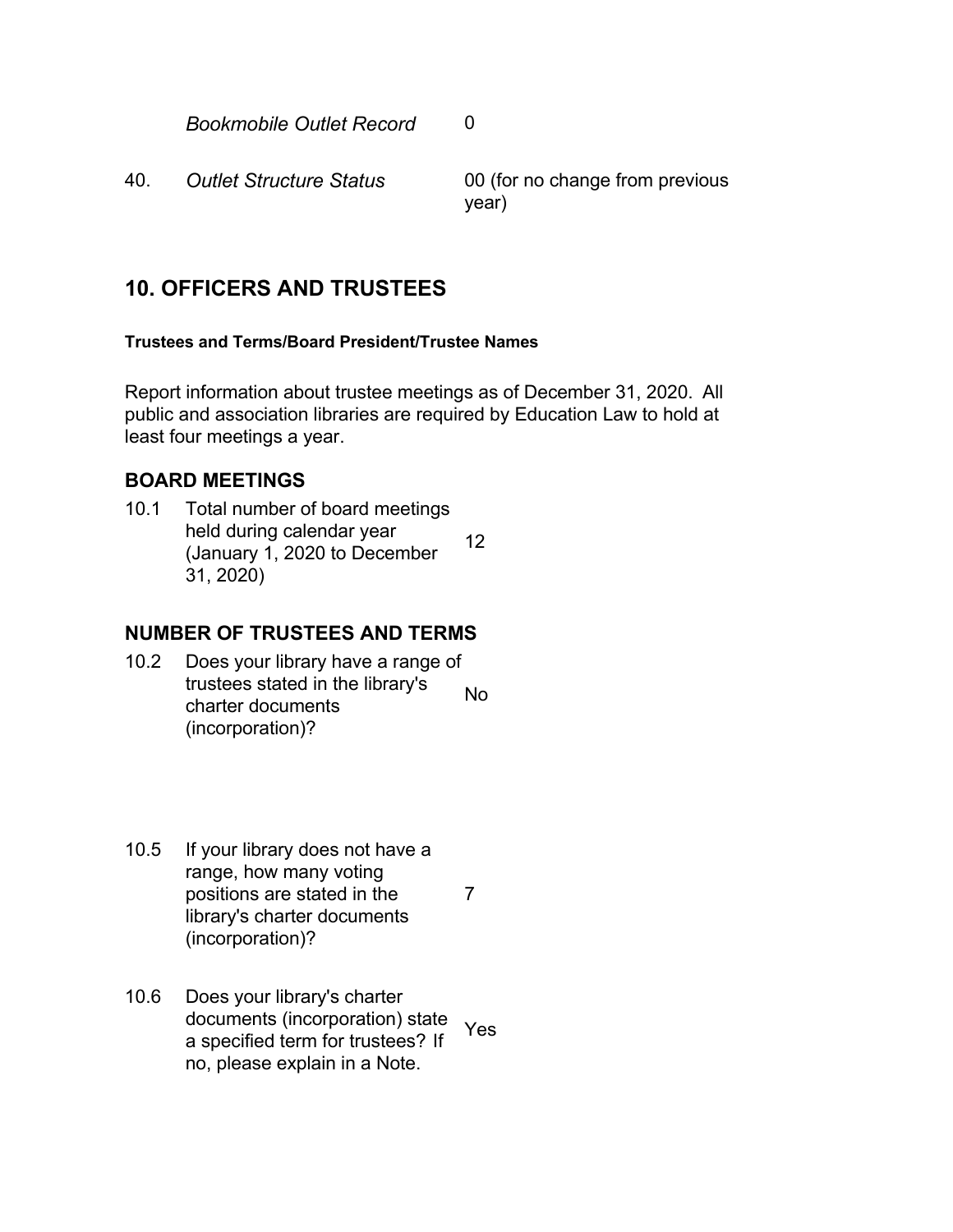**Bookmobile Outlet Record** 0

40. *Outlet Structure Status* 00 (for no change from previous year)

## **10. OFFICERS AND TRUSTEES**

#### **Trustees and Terms/Board President/Trustee Names**

Report information about trustee meetings as of December 31, 2020. All public and association libraries are required by Education Law to hold at least four meetings a year.

## **BOARD MEETINGS**

10.1 Total number of board meetings held during calendar year (January 1, 2020 to December 31, 2020) 12

## **NUMBER OF TRUSTEES AND TERMS**

- 10.2 Does your library have a range of trustees stated in the library's charter documents (incorporation)? No
- 10.5 If your library does not have a range, how many voting positions are stated in the library's charter documents (incorporation)? 7
- 10.6 Does your library's charter documents (incorporation) state a specified term for trustees? If no, please explain in a Note. Yes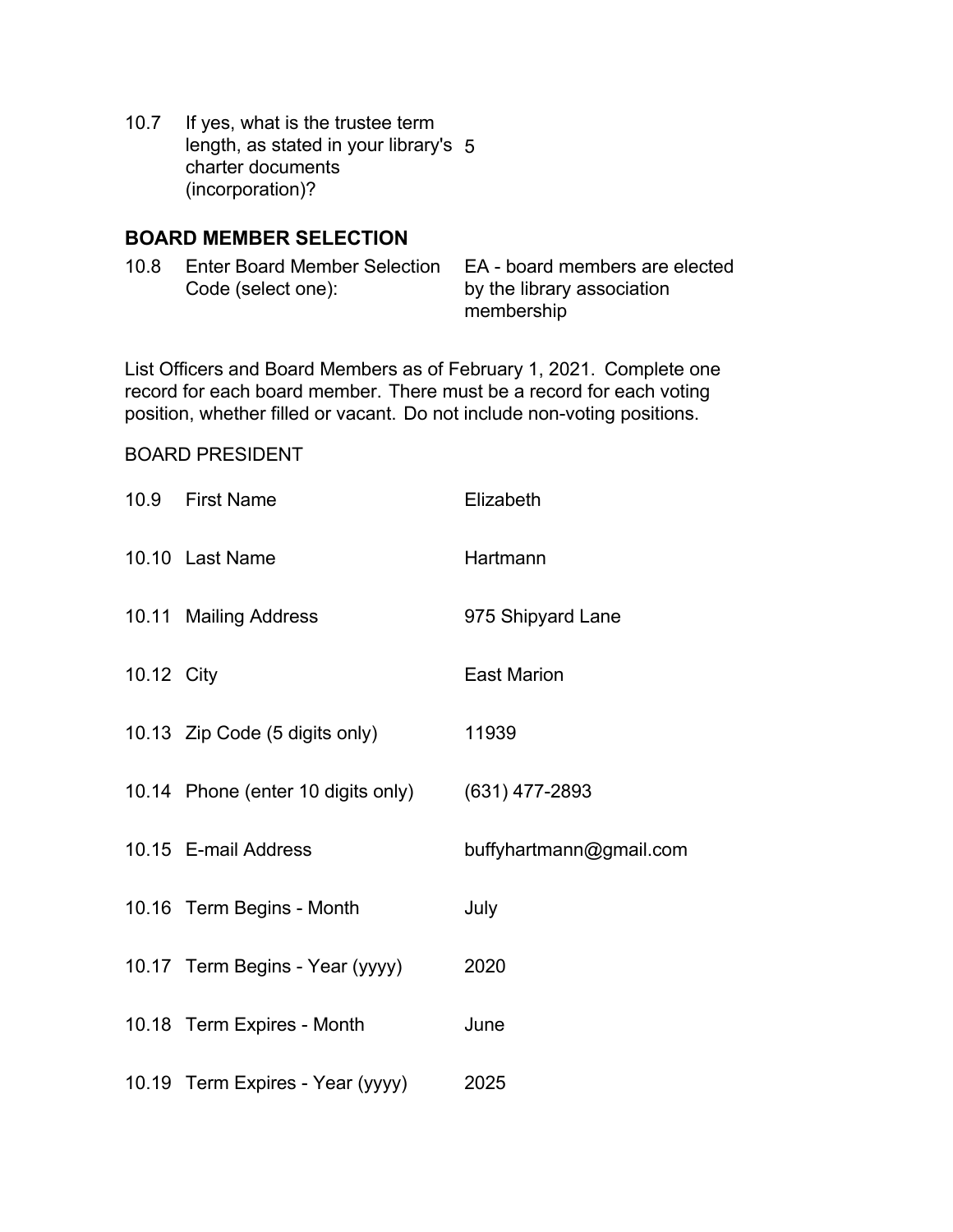10.7 If yes, what is the trustee term length, as stated in your library's 5 charter documents (incorporation)?

#### **BOARD MEMBER SELECTION**

10.8 Enter Board Member Selection Code (select one): EA - board members are elected by the library association membership

List Officers and Board Members as of February 1, 2021. Complete one record for each board member. There must be a record for each voting position, whether filled or vacant. Do not include non-voting positions.

#### BOARD PRESIDENT

|            | 10.9 First Name                    | Elizabeth               |
|------------|------------------------------------|-------------------------|
|            | 10.10 Last Name                    | Hartmann                |
|            | 10.11 Mailing Address              | 975 Shipyard Lane       |
| 10.12 City |                                    | <b>East Marion</b>      |
|            | 10.13 Zip Code (5 digits only)     | 11939                   |
|            | 10.14 Phone (enter 10 digits only) | $(631)$ 477-2893        |
|            | 10.15 E-mail Address               | buffyhartmann@gmail.com |
|            | 10.16 Term Begins - Month          | July                    |
|            | 10.17 Term Begins - Year (yyyy)    | 2020                    |
|            | 10.18 Term Expires - Month         | June                    |
|            | 10.19 Term Expires - Year (yyyy)   | 2025                    |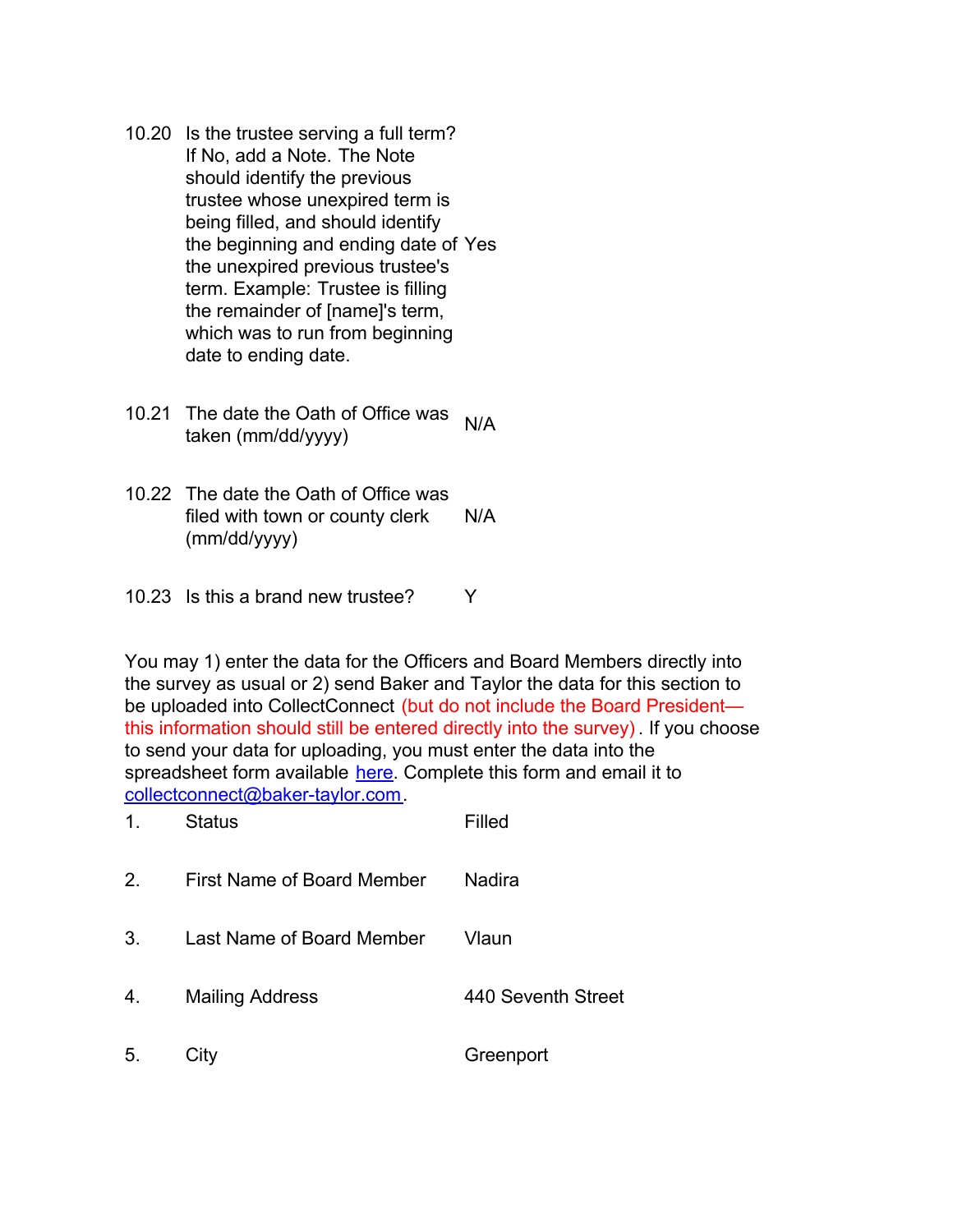- 10.20 Is the trustee serving a full term? If No, add a Note. The Note should identify the previous trustee whose unexpired term is being filled, and should identify the beginning and ending date of Yes the unexpired previous trustee's term. Example: Trustee is filling the remainder of [name]'s term, which was to run from beginning date to ending date.
- 10.21 The date the Oath of Office was taken (mm/dd/yyyy)  $\frac{1}{e}$
- 10.22 The date the Oath of Office was filed with town or county clerk (mm/dd/yyyy) N/A
- 10.23 Is this a brand new trustee? Y

You may 1) enter the data for the Officers and Board Members directly into the survey as usual or 2) send Baker and Taylor the data for this section to be uploaded into CollectConnect (but do not include the Board President this information should still be entered directly into the survey) . If you choose to send your data for uploading, you must enter the data into the spreadsheet form available [here](https://collectconnect.baker-taylor.com/Officers/2020/**OrgID**.xlsx). Complete this form and email it to [collectconnect@baker-taylor.com](mailto:collectconnect@baker-taylor.com).

| 1. | <b>Status</b>              | Filled             |
|----|----------------------------|--------------------|
| 2. | First Name of Board Member | Nadira             |
| 3. | Last Name of Board Member  | Vlaun              |
| 4. | <b>Mailing Address</b>     | 440 Seventh Street |
| 5. | City                       | Greenport          |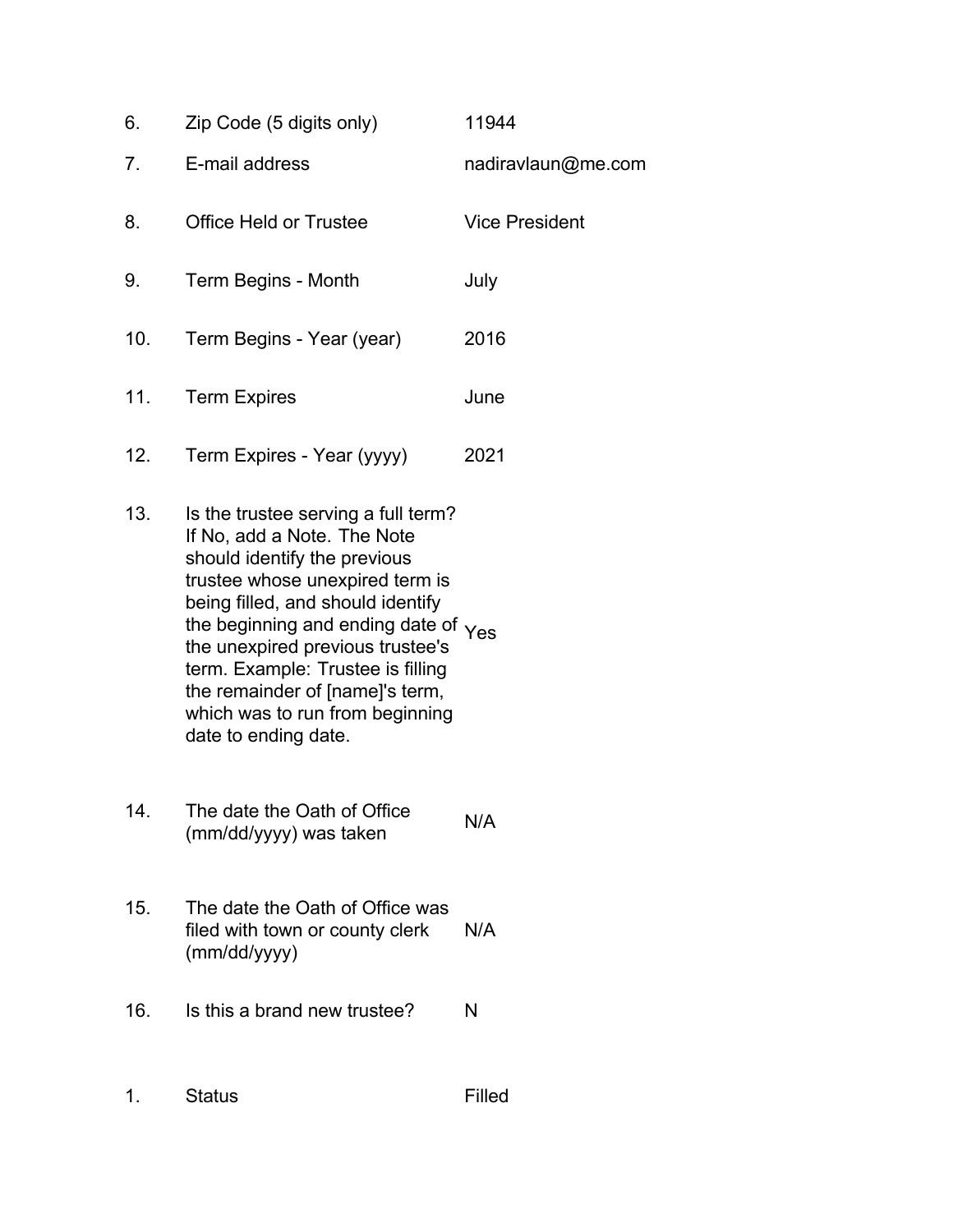| 6.  | Zip Code (5 digits only)            | 11944                 |
|-----|-------------------------------------|-----------------------|
| 7.  | E-mail address                      | nadiravlaun@me.com    |
| 8.  | <b>Office Held or Trustee</b>       | <b>Vice President</b> |
| 9.  | Term Begins - Month                 | July                  |
| 10. | Term Begins - Year (year)           | 2016                  |
| 11. | <b>Term Expires</b>                 | June                  |
| 12. | Term Expires - Year (yyyy)          | 2021                  |
| 13. | Is the trustee serving a full term? |                       |

- If No, add a Note. The Note should identify the previous trustee whose unexpired term is being filled, and should identify the beginning and ending date of  $Y_{\text{es}}$ the unexpired previous trustee's term. Example: Trustee is filling the remainder of [name]'s term, which was to run from beginning date to ending date.
- 14. The date the Oath of Office The date the Oath of Office<br>(mm/dd/yyyy) was taken
- 15. The date the Oath of Office was filed with town or county clerk (mm/dd/yyyy) N/A
- 16. Is this a brand new trustee? N
- 1. Status Filled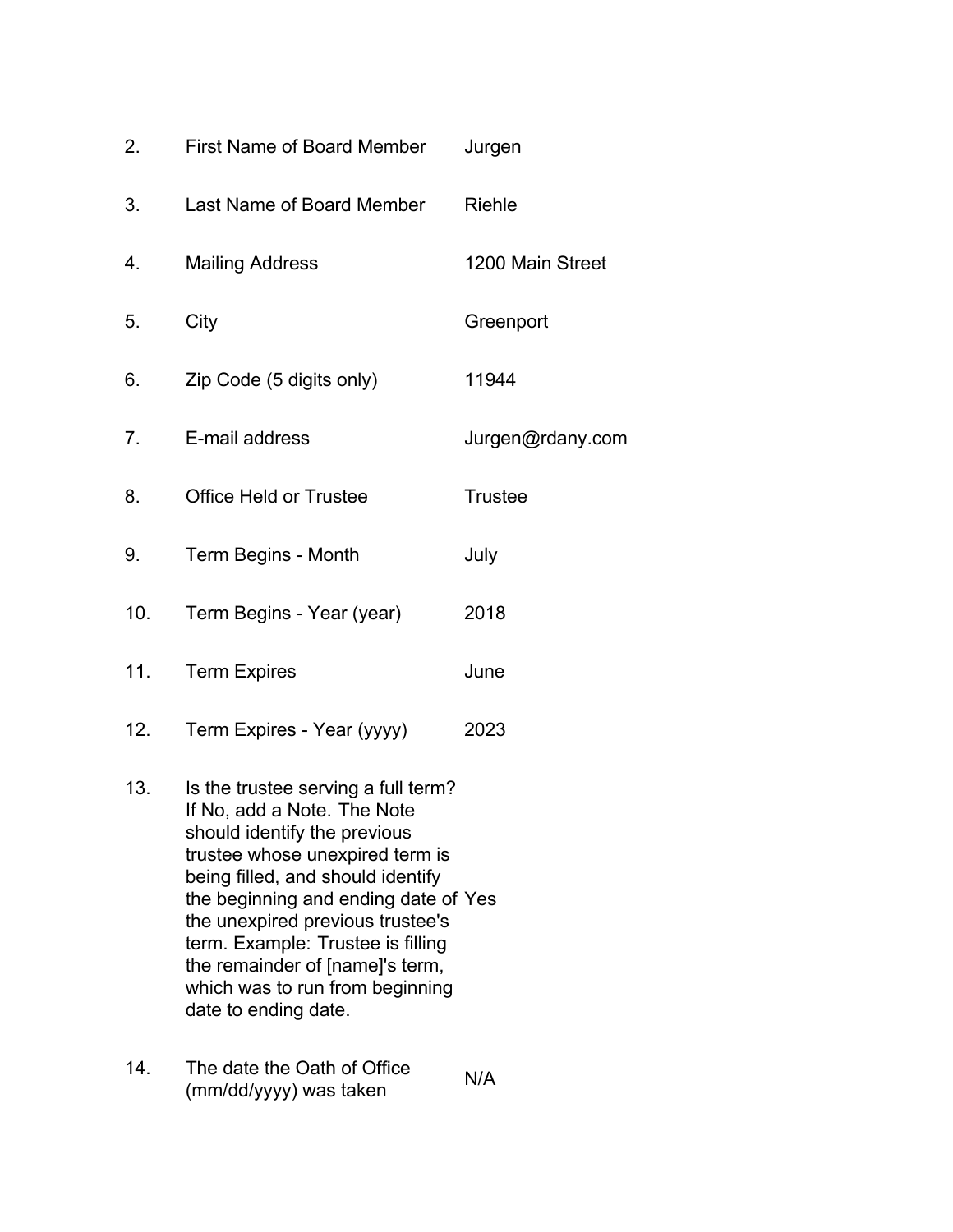| 2.  | First Name of Board Member    | Jurgen           |
|-----|-------------------------------|------------------|
| 3.  | Last Name of Board Member     | Riehle           |
| 4.  | <b>Mailing Address</b>        | 1200 Main Street |
| 5.  | City                          | Greenport        |
| 6.  | Zip Code (5 digits only)      | 11944            |
| 7.  | E-mail address                | Jurgen@rdany.com |
| 8.  | <b>Office Held or Trustee</b> | <b>Trustee</b>   |
| 9.  | Term Begins - Month           | July             |
| 10. | Term Begins - Year (year)     | 2018             |
| 11. | <b>Term Expires</b>           | June             |
| 12. | Term Expires - Year (yyyy)    | 2023             |

- 13. Is the trustee serving a full term? If No, add a Note. The Note should identify the previous trustee whose unexpired term is being filled, and should identify the beginning and ending date of Yes the unexpired previous trustee's term. Example: Trustee is filling the remainder of [name]'s term, which was to run from beginning date to ending date.
- 14. The date the Oath of Office The date the Oath of Office<br>(mm/dd/yyyy) was taken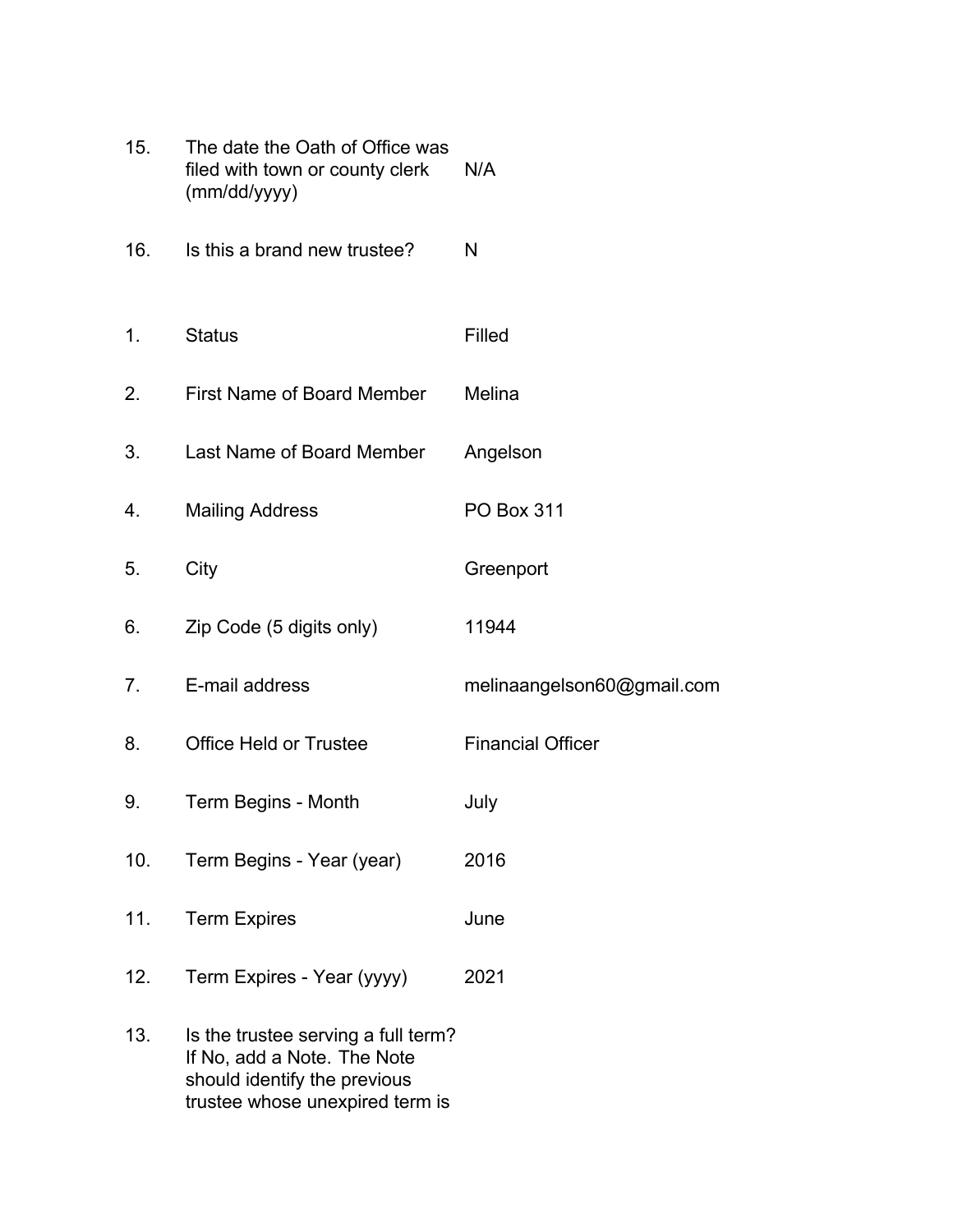| 15. | The date the Oath of Office was<br>filed with town or county clerk<br>(mm/dd/yyyy)                                                    | N/A                        |
|-----|---------------------------------------------------------------------------------------------------------------------------------------|----------------------------|
| 16. | Is this a brand new trustee?                                                                                                          | N                          |
| 1.  | <b>Status</b>                                                                                                                         | Filled                     |
| 2.  | First Name of Board Member                                                                                                            | Melina                     |
| 3.  | Last Name of Board Member                                                                                                             | Angelson                   |
| 4.  | <b>Mailing Address</b>                                                                                                                | <b>PO Box 311</b>          |
| 5.  | City                                                                                                                                  | Greenport                  |
| 6.  | Zip Code (5 digits only)                                                                                                              | 11944                      |
| 7.  | E-mail address                                                                                                                        | melinaangelson60@gmail.com |
| 8.  | <b>Office Held or Trustee</b>                                                                                                         | <b>Financial Officer</b>   |
| 9.  | Term Begins - Month                                                                                                                   | July                       |
| 10. | Term Begins - Year (year)                                                                                                             | 2016                       |
| 11. | <b>Term Expires</b>                                                                                                                   | June                       |
| 12. | Term Expires - Year (yyyy)                                                                                                            | 2021                       |
| 13. | Is the trustee serving a full term?<br>If No, add a Note. The Note<br>should identify the previous<br>trustee whose unexpired term is |                            |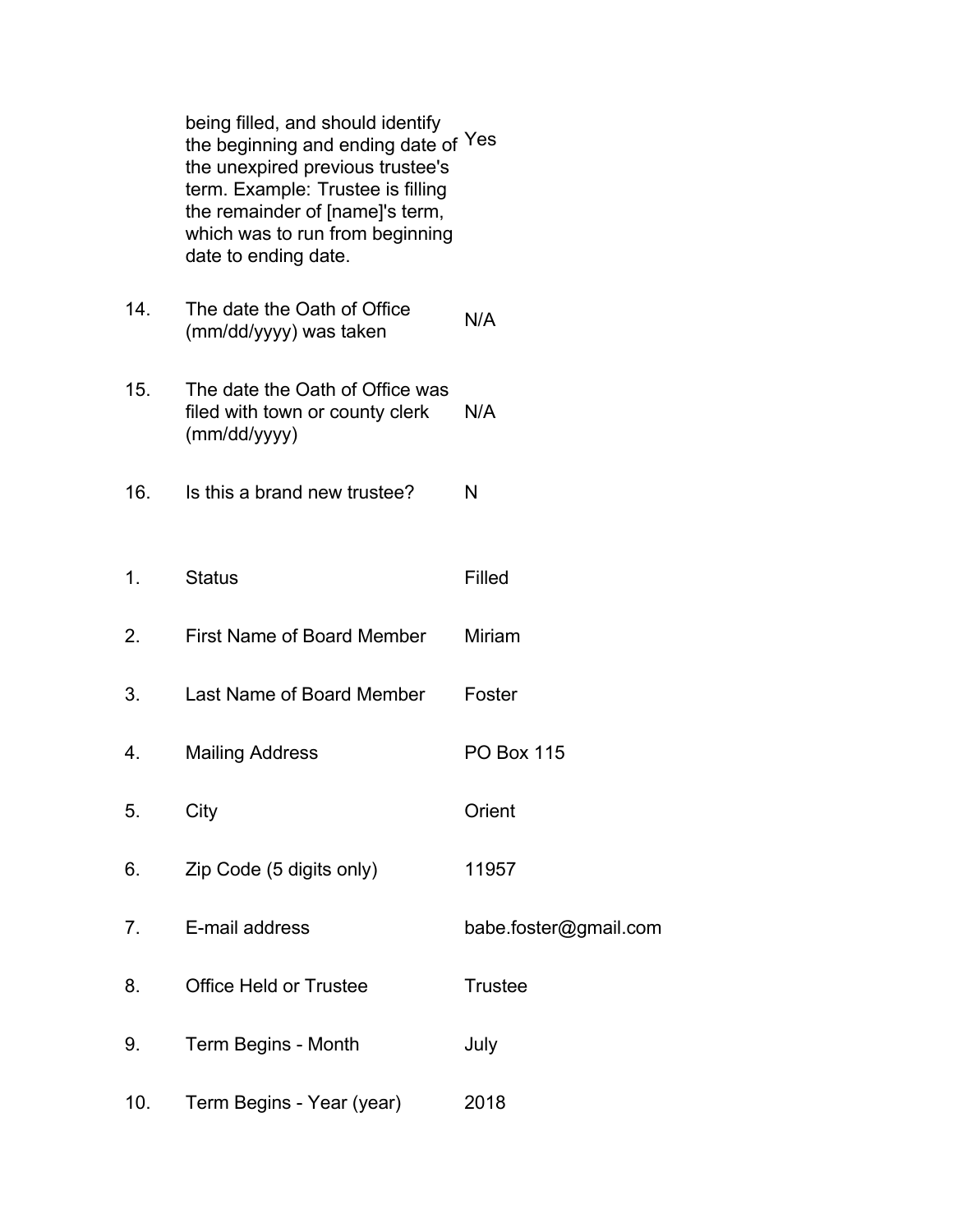being filled, and should identify the beginning and ending date of Yes the unexpired previous trustee's term. Example: Trustee is filling the remainder of [name]'s term, which was to run from beginning date to ending date.

- 14. The date the Oath of Office The date the Oath of Office<br>(mm/dd/yyyy) was taken
- 15. The date the Oath of Office was filed with town or county clerk (mm/dd/yyyy) N/A
- 16. Is this a brand new trustee? N
- 1. Status Filled
- 2. First Name of Board Member Miriam
- 3. Last Name of Board Member Foster
- 4. Mailing Address PO Box 115
- 5. City Orient
- 6. Zip Code (5 digits only) 11957
- 7. E-mail address babe.foster@gmail.com
- 8. Office Held or Trustee Trustee
- 9. Term Begins Month July
- 10. Term Begins Year (year) 2018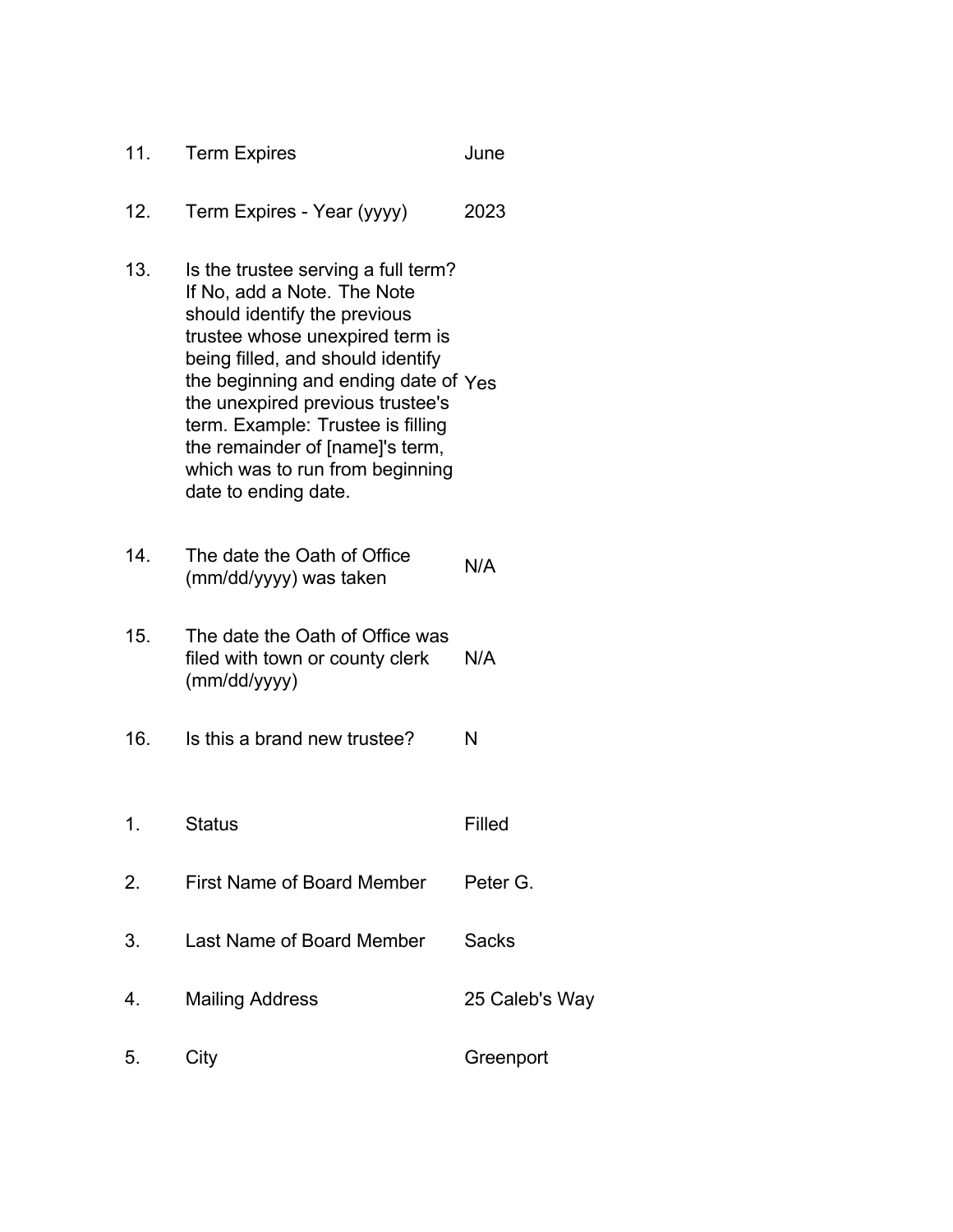| 11. | <b>Term Expires</b>                                                                                                                                                                                                                                                                                                                                                                       | June           |
|-----|-------------------------------------------------------------------------------------------------------------------------------------------------------------------------------------------------------------------------------------------------------------------------------------------------------------------------------------------------------------------------------------------|----------------|
| 12. | Term Expires - Year (yyyy)                                                                                                                                                                                                                                                                                                                                                                | 2023           |
| 13. | Is the trustee serving a full term?<br>If No, add a Note. The Note<br>should identify the previous<br>trustee whose unexpired term is<br>being filled, and should identify<br>the beginning and ending date of Yes<br>the unexpired previous trustee's<br>term. Example: Trustee is filling<br>the remainder of [name]'s term,<br>which was to run from beginning<br>date to ending date. |                |
| 14. | The date the Oath of Office<br>(mm/dd/yyyy) was taken                                                                                                                                                                                                                                                                                                                                     | N/A            |
| 15. | The date the Oath of Office was<br>filed with town or county clerk<br>(mm/dd/yyyy)                                                                                                                                                                                                                                                                                                        | N/A            |
| 16. | Is this a brand new trustee?                                                                                                                                                                                                                                                                                                                                                              | N              |
| 1.  | <b>Status</b>                                                                                                                                                                                                                                                                                                                                                                             | Filled         |
| 2.  | <b>First Name of Board Member</b>                                                                                                                                                                                                                                                                                                                                                         | Peter G.       |
| 3.  | Last Name of Board Member                                                                                                                                                                                                                                                                                                                                                                 | <b>Sacks</b>   |
| 4.  | <b>Mailing Address</b>                                                                                                                                                                                                                                                                                                                                                                    | 25 Caleb's Way |
| 5.  | City                                                                                                                                                                                                                                                                                                                                                                                      | Greenport      |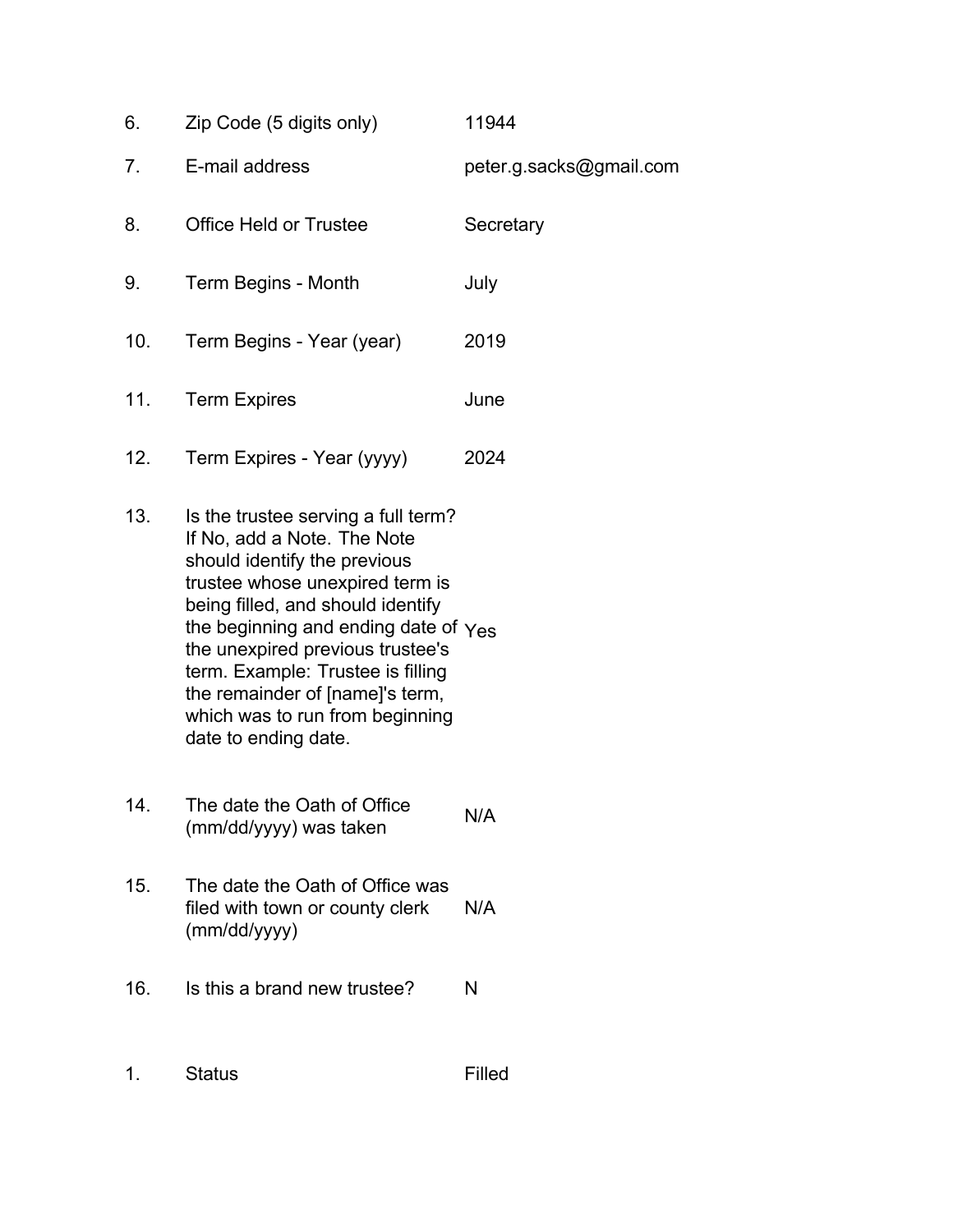| 6.             | Zip Code (5 digits only)      | 11944                   |
|----------------|-------------------------------|-------------------------|
| 7 <sub>1</sub> | E-mail address                | peter.g.sacks@gmail.com |
| 8.             | <b>Office Held or Trustee</b> | Secretary               |
| 9.             | Term Begins - Month           | July                    |
| 10.            | Term Begins - Year (year)     | 2019                    |
| 11.            | <b>Term Expires</b>           | June                    |
| 12.            | Term Expires - Year (yyyy)    | 2024                    |

- 13. Is the trustee serving a full term? If No, add a Note. The Note should identify the previous trustee whose unexpired term is being filled, and should identify the beginning and ending date of  $\gamma_{\rm e s}$ the unexpired previous trustee's term. Example: Trustee is filling the remainder of [name]'s term, which was to run from beginning date to ending date.
- 14. The date the Oath of Office The date the Oath of Office<br>(mm/dd/yyyy) was taken
- 15. The date the Oath of Office was filed with town or county clerk (mm/dd/yyyy) N/A
- 16. Is this a brand new trustee? N
- 1. Status Filled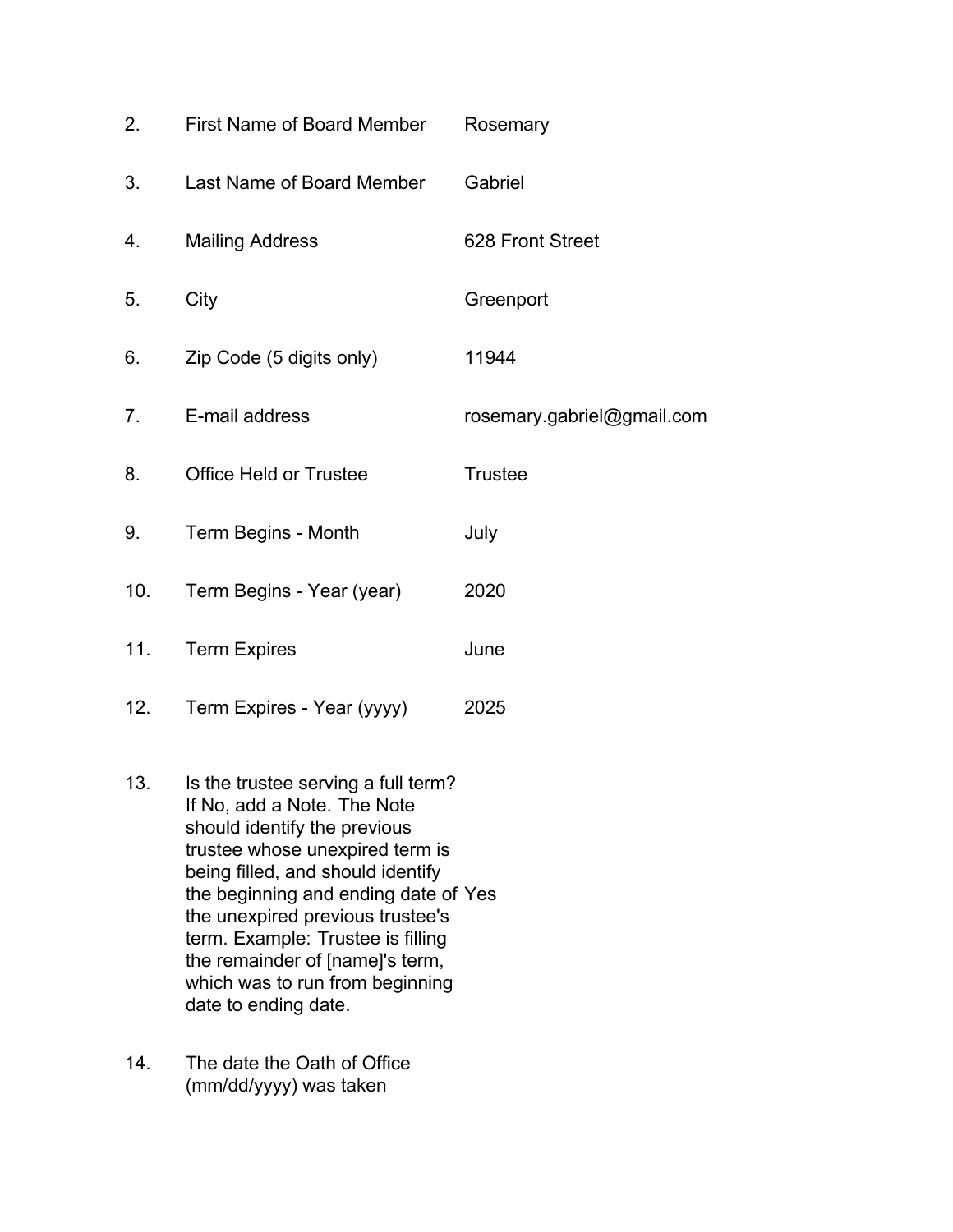| 2.  | First Name of Board Member    | Rosemary                   |
|-----|-------------------------------|----------------------------|
| 3.  | Last Name of Board Member     | Gabriel                    |
| 4.  | <b>Mailing Address</b>        | 628 Front Street           |
| 5.  | City                          | Greenport                  |
| 6.  | Zip Code (5 digits only)      | 11944                      |
| 7.  | E-mail address                | rosemary.gabriel@gmail.com |
| 8.  | <b>Office Held or Trustee</b> | <b>Trustee</b>             |
| 9.  | Term Begins - Month           | July                       |
| 10. | Term Begins - Year (year)     | 2020                       |
| 11. | <b>Term Expires</b>           | June                       |
| 12. | Term Expires - Year (yyyy)    | 2025                       |

- 13. Is the trustee serving a full term? If No, add a Note. The Note should identify the previous trustee whose unexpired term is being filled, and should identify the beginning and ending date of Yes the unexpired previous trustee's term. Example: Trustee is filling the remainder of [name]'s term, which was to run from beginning date to ending date.
- 14. The date the Oath of Office (mm/dd/yyyy) was taken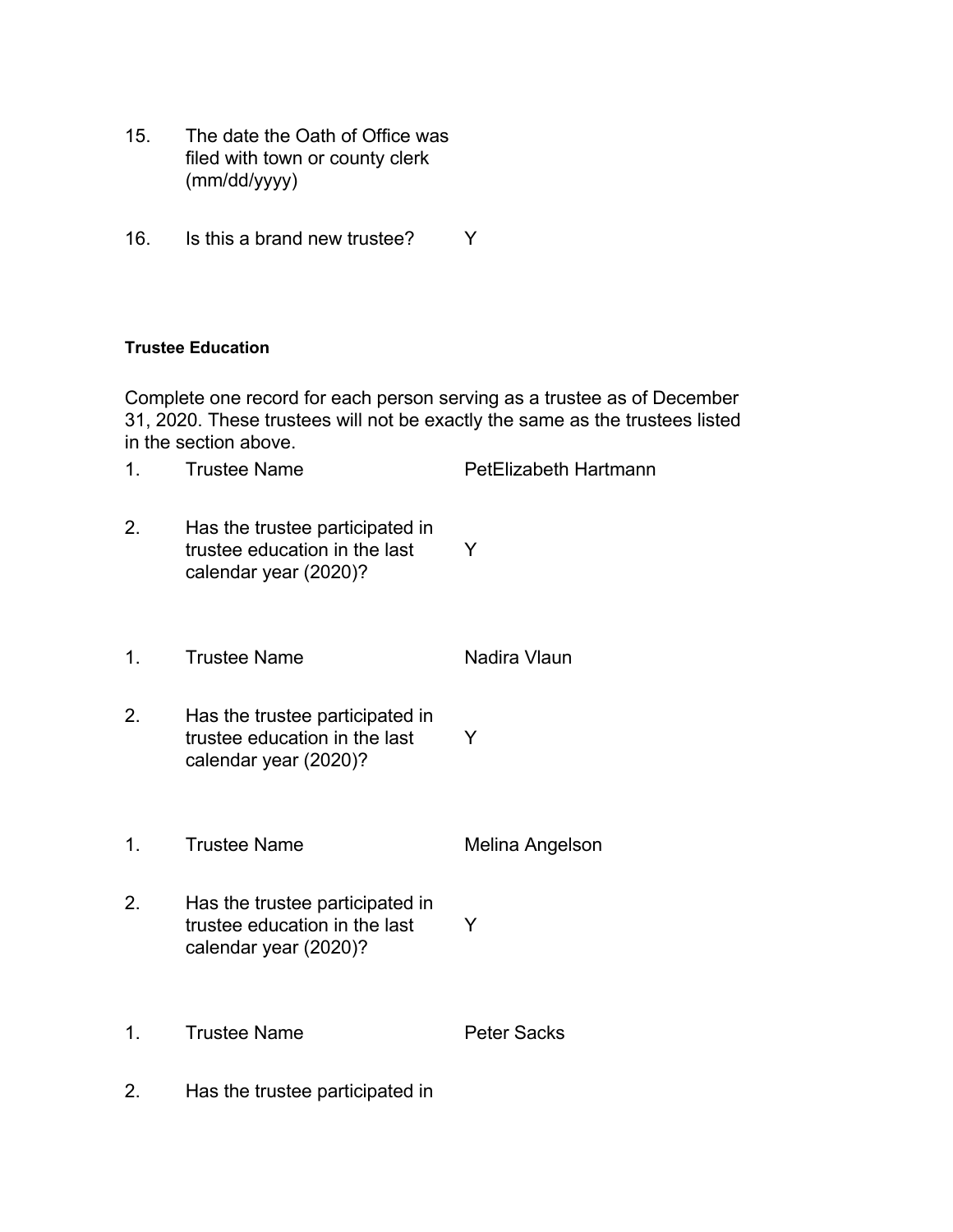- 15. The date the Oath of Office was filed with town or county clerk (mm/dd/yyyy)
- 16. Is this a brand new trustee? Y

#### **Trustee Education**

Complete one record for each person serving as a trustee as of December 31, 2020. These trustees will not be exactly the same as the trustees listed in the section above.

- 1. Trustee Name **PetElizabeth Hartmann**
- 2. Has the trustee participated in trustee education in the last calendar year (2020)? Y
- 1. Trustee Name Nadira Vlaun
- 2. Has the trustee participated in trustee education in the last calendar year (2020)? Y
- 1. Trustee Name Melina Angelson
- 2. Has the trustee participated in trustee education in the last calendar year (2020)? Y
- 1. Trustee Name **Peter Sacks**
- 2. Has the trustee participated in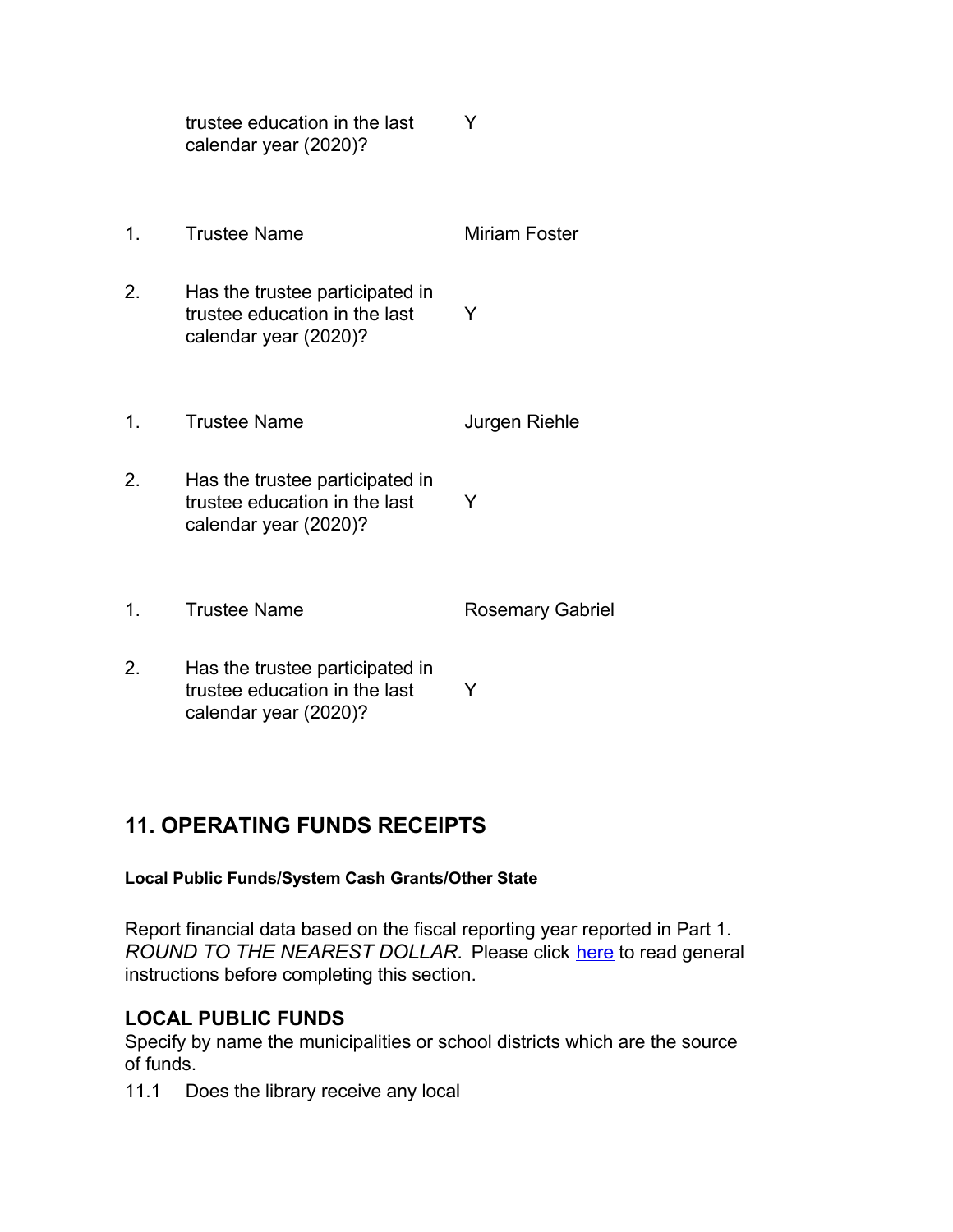|    | trustee education in the last<br>calendar year (2020)?                                    | Y                       |
|----|-------------------------------------------------------------------------------------------|-------------------------|
| 1. | <b>Trustee Name</b>                                                                       | Miriam Foster           |
| 2. | Has the trustee participated in<br>trustee education in the last<br>calendar year (2020)? | Y                       |
| 1. | <b>Trustee Name</b>                                                                       | Jurgen Riehle           |
| 2. | Has the trustee participated in<br>trustee education in the last<br>calendar year (2020)? | Y                       |
| 1. | <b>Trustee Name</b>                                                                       | <b>Rosemary Gabriel</b> |
| 2. | Has the trustee participated in<br>trustee education in the last                          | Y                       |

## **11. OPERATING FUNDS RECEIPTS**

calendar year (2020)?

## **Local Public Funds/System Cash Grants/Other State**

Report financial data based on the fiscal reporting year reported in Part 1. *ROUND TO THE NEAREST DOLLAR.* Please click here to read general instructions before completing this section.

## **LOCAL PUBLIC FUNDS**

Specify by name the municipalities or school districts which are the source of funds.

11.1 Does the library receive any local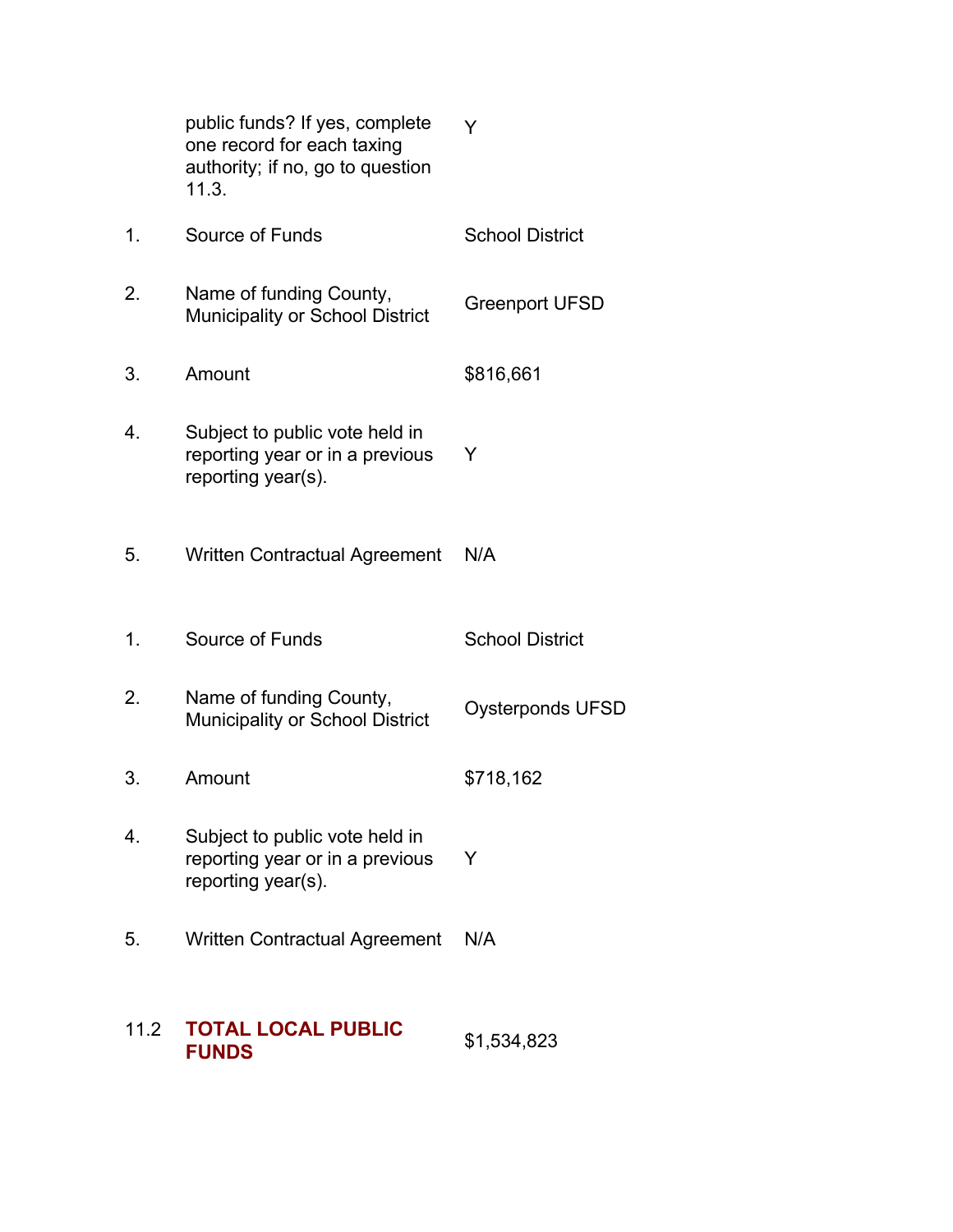| 11.2 | <b>TOTAL LOCAL PUBLIC</b><br><b>FUNDS</b>                                                                 | \$1,534,823             |
|------|-----------------------------------------------------------------------------------------------------------|-------------------------|
| 5.   | <b>Written Contractual Agreement</b>                                                                      | N/A                     |
| 4.   | Subject to public vote held in<br>reporting year or in a previous<br>reporting year(s).                   | Y                       |
| 3.   | Amount                                                                                                    | \$718,162               |
| 2.   | Name of funding County,<br>Municipality or School District                                                | <b>Oysterponds UFSD</b> |
| 1.   | Source of Funds                                                                                           | <b>School District</b>  |
| 5.   | <b>Written Contractual Agreement</b>                                                                      | N/A                     |
| 4.   | Subject to public vote held in<br>reporting year or in a previous<br>reporting year(s).                   | Y                       |
| 3.   | Amount                                                                                                    | \$816,661               |
| 2.   | Name of funding County,<br>Municipality or School District                                                | <b>Greenport UFSD</b>   |
| 1.   | Source of Funds                                                                                           | <b>School District</b>  |
|      | public funds? If yes, complete<br>one record for each taxing<br>authority; if no, go to question<br>11.3. | Y                       |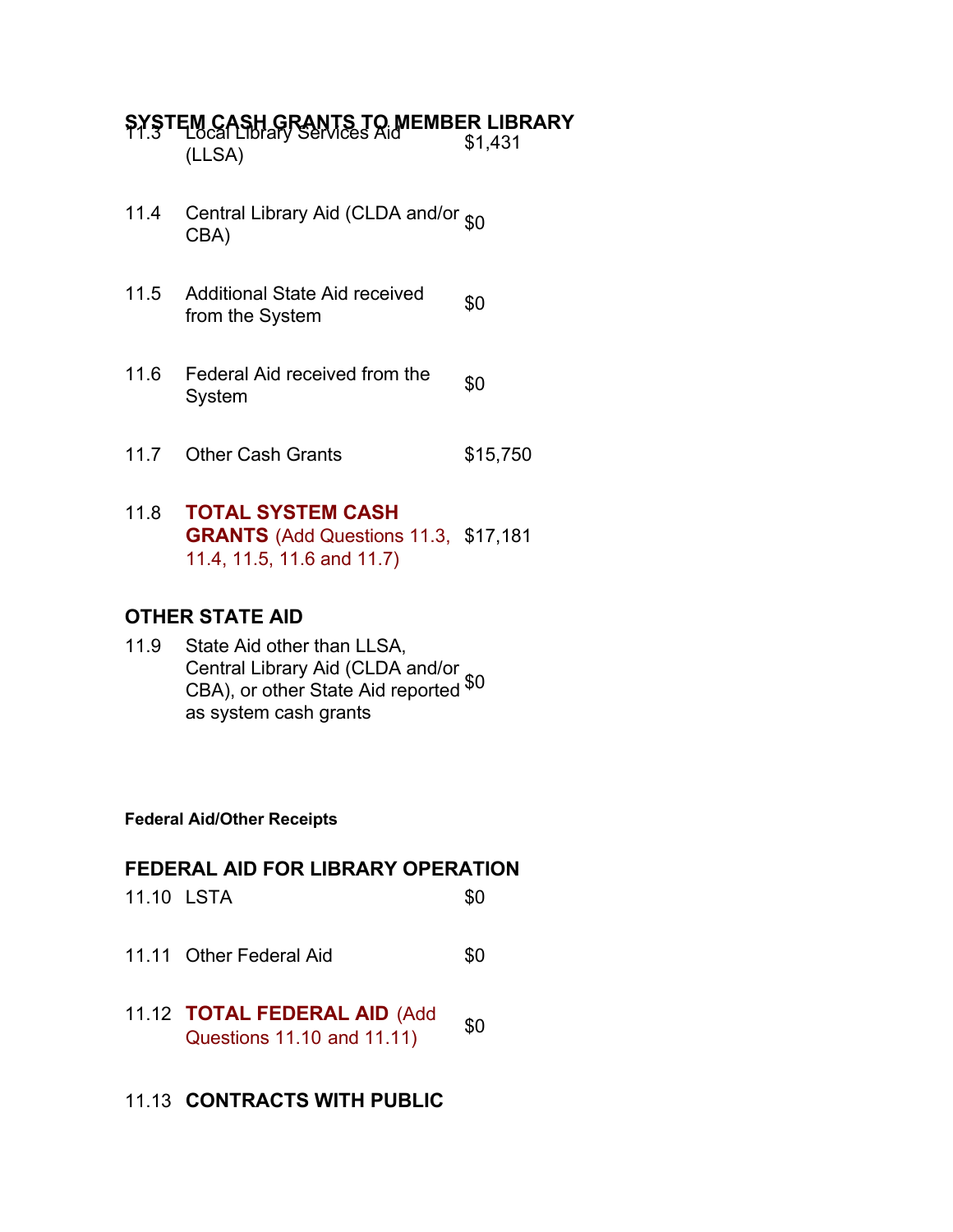**SYSTEM CASH GRANTS TO MEMBER LIBRARY**  $\frac{1}{2}$ (LLSA)  $\frac{1}{2}$   $\frac{1}{2}$ 

- 11.4 Central Library Aid (CLDA and/or  $_{$0}$  CBA)
- 11.5 Additional State Aid received From the System state And Technical State Sp
- 11.6 Federal Aid received from the  $$6$
- 11.7 Other Cash Grants \$15,750

## 11.8 **TOTAL SYSTEM CASH GRANTS** (Add Questions 11.3, \$17,181 11.4, 11.5, 11.6 and 11.7)

### **OTHER STATE AID**

11.9 State Aid other than LLSA, Central Library Aid (CLDA and/or CBA), or other State Aid reported  $$^{0}$ as system cash grants

#### **Federal Aid/Other Receipts**

#### **FEDERAL AID FOR LIBRARY OPERATION**

- 11.10 LSTA \$0
- 11.11 Other Federal Aid **\$0**
- 11.12 **TOTAL FEDERAL AID** (Add Questions 11.10 and 11.11) \$0

#### 11.13 **CONTRACTS WITH PUBLIC**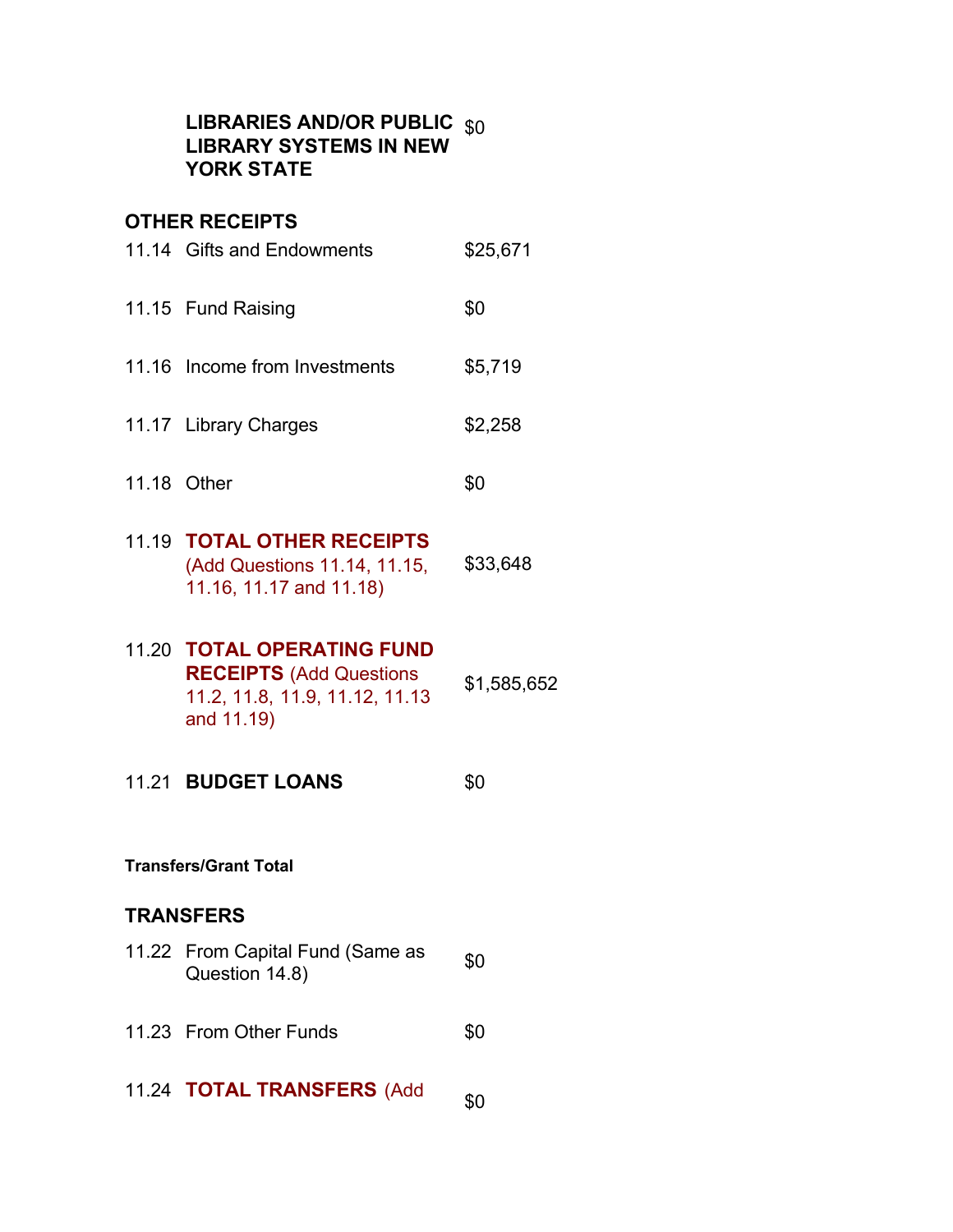### **LIBRARIES AND/OR PUBLIC** \$0 **LIBRARY SYSTEMS IN NEW YORK STATE**

## **OTHER RECEIPTS**

|             | 11.14 Gifts and Endowments                                                                                    | \$25,671    |
|-------------|---------------------------------------------------------------------------------------------------------------|-------------|
|             | 11.15 Fund Raising                                                                                            | \$0         |
|             | 11.16 Income from Investments                                                                                 | \$5,719     |
|             | 11.17 Library Charges                                                                                         | \$2,258     |
| 11.18 Other |                                                                                                               | \$0         |
|             | 11.19 TOTAL OTHER RECEIPTS<br>(Add Questions 11.14, 11.15,<br>11.16, 11.17 and 11.18)                         | \$33,648    |
|             | 11.20 TOTAL OPERATING FUND<br><b>RECEIPTS (Add Questions)</b><br>11.2, 11.8, 11.9, 11.12, 11.13<br>and 11.19) | \$1,585,652 |
|             | 11.21 BUDGET LOANS                                                                                            | \$0         |
|             | <b>Transfers/Grant Total</b>                                                                                  |             |
|             | <b>TRANSFERS</b>                                                                                              |             |
|             | 11.22 From Capital Fund (Same as<br>Question 14.8)                                                            | \$0         |
|             | 11.23 From Other Funds                                                                                        | \$0         |

11.24 **TOTAL TRANSFERS** (Add \$0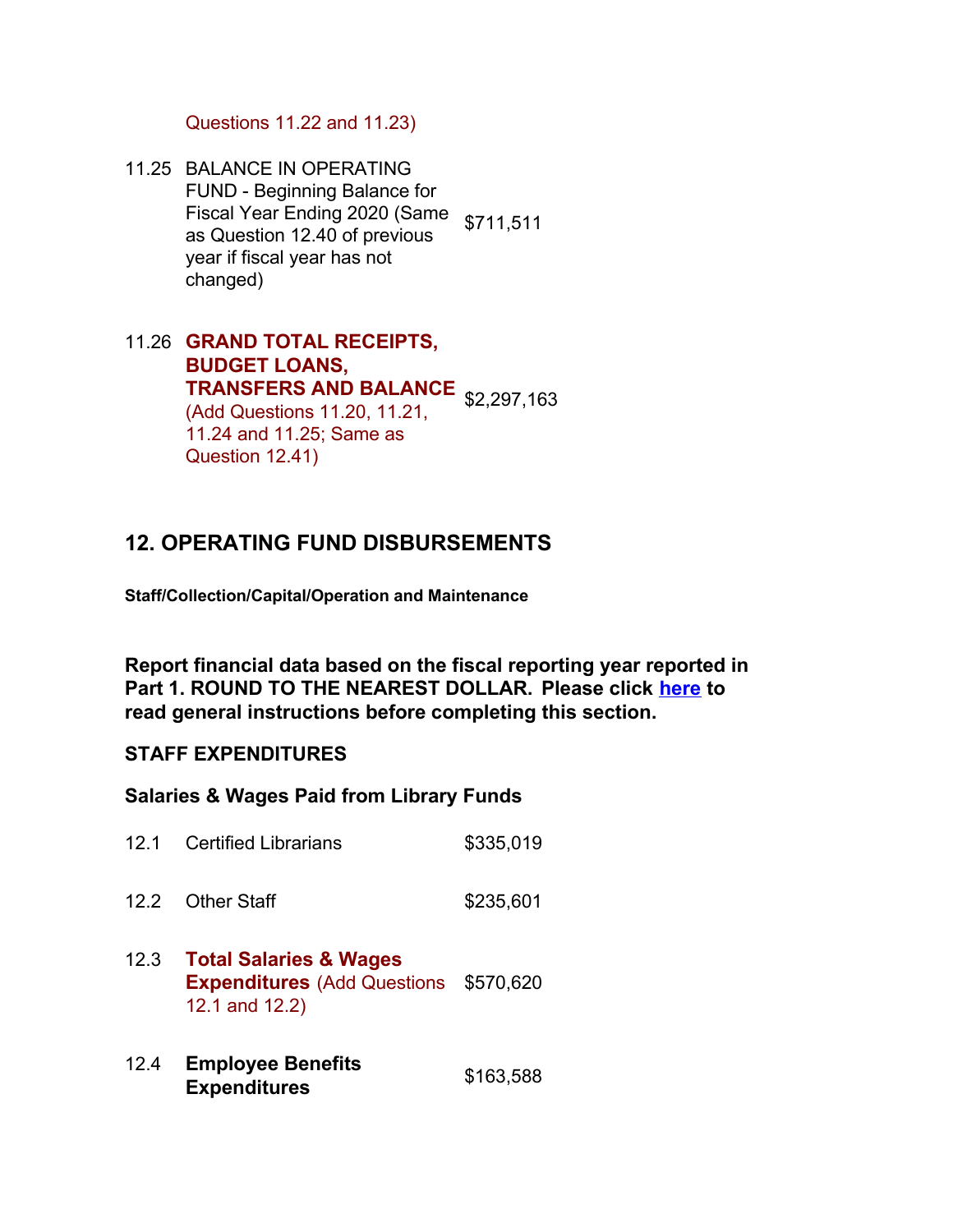Questions 11.22 and 11.23)

- 11.25 BALANCE IN OPERATING FUND - Beginning Balance for Fiscal Year Ending 2020 (Same \$711,511 as Question 12.40 of previous year if fiscal year has not changed)
- 11.26 **GRAND TOTAL RECEIPTS, BUDGET LOANS, TRANSFERS AND BALANCE** \$2,297,163 (Add Questions 11.20, 11.21, 11.24 and 11.25; Same as Question 12.41)

## **12. OPERATING FUND DISBURSEMENTS**

**Staff/Collection/Capital/Operation and Maintenance**

**Report financial data based on the fiscal reporting year reported in Part 1. ROUND TO THE NEAREST DOLLAR. Please click here to read general instructions before completing this section.**

#### **STAFF EXPENDITURES**

#### **Salaries & Wages Paid from Library Funds**

- 12.1 Certified Librarians \$335,019
- 12.2 Other Staff \$235,601
- 12.3 **Total Salaries & Wages Expenditures** (Add Questions \$570,620 12.1 and 12.2)
- 12.4 **Employee Benefits Expenditures** \$163,588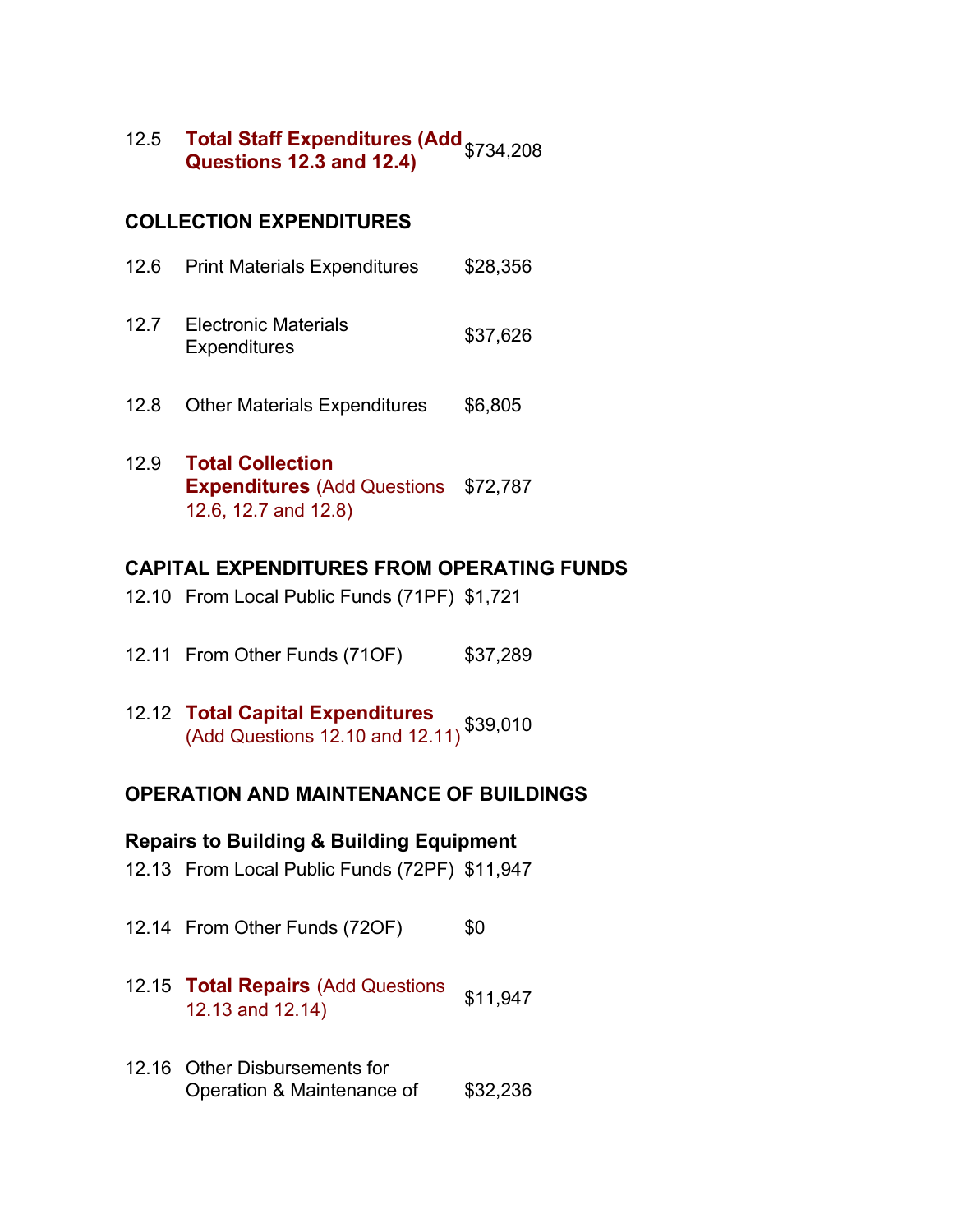12.5 **Total Staff Expenditures (Add Questions 12.3 and 12.4)** \$734,208

### **COLLECTION EXPENDITURES**

|      | 12.6 Print Materials Expenditures                  | \$28,356 |
|------|----------------------------------------------------|----------|
| 12.7 | <b>Electronic Materials</b><br><b>Expenditures</b> | \$37,626 |

- 12.8 Other Materials Expenditures \$6,805
- 12.9 **Total Collection Expenditures** (Add Questions \$72,787 12.6, 12.7 and 12.8)

### **CAPITAL EXPENDITURES FROM OPERATING FUNDS**

- 12.10 From Local Public Funds (71PF) \$1,721
- 12.11 From Other Funds (710F) \$37,289
- 12.12 **Total Capital Expenditures** (Add Questions 12.10 and 12.11) \$39,010

#### **OPERATION AND MAINTENANCE OF BUILDINGS**

#### **Repairs to Building & Building Equipment**

- 12.13 From Local Public Funds (72PF) \$11,947
- 12.14 From Other Funds (72OF) \$0
- 12.15 **Total Repairs** (Add Questions **10tal Repairs** (Add Questions \$11,947
- 12.16 Other Disbursements for Operation & Maintenance of \$32,236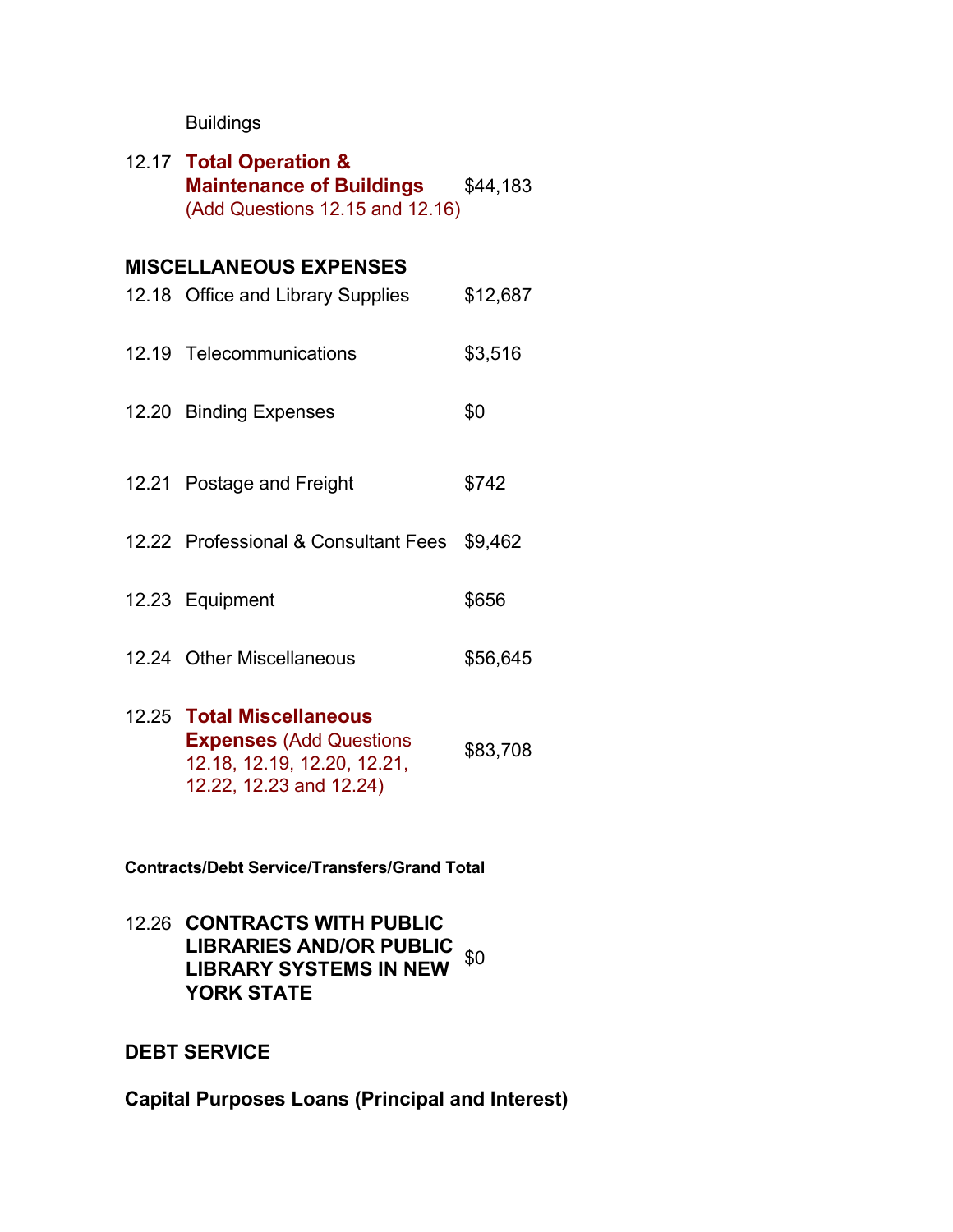## Buildings

| 12.17 Total Operation &<br><b>Maintenance of Buildings</b><br>(Add Questions 12.15 and 12.16)                          | \$44,183 |
|------------------------------------------------------------------------------------------------------------------------|----------|
| <b>MISCELLANEOUS EXPENSES</b>                                                                                          |          |
| 12.18 Office and Library Supplies                                                                                      | \$12,687 |
| 12.19 Telecommunications                                                                                               | \$3,516  |
| 12.20 Binding Expenses                                                                                                 | \$0      |
| 12.21 Postage and Freight                                                                                              | \$742    |
| 12.22 Professional & Consultant Fees \$9,462                                                                           |          |
| 12.23 Equipment                                                                                                        | \$656    |
| 12.24 Other Miscellaneous                                                                                              | \$56,645 |
| 12.25 Total Miscellaneous<br><b>Expenses (Add Questions)</b><br>12.18, 12.19, 12.20, 12.21,<br>12.22, 12.23 and 12.24) | \$83,708 |

**Contracts/Debt Service/Transfers/Grand Total**

12.26 **CONTRACTS WITH PUBLIC LIBRARIES AND/OR PUBLIC LIBRARY SYSTEMS IN NEW** \$0 **YORK STATE**

## **DEBT SERVICE**

**Capital Purposes Loans (Principal and Interest)**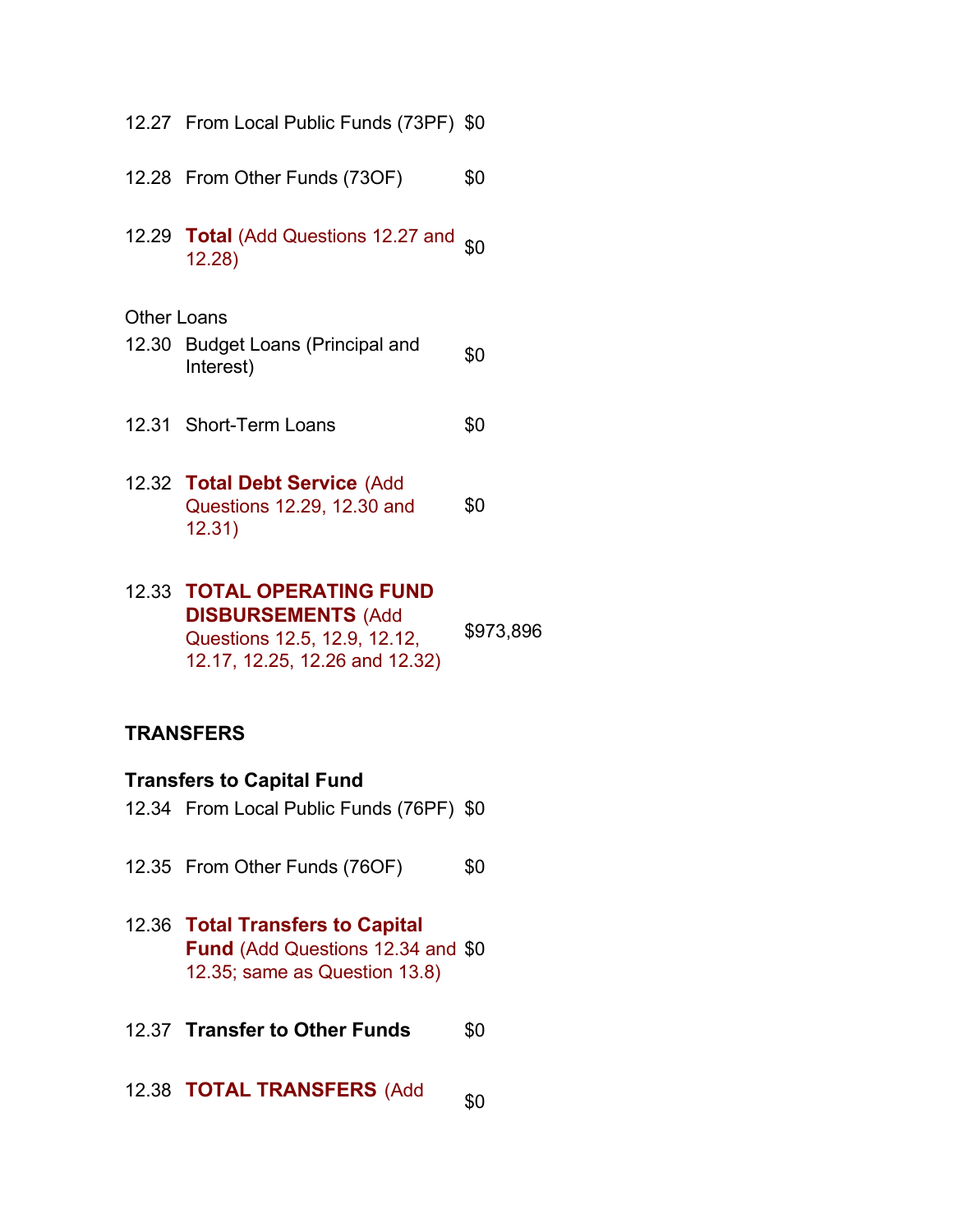|                    | 12.27 From Local Public Funds (73PF) \$0                              |     |
|--------------------|-----------------------------------------------------------------------|-----|
|                    | 12.28 From Other Funds (73OF)                                         | \$0 |
|                    | 12.29 Total (Add Questions 12.27 and <sub>\$0</sub><br>12.28)         |     |
| <b>Other Loans</b> |                                                                       |     |
|                    | 12.30 Budget Loans (Principal and<br>Interest)                        | \$0 |
|                    | 12.31 Short-Term Loans                                                | \$0 |
|                    | 12.32 Total Debt Service (Add<br>Questions 12.29, 12.30 and<br>12.31) | \$0 |
|                    | <b>12.33 TOTAL OPERATING FUND</b><br><b>DICDUDCEMENTS</b> <i>INAA</i> |     |

**DISBURSEMENTS** (Add Questions 12.5, 12.9, 12.12, 12.17, 12.25, 12.26 and 12.32) \$973,896

## **TRANSFERS**

### **Transfers to Capital Fund**

12.34 From Local Public Funds (76PF) \$0

12.35 From Other Funds (76OF) \$0

- 12.36 **Total Transfers to Capital Fund** (Add Questions 12.34 and \$0 12.35; same as Question 13.8)
- 12.37 **Transfer to Other Funds** \$0
- 12.38 **TOTAL TRANSFERS** (Add  ${}_{\$0}$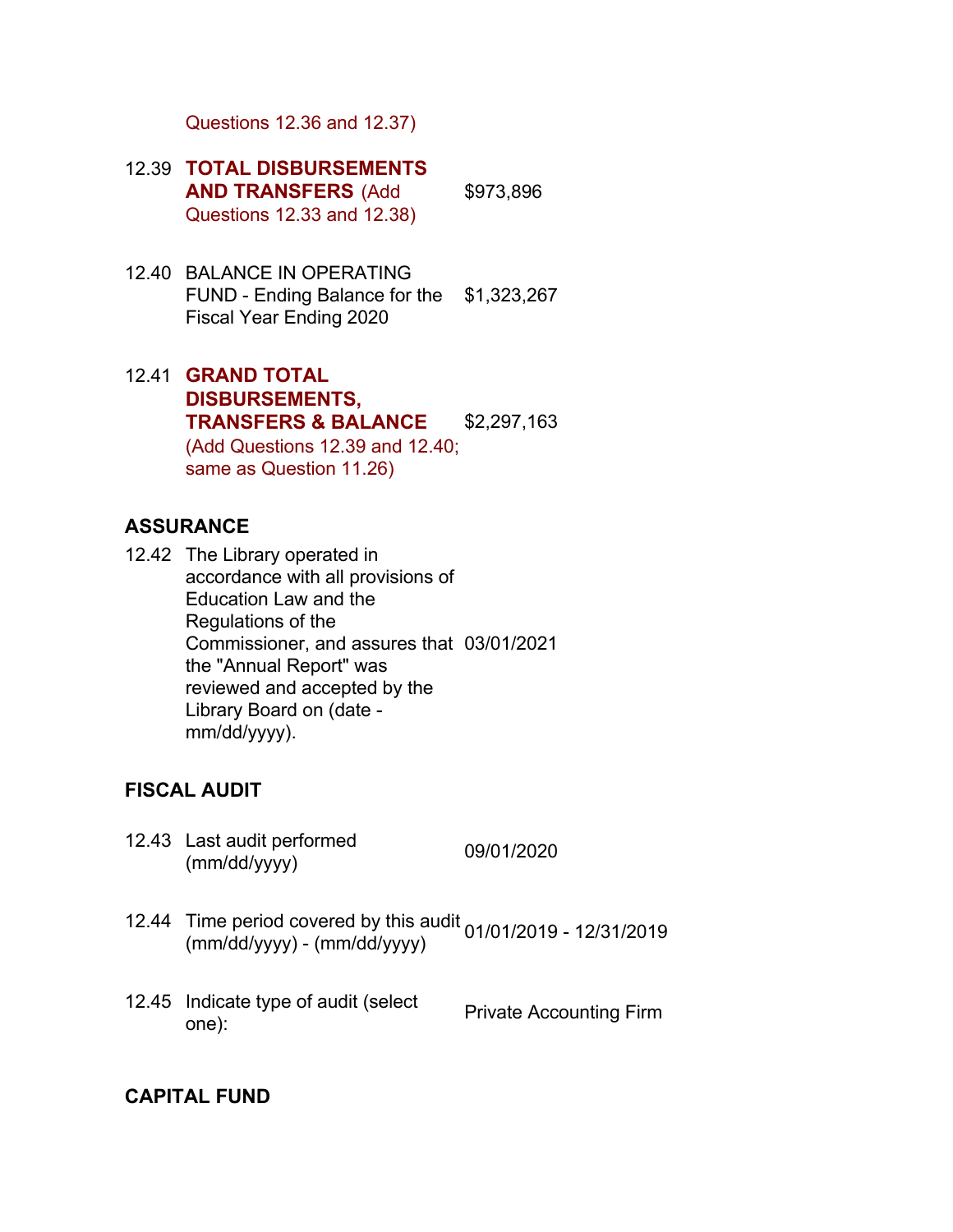Questions 12.36 and 12.37)

- 12.39 **TOTAL DISBURSEMENTS AND TRANSFERS** (Add Questions 12.33 and 12.38) \$973,896
- 12.40 BALANCE IN OPERATING FUND - Ending Balance for the \$1,323,267 Fiscal Year Ending 2020
- 12.41 **GRAND TOTAL DISBURSEMENTS, TRANSFERS & BALANCE** (Add Questions 12.39 and 12.40; same as Question 11.26) \$2,297,163

#### **ASSURANCE**

12.42 The Library operated in accordance with all provisions of Education Law and the Regulations of the Commissioner, and assures that 03/01/2021 the "Annual Report" was reviewed and accepted by the Library Board on (date mm/dd/yyyy).

#### **FISCAL AUDIT**

12.43 Last audit performed Last addit performed<br>(mm/dd/yyyy) 09/01/2020

- 12.44 Time period covered by this audit 01/01/2019 12/31/2019 (mm/dd/yyyy) (mm/dd/yyyy)
- 12.45 Indicate type of audit (select mulcate type of addit (select Private Accounting Firm<br>one):

#### **CAPITAL FUND**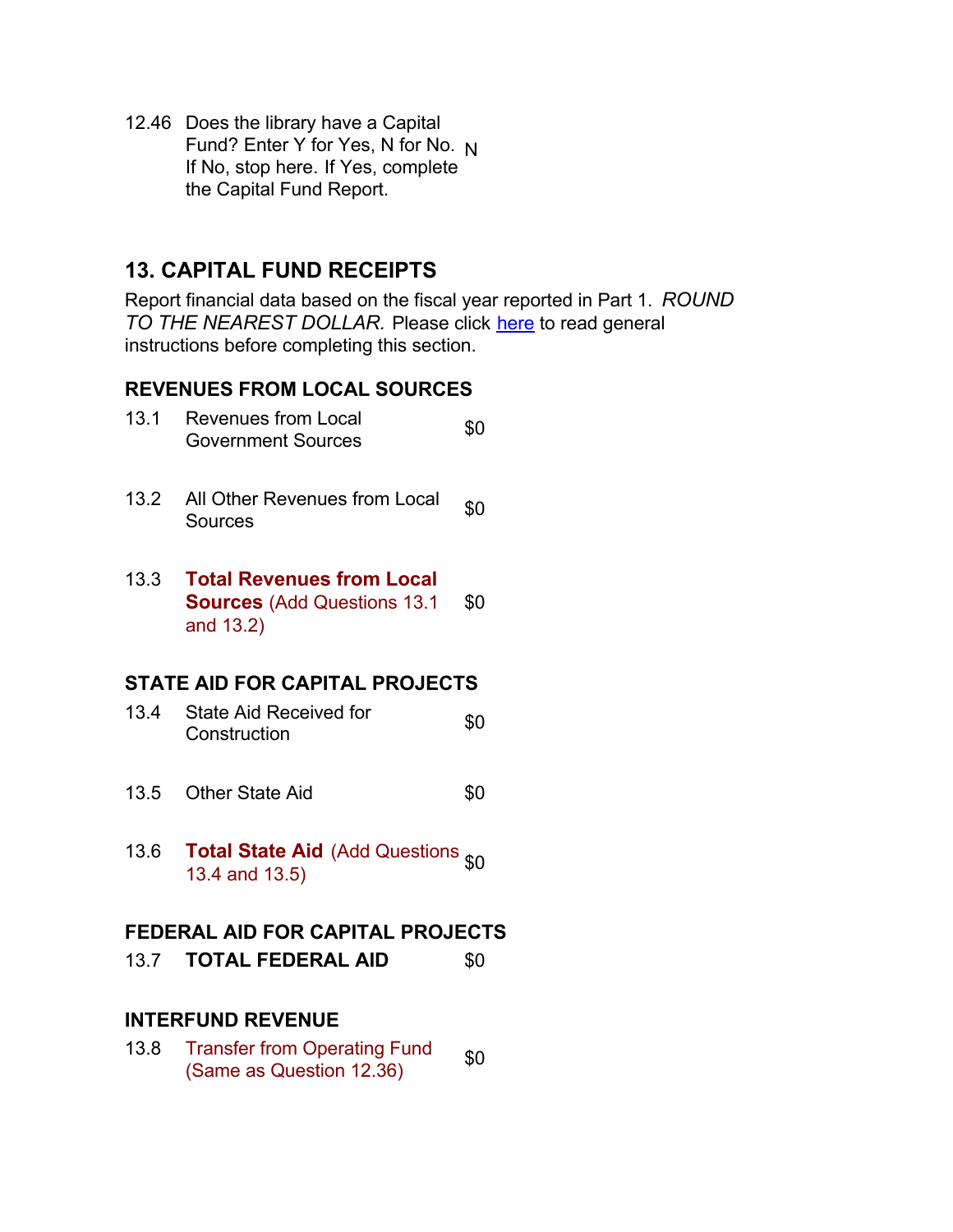12.46 Does the library have a Capital Fund? Enter Y for Yes, N for No. N If No, stop here. If Yes, complete the Capital Fund Report.

## **13. CAPITAL FUND RECEIPTS**

Report financial data based on the fiscal year reported in Part 1. *ROUND TO THE NEAREST DOLLAR.* Please click here to read general instructions before completing this section.

#### **REVENUES FROM LOCAL SOURCES**

| 13.1 Revenues from Local  | \$0 |
|---------------------------|-----|
| <b>Government Sources</b> |     |

13.2 All Other Revenues from Local  $\int_{0}^{80}$ 

#### 13.3 **Total Revenues from Local Sources** (Add Questions 13.1 and 13.2) \$0

## **STATE AID FOR CAPITAL PROJECTS**

- 13.4 State Aid Received for State Ald Received for the things of the state of the state of the state of the state of the state of the state of the state of the state of the state of the state of the state of the state of the state of the state of the
- 13.5 Other State Aid 60
- 13.6 **Total State Aid** (Add Questions 13.4 and 13.5)

#### **FEDERAL AID FOR CAPITAL PROJECTS**

13.7 **TOTAL FEDERAL AID** \$0

## **INTERFUND REVENUE**

13.8 Transfer from Operating Fund Transier from Operating Fund  $$0$ <br>(Same as Question 12.36)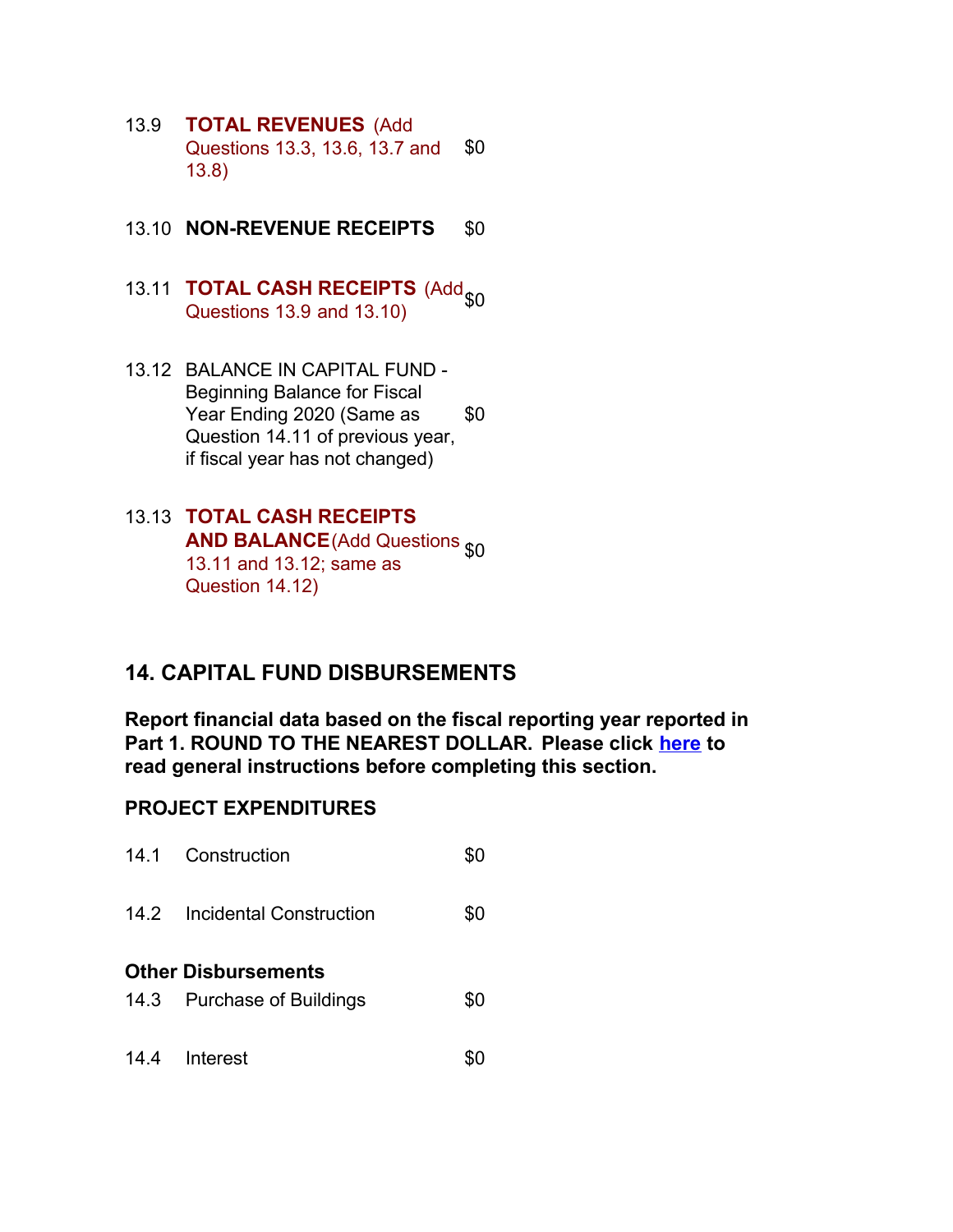- 13.9 **TOTAL REVENUES** (Add Questions 13.3, 13.6, 13.7 and 13.8) \$0
- 13.10 **NON-REVENUE RECEIPTS** \$0
- 13.11 **TOTAL CASH RECEIPTS** (Add Questions  $13.9$  and  $13.10$ )
- 13.12 BALANCE IN CAPITAL FUND Beginning Balance for Fiscal Year Ending 2020 (Same as Question 14.11 of previous year, if fiscal year has not changed) \$0
- 13.13 **TOTAL CASH RECEIPTS AND BALANCE** (Add Questions  $$0$ 13.11 and 13.12; same as Question 14.12)

## **14. CAPITAL FUND DISBURSEMENTS**

**Report financial data based on the fiscal reporting year reported in Part 1. ROUND TO THE NEAREST DOLLAR. Please click here to read general instructions before completing this section.**

## **PROJECT EXPENDITURES**

|                            | 14.1 Construction            |     |  |  |
|----------------------------|------------------------------|-----|--|--|
|                            | 14.2 Incidental Construction | \$0 |  |  |
| <b>Other Disbursements</b> |                              |     |  |  |
|                            | 14.3 Purchase of Buildings   | \$0 |  |  |
|                            | 14.4 Interest                |     |  |  |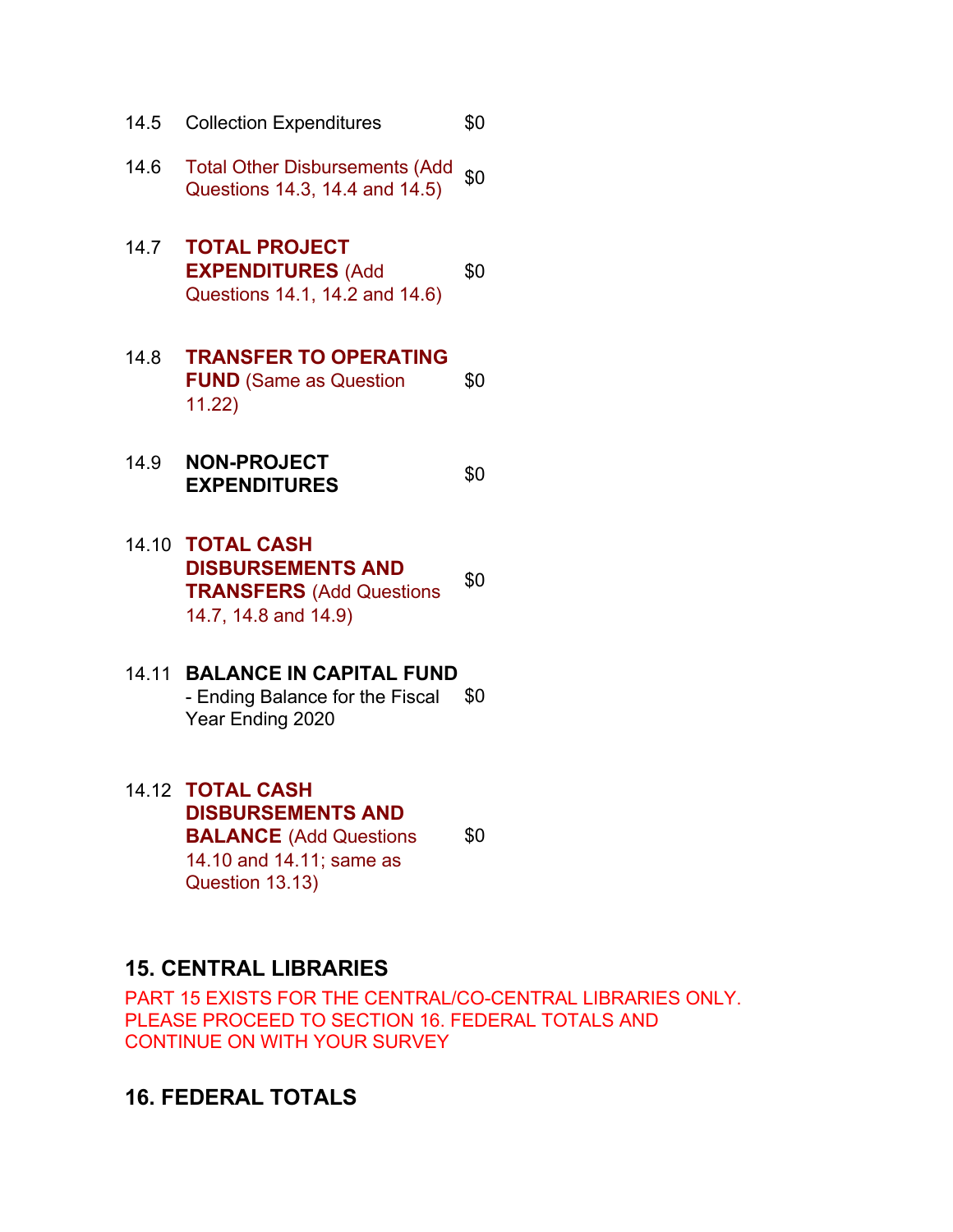- 14.5 Collection Expenditures \$0
- 14.6 Total Other Disbursements (Add Total Other Disbursements (Add  $$0$ )<br>Questions 14.3, 14.4 and 14.5)
- 14.7 **TOTAL PROJECT EXPENDITURES** (Add Questions 14.1, 14.2 and 14.6) \$0

#### 14.8 **TRANSFER TO OPERATING FUND** (Same as Question 11.22) \$0

- 14.9 **NON-PROJECT EXPENDITURES** \$0
- 14.10 **TOTAL CASH DISBURSEMENTS AND TRANSFERS** (Add Questions 14.7, 14.8 and 14.9) \$0
- 14.11 **BALANCE IN CAPITAL FUND** - Ending Balance for the Fiscal Year Ending 2020 \$0
- 14.12 **TOTAL CASH DISBURSEMENTS AND BALANCE** (Add Questions 14.10 and 14.11; same as Question 13.13)

\$0

## **15. CENTRAL LIBRARIES**

PART 15 EXISTS FOR THE CENTRAL/CO-CENTRAL LIBRARIES ONLY. PLEASE PROCEED TO SECTION 16. FEDERAL TOTALS AND CONTINUE ON WITH YOUR SURVEY

**16. FEDERAL TOTALS**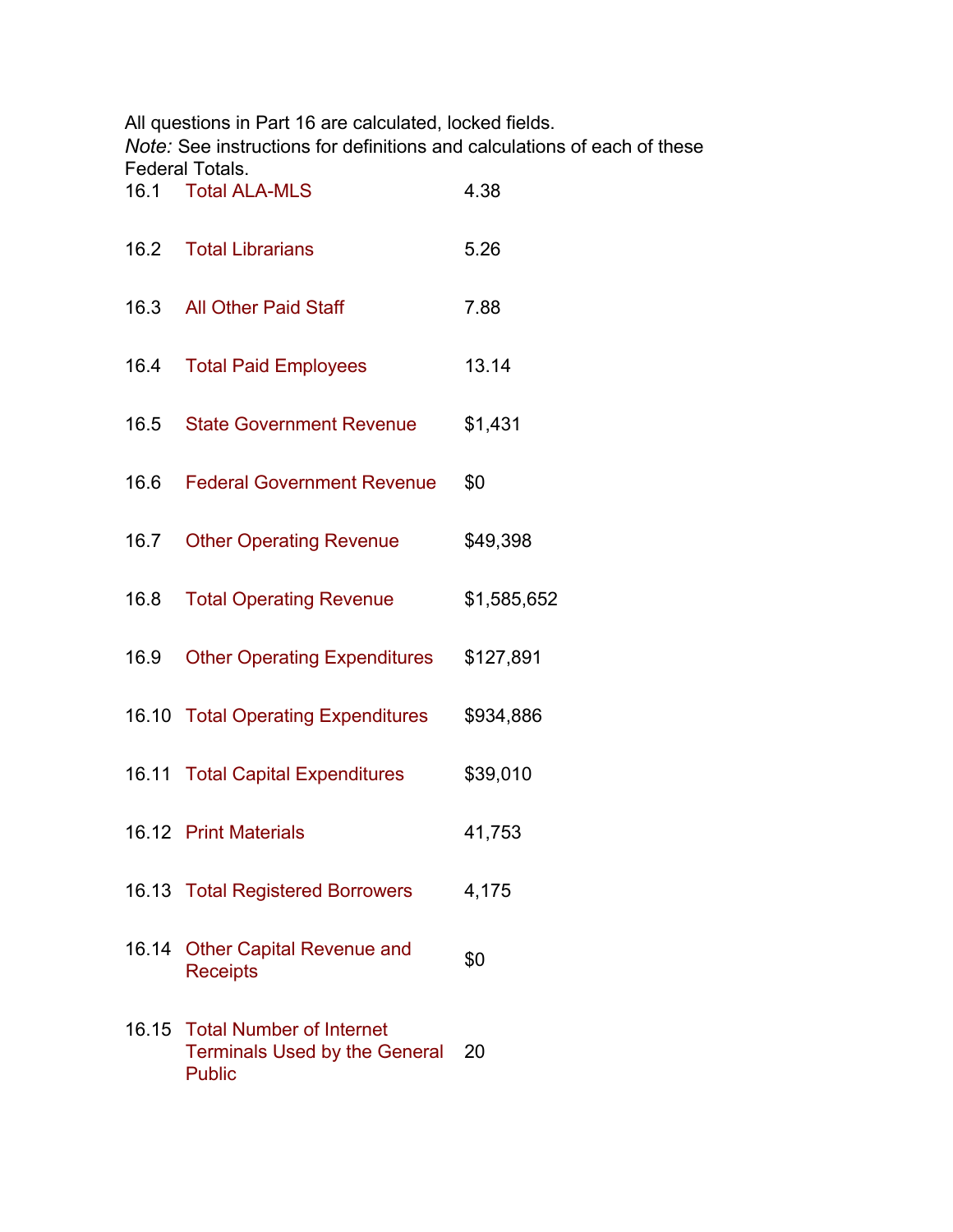All questions in Part 16 are calculated, locked fields.

*Note:* See instructions for definitions and calculations of each of these Federal Totals.

| 16.1  | <b>Total ALA-MLS</b>                                                                    | 4.38        |
|-------|-----------------------------------------------------------------------------------------|-------------|
|       | 16.2 Total Librarians                                                                   | 5.26        |
|       | 16.3 All Other Paid Staff                                                               | 7.88        |
| 16.4  | <b>Total Paid Employees</b>                                                             | 13.14       |
| 16.5  | <b>State Government Revenue</b>                                                         | \$1,431     |
| 16.6  | <b>Federal Government Revenue</b>                                                       | \$0         |
| 16.7  | <b>Other Operating Revenue</b>                                                          | \$49,398    |
| 16.8  | <b>Total Operating Revenue</b>                                                          | \$1,585,652 |
|       | 16.9 Other Operating Expenditures                                                       | \$127,891   |
|       | 16.10 Total Operating Expenditures                                                      | \$934,886   |
|       | 16.11 Total Capital Expenditures                                                        | \$39,010    |
|       | 16.12 Print Materials                                                                   | 41,753      |
|       | 16.13 Total Registered Borrowers                                                        | 4,175       |
| 16.14 | <b>Other Capital Revenue and</b><br><b>Receipts</b>                                     | \$0         |
|       | 16.15 Total Number of Internet<br><b>Terminals Used by the General</b><br><b>Public</b> | 20          |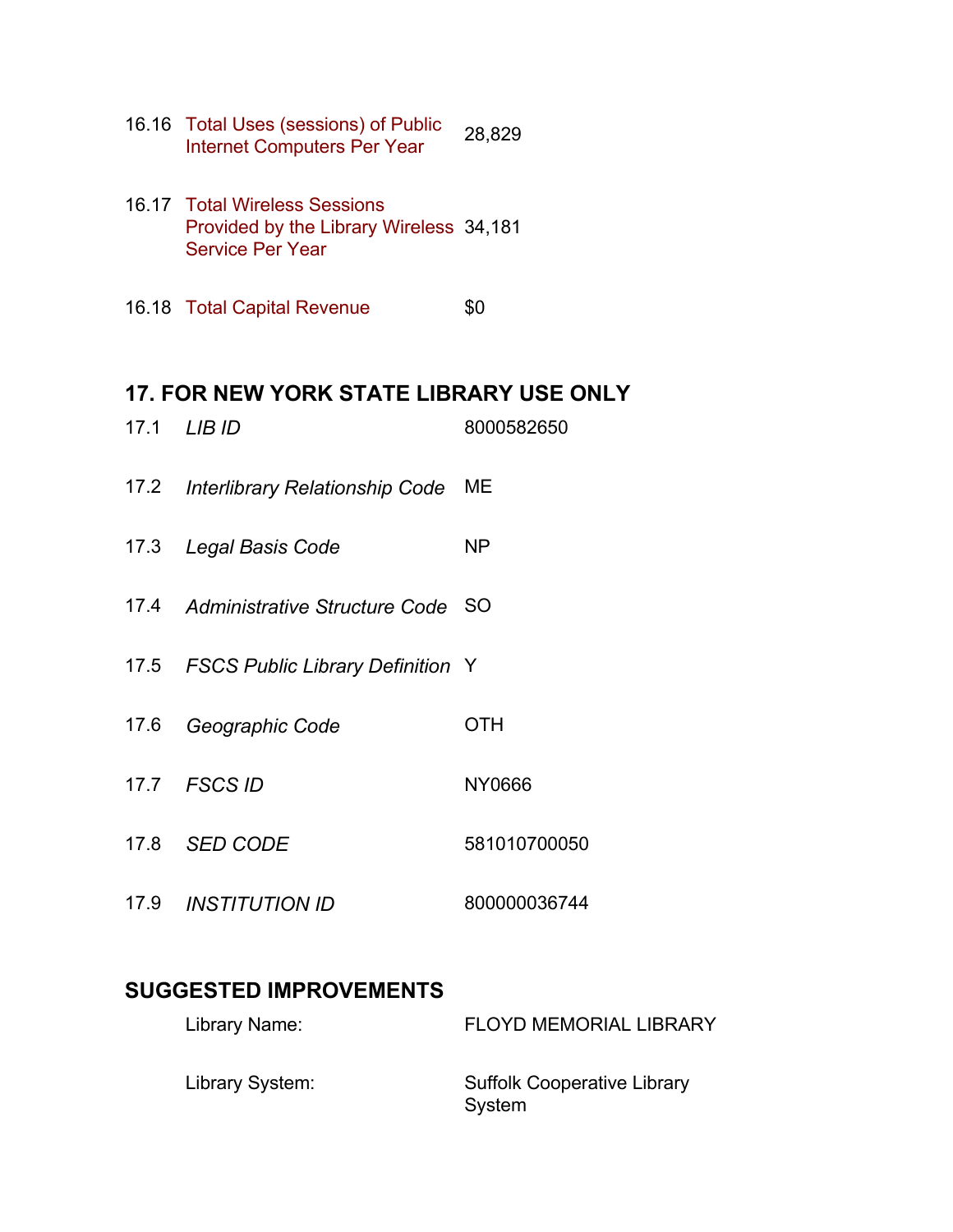- 16.16 Total Uses (sessions) of Public Internet Computers Per Year 28,829
- 16.17 Total Wireless Sessions Provided by the Library Wireless 34,181 Service Per Year
- 16.18 Total Capital Revenue \$0

### **17. FOR NEW YORK STATE LIBRARY USE ONLY**

17.1 *LIB ID* 8000582650 17.2 *Interlibrary Relationship Code* ME 17.3 *Legal Basis Code* NP 17.4 *Administrative Structure Code* SO 17.5 *FSCS Public Library Definition* Y 17.6 *Geographic Code* OTH 17.7 *FSCS ID* NY0666 17.8 *SED CODE* 581010700050 17.9 *INSTITUTION ID* 800000036744

## **SUGGESTED IMPROVEMENTS**

| Library Name:   | <b>FLOYD MEMORIAL LIBRARY</b>                |
|-----------------|----------------------------------------------|
| Library System: | <b>Suffolk Cooperative Library</b><br>System |